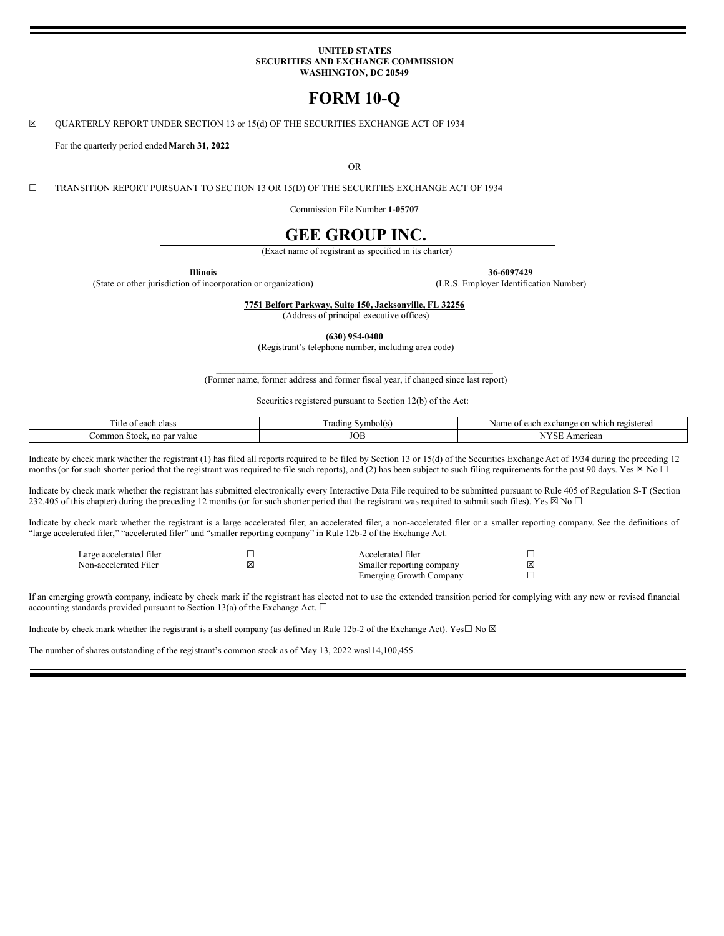#### **UNITED STATES SECURITIES AND EXCHANGE COMMISSION WASHINGTON, DC 20549**

# **FORM 10-Q**

☒ QUARTERLY REPORT UNDER SECTION 13 or 15(d) OF THE SECURITIES EXCHANGE ACT OF 1934

For the quarterly period ended**March 31, 2022**

OR

☐ TRANSITION REPORT PURSUANT TO SECTION 13 OR 15(D) OF THE SECURITIES EXCHANGE ACT OF 1934

Commission File Number **1-05707**

# **GEE GROUP INC.**

(Exact name of registrant as specified in its charter)

(State or other jurisdiction of incorporation or organization) (I.R.S. Employer Identification Number)

**Illinois 36-6097429**

**7751 Belfort Parkway, Suite 150, Jacksonville, FL 32256**

(Address of principal executive offices)

**(630) 954-0400**

(Registrant's telephone number, including area code)

 $\mathcal{L}_\text{max}$  and  $\mathcal{L}_\text{max}$  and  $\mathcal{L}_\text{max}$  and  $\mathcal{L}_\text{max}$  and  $\mathcal{L}_\text{max}$  and  $\mathcal{L}_\text{max}$ (Former name, former address and former fiscal year, if changed since last report)

Securities registered pursuant to Section 12(b) of the Act:

| `itle<br>сh<br>∟class<br>-01<br><b>CAUL</b> | radıng<br>Symbol(s) | Name<br>registered<br>a exchange on which<br>each<br>$\Omega$ |
|---------------------------------------------|---------------------|---------------------------------------------------------------|
| Common Stock. '<br>. no par<br>value        | JOE                 | NTIT<br>American<br>N                                         |

Indicate by check mark whether the registrant (1) has filed all reports required to be filed by Section 13 or 15(d) of the Securities Exchange Act of 1934 during the preceding 12 months (or for such shorter period that the registrant was required to file such reports), and (2) has been subject to such filing requirements for the past 90 days. Yes  $\boxtimes$  No  $\Box$ 

Indicate by check mark whether the registrant has submitted electronically every Interactive Data File required to be submitted pursuant to Rule 405 of Regulation S-T (Section 232.405 of this chapter) during the preceding 12 months (or for such shorter period that the registrant was required to submit such files). Yes  $\boxtimes$  No  $\Box$ 

Indicate by check mark whether the registrant is a large accelerated filer, an accelerated filer, a non-accelerated filer or a smaller reporting company. See the definitions of "large accelerated filer," "accelerated filer" and "smaller reporting company" in Rule 12b-2 of the Exchange Act.

| Large accelerated filer |   | Accelerated filer         |  |
|-------------------------|---|---------------------------|--|
| Non-accelerated Filer   | ⊠ | Smaller reporting company |  |
|                         |   | Emerging Growth Company   |  |

If an emerging growth company, indicate by check mark if the registrant has elected not to use the extended transition period for complying with any new or revised financial accounting standards provided pursuant to Section 13(a) of the Exchange Act.  $\square$ 

Indicate by check mark whether the registrant is a shell company (as defined in Rule 12b-2 of the Exchange Act). Yes $\Box$  No  $\boxtimes$ 

The number of shares outstanding of the registrant's common stock as of May 13, 2022 was114,100,455.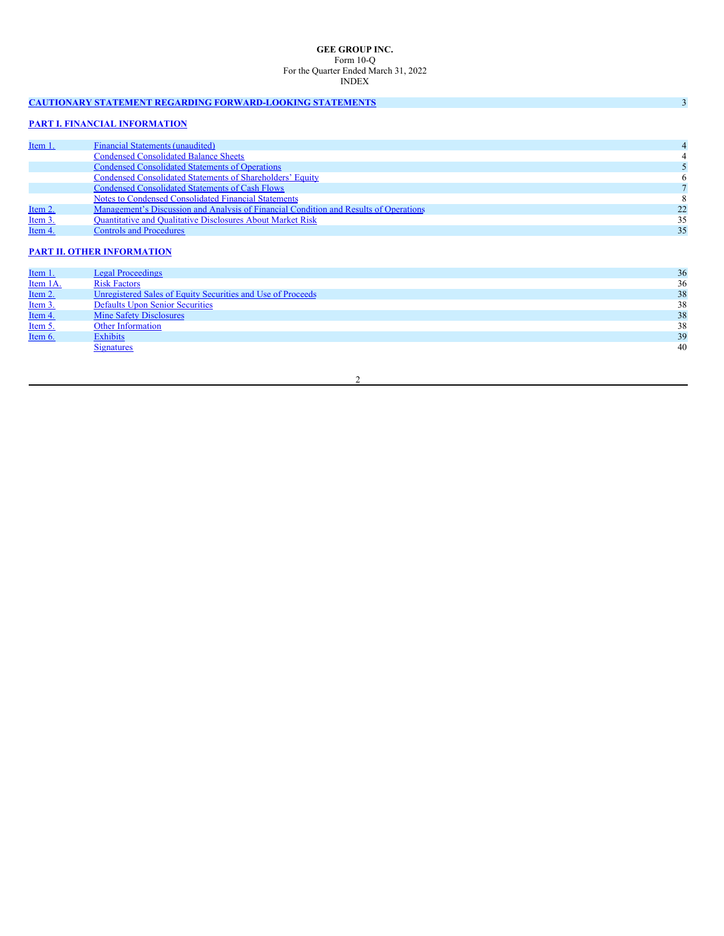### <span id="page-1-0"></span>**GEE GROUP INC.** Form 10-Q For the Quarter Ended March 31, 2022 INDEX

# **CAUTIONARY STATEMENT REGARDING [FORWARD-LOOKING](#page-2-0) STATEMENTS** 3

# **PART I. FINANCIAL [INFORMATION](#page-3-0)**

| Item 1. | Financial Statements (unaudited)                                                      |    |
|---------|---------------------------------------------------------------------------------------|----|
|         | <b>Condensed Consolidated Balance Sheets</b>                                          |    |
|         | <b>Condensed Consolidated Statements of Operations</b>                                |    |
|         | <b>Condensed Consolidated Statements of Shareholders' Equity</b>                      |    |
|         | <b>Condensed Consolidated Statements of Cash Flows</b>                                |    |
|         | Notes to Condensed Consolidated Financial Statements                                  |    |
| Item 2. | Management's Discussion and Analysis of Financial Condition and Results of Operations | 22 |
| Item 3. | <b>Quantitative and Qualitative Disclosures About Market Risk</b>                     | 35 |
| Item 4. | <b>Controls and Procedures</b>                                                        | 35 |
|         |                                                                                       |    |

# **PART II. OTHER [INFORMATION](#page-35-0)**

| Item 1.  | <b>Legal Proceedings</b>                                    | 36 |
|----------|-------------------------------------------------------------|----|
| Item 1A. | <b>Risk Factors</b>                                         | 36 |
| Item 2.  | Unregistered Sales of Equity Securities and Use of Proceeds | 38 |
| Item 3.  | <b>Defaults Upon Senior Securities</b>                      | 38 |
| Item 4.  | <b>Mine Safety Disclosures</b>                              | 38 |
| Item 5.  | <b>Other Information</b>                                    | 38 |
| Item 6.  | <b>Exhibits</b>                                             | 39 |
|          | <b>Signatures</b>                                           | 40 |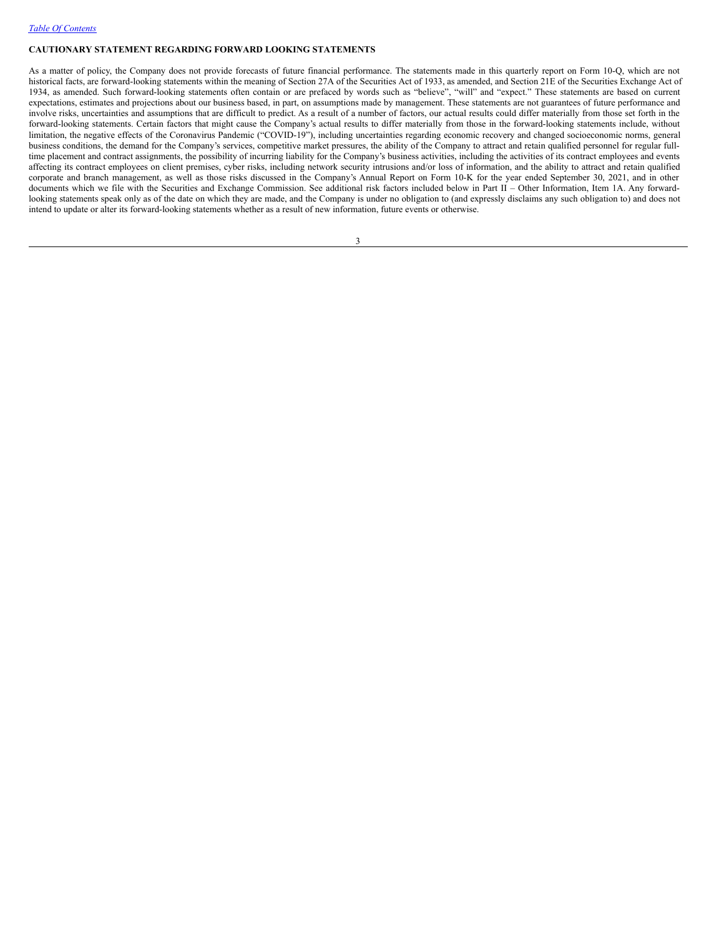### <span id="page-2-0"></span>**CAUTIONARY STATEMENT REGARDING FORWARD LOOKING STATEMENTS**

As a matter of policy, the Company does not provide forecasts of future financial performance. The statements made in this quarterly report on Form 10-Q, which are not historical facts, are forward-looking statements within the meaning of Section 27A of the Securities Act of 1933, as amended, and Section 21E of the Securities Exchange Act of 1934, as amended. Such forward-looking statements often contain or are prefaced by words such as "believe", "will" and "expect." These statements are based on current expectations, estimates and projections about our business based, in part, on assumptions made by management. These statements are not guarantees of future performance and involve risks, uncertainties and assumptions that are difficult to predict. As a result of a number of factors, our actual results could differ materially from those set forth in the forward-looking statements. Certain factors that might cause the Company's actual results to differ materially from those in the forward-looking statements include, without limitation, the negative effects of the Coronavirus Pandemic ("COVID-19"), including uncertainties regarding economic recovery and changed socioeconomic norms, general business conditions, the demand for the Company's services, competitive market pressures, the ability of the Company to attract and retain qualified personnel for regular fulltime placement and contract assignments, the possibility of incurring liability for the Company's business activities, including the activities of its contract employees and events affecting its contract employees on client premises, cyber risks, including network security intrusions and/or loss of information, and the ability to attract and retain qualified corporate and branch management, as well as those risks discussed in the Company's Annual Report on Form 10-K for the year ended September 30, 2021, and in other documents which we file with the Securities and Exchange Commission. See additional risk factors included below in Part II – Other Information, Item 1A. Any forwardlooking statements speak only as of the date on which they are made, and the Company is under no obligation to (and expressly disclaims any such obligation to) and does not intend to update or alter its forward-looking statements whether as a result of new information, future events or otherwise.

| ۰,     |
|--------|
| I<br>÷ |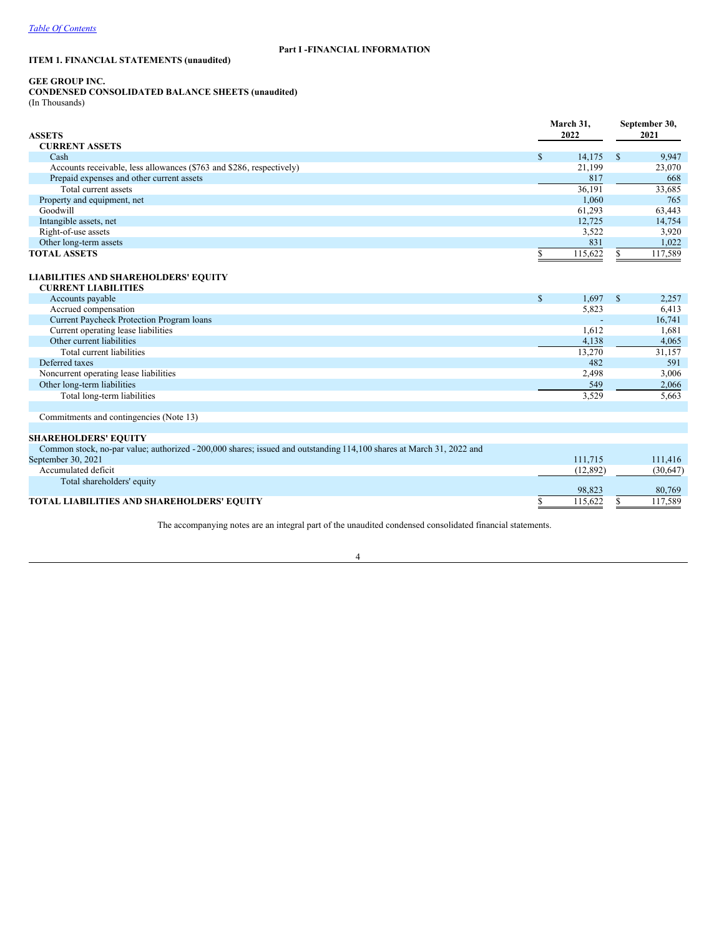# <span id="page-3-1"></span>**ITEM 1. FINANCIAL STATEMENTS (unaudited)**

# <span id="page-3-0"></span>**GEE GROUP INC.**

# <span id="page-3-2"></span>**CONDENSED CONSOLIDATED BALANCE SHEETS (unaudited)**

(In Thousands)

| <b>ASSETS</b>                                                        |     | March 31,<br>2022 |  | September 30,<br>2021 |
|----------------------------------------------------------------------|-----|-------------------|--|-----------------------|
| <b>CURRENT ASSETS</b>                                                |     |                   |  |                       |
| Cash                                                                 | \$. | $14.175$ \$       |  | 9,947                 |
| Accounts receivable, less allowances (\$763 and \$286, respectively) |     | 21.199            |  | 23,070                |
| Prepaid expenses and other current assets                            |     | 817               |  | 668                   |
| Total current assets                                                 |     | 36,191            |  | 33,685                |
| Property and equipment, net                                          |     | 1.060             |  | 765                   |
| Goodwill                                                             |     | 61.293            |  | 63,443                |
| Intangible assets, net                                               |     | 12.725            |  | 14,754                |
| Right-of-use assets                                                  |     | 3,522             |  | 3,920                 |
| Other long-term assets                                               |     | 831               |  | 1,022                 |
| <b>TOTAL ASSETS</b>                                                  |     | 115,622           |  | 117,589               |

# **LIABILITIES AND SHAREHOLDERS' EQUITY**

| <b>CURRENT LIABILITIES</b>                |             |            |
|-------------------------------------------|-------------|------------|
| Accounts payable                          | \$<br>1,697 | 2,257<br>S |
| Accrued compensation                      | 5,823       | 6,413      |
| Current Paycheck Protection Program loans |             | 16,741     |
| Current operating lease liabilities       | 1,612       | 1,681      |
| Other current liabilities                 | 4,138       | 4,065      |
| Total current liabilities                 | 13,270      | 31,157     |
| Deferred taxes                            | 482         | 591        |
| Noncurrent operating lease liabilities    | 2,498       | 3,006      |
| Other long-term liabilities               | 549         | 2,066      |
| Total long-term liabilities               | 3,529       | 5,663      |
|                                           |             |            |
|                                           |             |            |

# Commitments and contingencies (Note 13)

# **SHAREHOLDERS' EQUITY**

| Common stock, no-par value; authorized - 200,000 shares; issued and outstanding 114,100 shares at March 31, 2022 and |          |          |
|----------------------------------------------------------------------------------------------------------------------|----------|----------|
| September 30, 2021                                                                                                   | 111.715  | 111.416  |
| Accumulated deficit                                                                                                  | (12.892) | (30,647) |
| Total shareholders' equity                                                                                           |          |          |
|                                                                                                                      | 98.823   | 80,769   |
| <b>TOTAL LIABILITIES AND SHAREHOLDERS' EQUITY</b>                                                                    | 115.622  | 117.589  |
|                                                                                                                      |          |          |

The accompanying notes are an integral part of the unaudited condensed consolidated financial statements.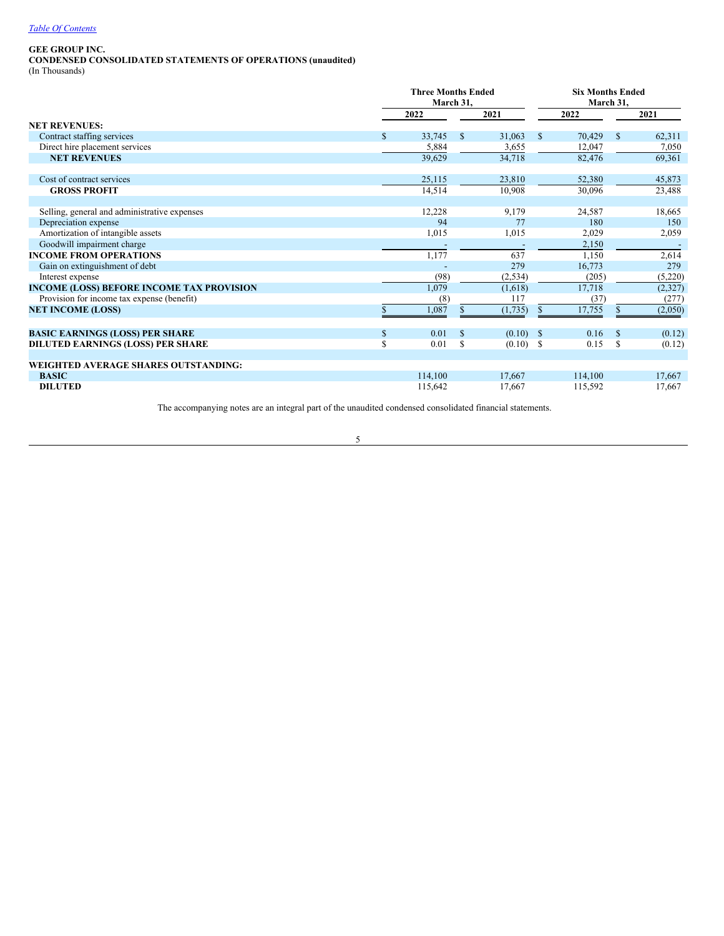<span id="page-4-0"></span>**CONDENSED CONSOLIDATED STATEMENTS OF OPERATIONS (unaudited)**

(In Thousands)

|                                                  |               | <b>Three Months Ended</b><br>March 31, |               |             |               | <b>Six Months Ended</b><br>March 31, |               |         |
|--------------------------------------------------|---------------|----------------------------------------|---------------|-------------|---------------|--------------------------------------|---------------|---------|
|                                                  |               | 2022                                   |               | 2021        |               | 2022                                 |               | 2021    |
| <b>NET REVENUES:</b>                             |               |                                        |               |             |               |                                      |               |         |
| Contract staffing services                       | <sup>\$</sup> | 33,745                                 | $\mathbb{S}$  | 31,063      | <sup>\$</sup> | 70.429                               | $\mathbb{S}$  | 62,311  |
| Direct hire placement services                   |               | 5,884                                  |               | 3,655       |               | 12,047                               |               | 7,050   |
| <b>NET REVENUES</b>                              |               | 39,629                                 |               | 34,718      |               | 82,476                               |               | 69,361  |
| Cost of contract services                        |               | 25,115                                 |               | 23,810      |               | 52,380                               |               | 45,873  |
| <b>GROSS PROFIT</b>                              |               | 14,514                                 |               | 10.908      |               | 30,096                               |               | 23,488  |
| Selling, general and administrative expenses     |               | 12,228                                 |               | 9,179       |               | 24,587                               |               | 18,665  |
| Depreciation expense                             |               | 94                                     |               | 77          |               | 180                                  |               | 150     |
| Amortization of intangible assets                |               | 1,015                                  |               | 1,015       |               | 2,029                                |               | 2,059   |
| Goodwill impairment charge                       |               |                                        |               |             |               | 2,150                                |               |         |
| <b>INCOME FROM OPERATIONS</b>                    |               | 1,177                                  |               | 637         |               | 1.150                                |               | 2,614   |
| Gain on extinguishment of debt                   |               |                                        |               | 279         |               | 16,773                               |               | 279     |
| Interest expense                                 |               | (98)                                   |               | (2, 534)    |               | (205)                                |               | (5,220) |
| <b>INCOME (LOSS) BEFORE INCOME TAX PROVISION</b> |               | 1,079                                  |               | (1,618)     |               | 17.718                               |               | (2,327) |
| Provision for income tax expense (benefit)       |               | (8)                                    |               | 117         |               | (37)                                 |               | (277)   |
| <b>NET INCOME (LOSS)</b>                         | \$            | 1,087                                  | \$.           | (1, 735)    | <sup>\$</sup> | 17,755                               | S.            | (2,050) |
| <b>BASIC EARNINGS (LOSS) PER SHARE</b>           | \$            | 0.01                                   | <sup>\$</sup> | $(0.10)$ \$ |               | 0.16                                 | $\mathbb{S}$  | (0.12)  |
| <b>DILUTED EARNINGS (LOSS) PER SHARE</b>         | $\mathbb{S}$  | 0.01                                   | <sup>\$</sup> | (0.10)      | -S            | 0.15                                 | <sup>\$</sup> | (0.12)  |
| <b>WEIGHTED AVERAGE SHARES OUTSTANDING:</b>      |               |                                        |               |             |               |                                      |               |         |
| <b>BASIC</b>                                     |               | 114,100                                |               | 17,667      |               | 114,100                              |               | 17,667  |
| <b>DILUTED</b>                                   |               | 115.642                                |               | 17,667      |               | 115,592                              |               | 17,667  |

The accompanying notes are an integral part of the unaudited condensed consolidated financial statements.

 $\overline{5}$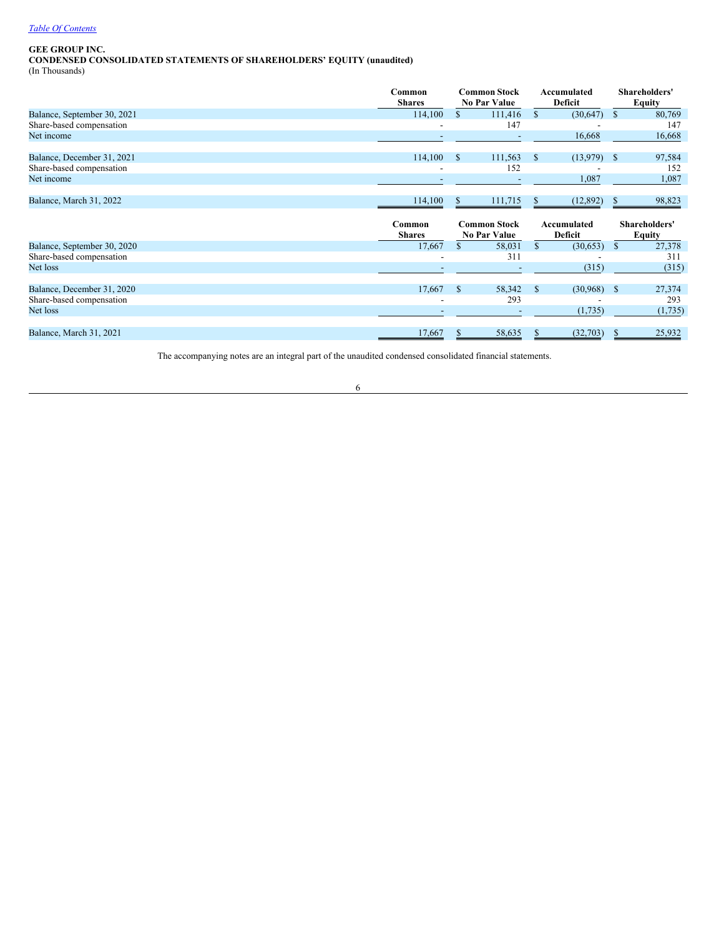<span id="page-5-0"></span>**CONDENSED CONSOLIDATED STATEMENTS OF SHAREHOLDERS' EQUITY (unaudited)**

(In Thousands)

|                             | Common<br><b>Shares</b> |              | <b>Common Stock</b><br><b>No Par Value</b> |              | Accumulated<br>Deficit |               | Shareholders'<br><b>Equity</b> |
|-----------------------------|-------------------------|--------------|--------------------------------------------|--------------|------------------------|---------------|--------------------------------|
| Balance, September 30, 2021 | 114,100                 | S.           | 111,416                                    | <sup>S</sup> | (30,647)               | -S            | 80,769                         |
| Share-based compensation    |                         |              | 147                                        |              |                        |               | 147                            |
| Net income                  |                         |              |                                            |              | 16,668                 |               | 16,668                         |
| Balance, December 31, 2021  | 114,100                 | S            | 111,563                                    | - S          | $(13,979)$ \$          |               | 97,584                         |
| Share-based compensation    |                         |              | 152                                        |              |                        |               | 152                            |
| Net income                  |                         |              |                                            |              | 1,087                  |               | 1,087                          |
| Balance, March 31, 2022     | 114,100                 | S.           | 111,715                                    | S            | (12,892)               | -S            | 98,823                         |
|                             | Common<br><b>Shares</b> |              | <b>Common Stock</b><br>No Par Value        |              | Accumulated<br>Deficit |               | Shareholders'<br><b>Equity</b> |
| Balance, September 30, 2020 | 17,667                  | \$           | 58,031                                     | $\mathbf{s}$ | (30,653)               | <sup>\$</sup> | 27,378                         |
| Share-based compensation    |                         |              | 311                                        |              |                        |               | 311                            |
| Net loss                    |                         |              |                                            |              | (315)                  |               | (315)                          |
| Balance, December 31, 2020  | 17,667                  | $\mathbb{S}$ | 58,342                                     | -S           | $(30,968)$ \$          |               | 27,374                         |
|                             |                         |              |                                            |              |                        |               |                                |
| Share-based compensation    |                         |              | 293                                        |              |                        |               | 293                            |
| Net loss                    |                         |              |                                            |              | (1,735)                |               | (1,735)                        |

The accompanying notes are an integral part of the unaudited condensed consolidated financial statements.

6

<u> 1980 - Johann Barbara, martxa amerikan per</u>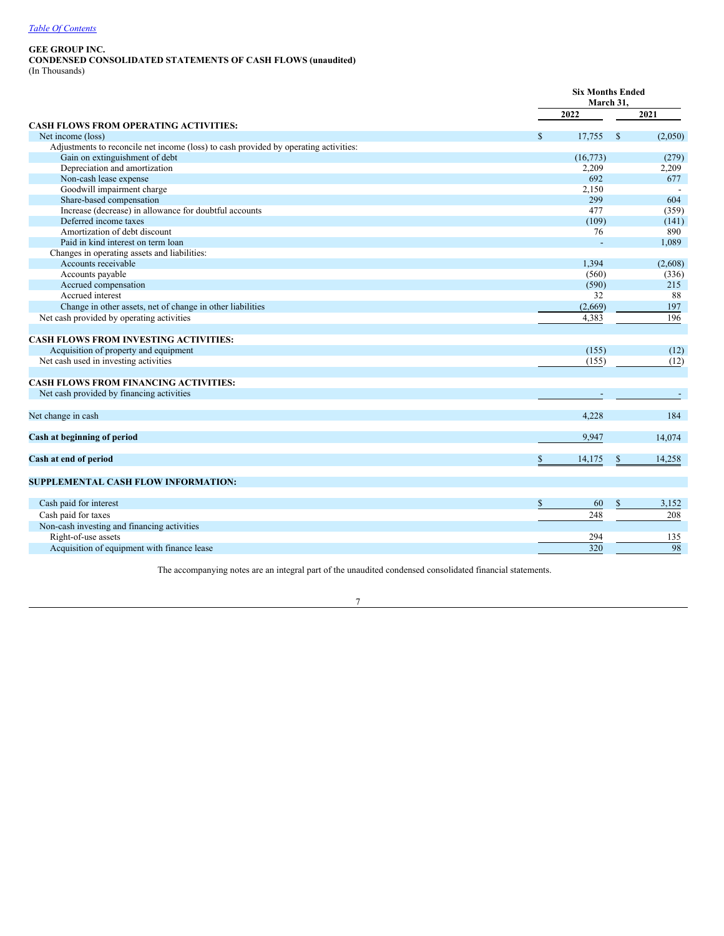# *Table Of [Contents](#page-1-0)*

# **GEE GROUP INC.**

<span id="page-6-0"></span>**CONDENSED CONSOLIDATED STATEMENTS OF CASH FLOWS (unaudited)**

(In Thousands)

|                                                                                                           |                     | <b>Six Months Ended</b><br>March 31, |
|-----------------------------------------------------------------------------------------------------------|---------------------|--------------------------------------|
|                                                                                                           | 2022                | 2021                                 |
| <b>CASH FLOWS FROM OPERATING ACTIVITIES:</b>                                                              | 17,755<br>\$        | $\mathcal{S}$                        |
| Net income (loss)<br>Adjustments to reconcile net income (loss) to cash provided by operating activities: |                     | (2,050)                              |
| Gain on extinguishment of debt                                                                            | (16,773)            | (279)                                |
| Depreciation and amortization                                                                             | 2,209               | 2,209                                |
| Non-cash lease expense                                                                                    | 692                 | 677                                  |
| Goodwill impairment charge                                                                                | 2.150               |                                      |
| Share-based compensation                                                                                  | 299                 | 604                                  |
| Increase (decrease) in allowance for doubtful accounts                                                    | 477                 | (359)                                |
| Deferred income taxes                                                                                     | (109)               | (141)                                |
| Amortization of debt discount                                                                             | 76                  | 890                                  |
| Paid in kind interest on term loan                                                                        |                     | 1,089                                |
| Changes in operating assets and liabilities:                                                              |                     |                                      |
| Accounts receivable                                                                                       | 1,394               | (2,608)                              |
| Accounts payable                                                                                          | (560)               | (336)                                |
| Accrued compensation                                                                                      | (590)               | 215                                  |
| Accrued interest                                                                                          | 32                  | 88                                   |
| Change in other assets, net of change in other liabilities                                                | (2,669)             | 197                                  |
| Net cash provided by operating activities                                                                 | 4,383               | 196                                  |
|                                                                                                           |                     |                                      |
| <b>CASH FLOWS FROM INVESTING ACTIVITIES:</b>                                                              |                     |                                      |
| Acquisition of property and equipment                                                                     | (155)               | (12)                                 |
| Net cash used in investing activities                                                                     | (155)               | (12)                                 |
|                                                                                                           |                     |                                      |
| <b>CASH FLOWS FROM FINANCING ACTIVITIES:</b>                                                              |                     |                                      |
| Net cash provided by financing activities                                                                 |                     |                                      |
|                                                                                                           |                     |                                      |
| Net change in cash                                                                                        | 4.228               | 184                                  |
|                                                                                                           |                     |                                      |
| Cash at beginning of period                                                                               | 9,947               | 14.074                               |
|                                                                                                           |                     |                                      |
| Cash at end of period                                                                                     | \$<br>14,175        | 14,258<br>\$                         |
|                                                                                                           |                     |                                      |
| <b>SUPPLEMENTAL CASH FLOW INFORMATION:</b>                                                                |                     |                                      |
|                                                                                                           |                     |                                      |
| Cash paid for interest                                                                                    | $\mathsf{\$}$<br>60 | \$<br>3,152                          |
| Cash paid for taxes                                                                                       | 248                 | 208                                  |
| Non-cash investing and financing activities                                                               |                     |                                      |
| Right-of-use assets                                                                                       | 294                 | 135                                  |
| Acquisition of equipment with finance lease                                                               | 320                 | 98                                   |
|                                                                                                           |                     |                                      |

The accompanying notes are an integral part of the unaudited condensed consolidated financial statements.

7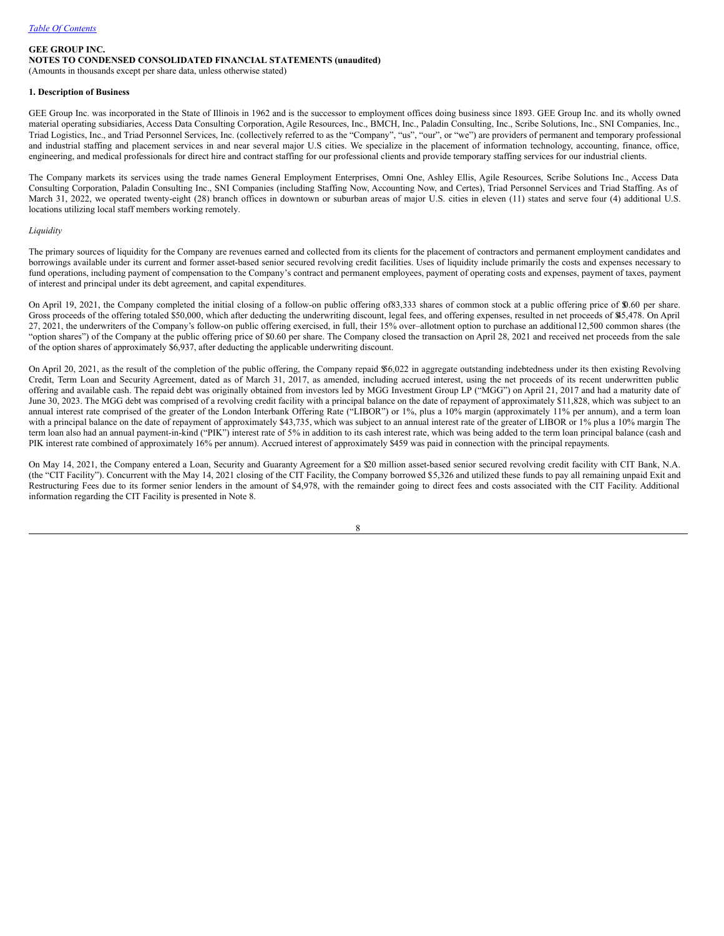#### <span id="page-7-0"></span>**GEE GROUP INC. NOTES TO CONDENSED CONSOLIDATED FINANCIAL STATEMENTS (unaudited)** (Amounts in thousands except per share data, unless otherwise stated)

# **1. Description of Business**

GEE Group Inc. was incorporated in the State of Illinois in 1962 and is the successor to employment offices doing business since 1893. GEE Group Inc. and its wholly owned material operating subsidiaries, Access Data Consulting Corporation, Agile Resources, Inc., BMCH, Inc., Paladin Consulting, Inc., Scribe Solutions, Inc., SNI Companies, Inc., Triad Logistics, Inc., and Triad Personnel Services, Inc. (collectively referred to as the "Company", "us", "our", or "we") are providers of permanent and temporary professional and industrial staffing and placement services in and near several major U.S cities. We specialize in the placement of information technology, accounting, finance, office, engineering, and medical professionals for direct hire and contract staffing for our professional clients and provide temporary staffing services for our industrial clients.

The Company markets its services using the trade names General Employment Enterprises, Omni One, Ashley Ellis, Agile Resources, Scribe Solutions Inc., Access Data Consulting Corporation, Paladin Consulting Inc., SNI Companies (including Staffing Now, Accounting Now, and Certes), Triad Personnel Services and Triad Staffing. As of March 31, 2022, we operated twenty-eight (28) branch offices in downtown or suburban areas of major U.S. cities in eleven (11) states and serve four (4) additional U.S. locations utilizing local staff members working remotely.

#### *Liquidity*

The primary sources of liquidity for the Company are revenues earned and collected from its clients for the placement of contractors and permanent employment candidates and borrowings available under its current and former asset-based senior secured revolving credit facilities. Uses of liquidity include primarily the costs and expenses necessary to fund operations, including payment of compensation to the Company's contract and permanent employees, payment of operating costs and expenses, payment of taxes, payment of interest and principal under its debt agreement, and capital expenditures.

On April 19, 2021, the Company completed the initial closing of a follow-on public offering of83,333 shares of common stock at a public offering price of \$0.60 per share. Gross proceeds of the offering totaled \$50,000, which after deducting the underwriting discount, legal fees, and offering expenses, resulted in net proceeds of \$45,478. On April 27, 2021, the underwriters of the Company's follow-on public offering exercised, in full, their 15% over–allotment option to purchase an additional12,500 common shares (the "option shares") of the Company at the public offering price of \$0.60 per share. The Company closed the transaction on April 28, 2021 and received net proceeds from the sale of the option shares of approximately \$6,937, after deducting the applicable underwriting discount.

On April 20, 2021, as the result of the completion of the public offering, the Company repaid \$56,022 in aggregate outstanding indebtedness under its then existing Revolving Credit, Term Loan and Security Agreement, dated as of March 31, 2017, as amended, including accrued interest, using the net proceeds of its recent underwritten public offering and available cash. The repaid debt was originally obtained from investors led by MGG Investment Group LP ("MGG") on April 21, 2017 and had a maturity date of June 30, 2023. The MGG debt was comprised of a revolving credit facility with a principal balance on the date of repayment of approximately \$11,828, which was subject to an annual interest rate comprised of the greater of the London Interbank Offering Rate ("LIBOR") or 1%, plus a 10% margin (approximately 11% per annum), and a term loan with a principal balance on the date of repayment of approximately \$43,735, which was subject to an annual interest rate of the greater of LIBOR or 1% plus a 10% margin. The term loan also had an annual payment-in-kind ("PIK") interest rate of 5% in addition to its cash interest rate, which was being added to the term loan principal balance (cash and PIK interest rate combined of approximately 16% per annum). Accrued interest of approximately \$459 was paid in connection with the principal repayments.

On May 14, 2021, the Company entered a Loan, Security and Guaranty Agreement for a \$20 million asset-based senior secured revolving credit facility with CIT Bank, N.A. (the "CIT Facility"). Concurrent with the May 14, 2021 closing of the CIT Facility, the Company borrowed \$5,326 and utilized these funds to pay all remaining unpaid Exit and Restructuring Fees due to its former senior lenders in the amount of \$4,978, with the remainder going to direct fees and costs associated with the CIT Facility. Additional information regarding the CIT Facility is presented in Note 8.

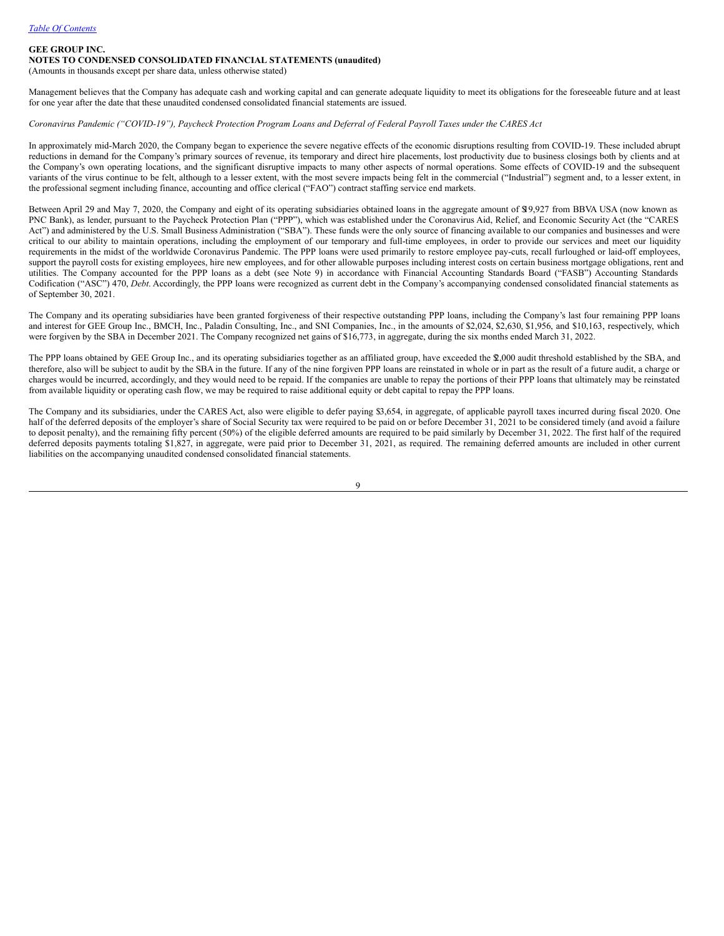(Amounts in thousands except per share data, unless otherwise stated)

Management believes that the Company has adequate cash and working capital and can generate adequate liquidity to meet its obligations for the foreseeable future and at least for one year after the date that these unaudited condensed consolidated financial statements are issued.

# Coronavirus Pandemic ("COVID-19"), Paycheck Protection Program Loans and Deferral of Federal Payroll Taxes under the CARES Act

In approximately mid-March 2020, the Company began to experience the severe negative effects of the economic disruptions resulting from COVID-19. These included abrupt reductions in demand for the Company's primary sources of revenue, its temporary and direct hire placements, lost productivity due to business closings both by clients and at the Company's own operating locations, and the significant disruptive impacts to many other aspects of normal operations. Some effects of COVID-19 and the subsequent variants of the virus continue to be felt, although to a lesser extent, with the most severe impacts being felt in the commercial ("Industrial") segment and, to a lesser extent, in the professional segment including finance, accounting and office clerical ("FAO") contract staffing service end markets.

Between April 29 and May 7, 2020, the Company and eight of its operating subsidiaries obtained loans in the aggregate amount of \$19,927 from BBVA USA (now known as PNC Bank), as lender, pursuant to the Paycheck Protection Plan ("PPP"), which was established under the Coronavirus Aid, Relief, and Economic Security Act (the "CARES Act") and administered by the U.S. Small Business Administration ("SBA"). These funds were the only source of financing available to our companies and businesses and were critical to our ability to maintain operations, including the employment of our temporary and full-time employees, in order to provide our services and meet our liquidity requirements in the midst of the worldwide Coronavirus Pandemic. The PPP loans were used primarily to restore employee pay-cuts, recall furloughed or laid-off employees, support the payroll costs for existing employees, hire new employees, and for other allowable purposes including interest costs on certain business mortgage obligations, rent and utilities. The Company accounted for the PPP loans as a debt (see Note 9) in accordance with Financial Accounting Standards Board ("FASB") Accounting Standards Codification ("ASC") 470, *Debt*. Accordingly, the PPP loans were recognized as current debt in the Company's accompanying condensed consolidated financial statements as of September 30, 2021.

The Company and its operating subsidiaries have been granted forgiveness of their respective outstanding PPP loans, including the Company's last four remaining PPP loans and interest for GEE Group Inc., BMCH, Inc., Paladin Consulting, Inc., and SNI Companies, Inc., in the amounts of \$2,024, \$2,630, \$1,956, and \$10,163, respectively, which were forgiven by the SBA in December 2021. The Company recognized net gains of \$16,773, in aggregate, during the six months ended March 31, 2022.

The PPP loans obtained by GEE Group Inc., and its operating subsidiaries together as an affiliated group, have exceeded the \$2,000 audit threshold established by the SBA, and therefore, also will be subject to audit by the SBA in the future. If any of the nine forgiven PPP loans are reinstated in whole or in part as the result of a future audit, a charge or charges would be incurred, accordingly, and they would need to be repaid. If the companies are unable to repay the portions of their PPP loans that ultimately may be reinstated from available liquidity or operating cash flow, we may be required to raise additional equity or debt capital to repay the PPP loans.

The Company and its subsidiaries, under the CARES Act, also were eligible to defer paying \$3,654, in aggregate, of applicable payroll taxes incurred during fiscal 2020. One half of the deferred deposits of the employer's share of Social Security tax were required to be paid on or before December 31, 2021 to be considered timely (and avoid a failure to deposit penalty), and the remaining fifty percent (50%) of the eligible deferred amounts are required to be paid similarly by December 31, 2022. The first half of the required deferred deposits payments totaling \$1,827, in aggregate, were paid prior to December 31, 2021, as required. The remaining deferred amounts are included in other current liabilities on the accompanying unaudited condensed consolidated financial statements.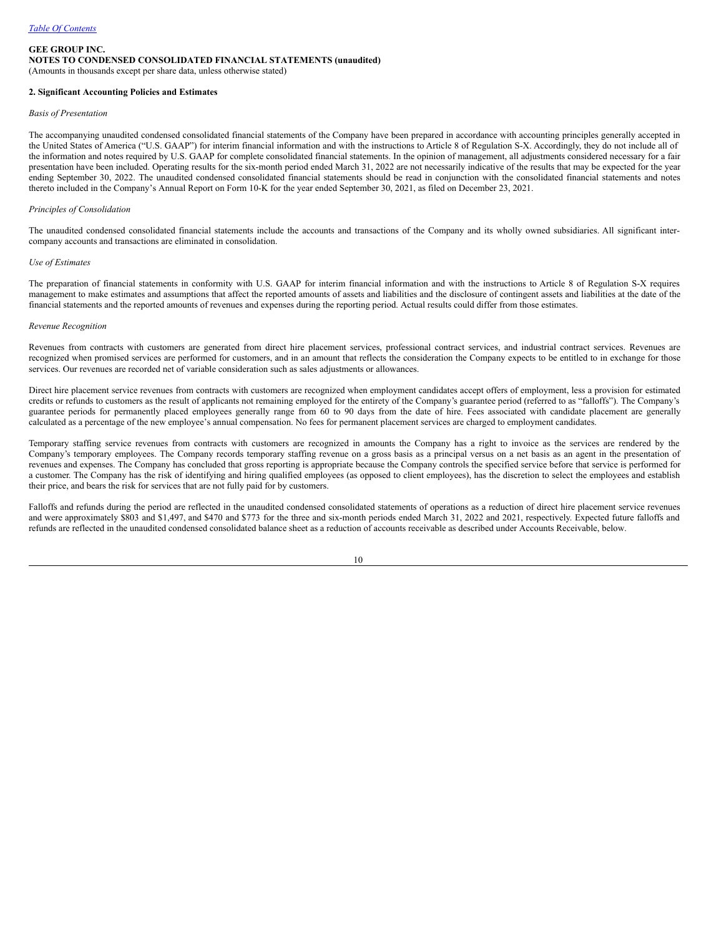#### **GEE GROUP INC. NOTES TO CONDENSED CONSOLIDATED FINANCIAL STATEMENTS (unaudited)** (Amounts in thousands except per share data, unless otherwise stated)

### **2. Significant Accounting Policies and Estimates**

#### *Basis of Presentation*

The accompanying unaudited condensed consolidated financial statements of the Company have been prepared in accordance with accounting principles generally accepted in the United States of America ("U.S. GAAP") for interim financial information and with the instructions to Article 8 of Regulation S-X. Accordingly, they do not include all of the information and notes required by U.S. GAAP for complete consolidated financial statements. In the opinion of management, all adjustments considered necessary for a fair presentation have been included. Operating results for the six-month period ended March 31, 2022 are not necessarily indicative of the results that may be expected for the year ending September 30, 2022. The unaudited condensed consolidated financial statements should be read in conjunction with the consolidated financial statements and notes thereto included in the Company's Annual Report on Form 10-K for the year ended September 30, 2021, as filed on December 23, 2021.

#### *Principles of Consolidation*

The unaudited condensed consolidated financial statements include the accounts and transactions of the Company and its wholly owned subsidiaries. All significant intercompany accounts and transactions are eliminated in consolidation.

#### *Use of Estimates*

The preparation of financial statements in conformity with U.S. GAAP for interim financial information and with the instructions to Article 8 of Regulation S-X requires management to make estimates and assumptions that affect the reported amounts of assets and liabilities and the disclosure of contingent assets and liabilities at the date of the financial statements and the reported amounts of revenues and expenses during the reporting period. Actual results could differ from those estimates.

#### *Revenue Recognition*

Revenues from contracts with customers are generated from direct hire placement services, professional contract services, and industrial contract services. Revenues are recognized when promised services are performed for customers, and in an amount that reflects the consideration the Company expects to be entitled to in exchange for those services. Our revenues are recorded net of variable consideration such as sales adjustments or allowances.

Direct hire placement service revenues from contracts with customers are recognized when employment candidates accept offers of employment, less a provision for estimated credits or refunds to customers as the result of applicants not remaining employed for the entirety of the Company's guarantee period (referred to as "falloffs"). The Company's guarantee periods for permanently placed employees generally range from 60 to 90 days from the date of hire. Fees associated with candidate placement are generally calculated as a percentage of the new employee's annual compensation. No fees for permanent placement services are charged to employment candidates.

Temporary staffing service revenues from contracts with customers are recognized in amounts the Company has a right to invoice as the services are rendered by the Company's temporary employees. The Company records temporary staffing revenue on a gross basis as a principal versus on a net basis as an agent in the presentation of revenues and expenses. The Company has concluded that gross reporting is appropriate because the Company controls the specified service before that service is performed for a customer. The Company has the risk of identifying and hiring qualified employees (as opposed to client employees), has the discretion to select the employees and establish their price, and bears the risk for services that are not fully paid for by customers.

Falloffs and refunds during the period are reflected in the unaudited condensed consolidated statements of operations as a reduction of direct hire placement service revenues and were approximately \$803 and \$1,497, and \$470 and \$773 for the three and six-month periods ended March 31, 2022 and 2021, respectively. Expected future falloffs and refunds are reflected in the unaudited condensed consolidated balance sheet as a reduction of accounts receivable as described under Accounts Receivable, below.

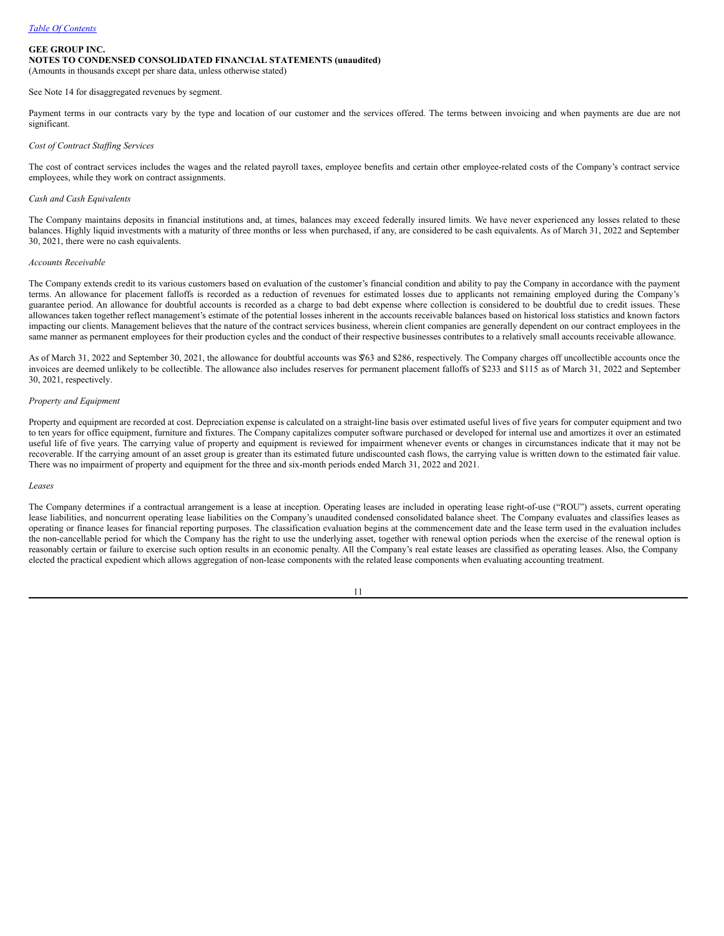#### **GEE GROUP INC. NOTES TO CONDENSED CONSOLIDATED FINANCIAL STATEMENTS (unaudited)** (Amounts in thousands except per share data, unless otherwise stated)

See Note 14 for disaggregated revenues by segment.

Payment terms in our contracts vary by the type and location of our customer and the services offered. The terms between invoicing and when payments are due are not significant.

#### *Cost of Contract Staf ing Services*

The cost of contract services includes the wages and the related payroll taxes, employee benefits and certain other employee-related costs of the Company's contract service employees, while they work on contract assignments.

#### *Cash and Cash Equivalents*

The Company maintains deposits in financial institutions and, at times, balances may exceed federally insured limits. We have never experienced any losses related to these balances. Highly liquid investments with a maturity of three months or less when purchased, if any, are considered to be cash equivalents. As of March 31, 2022 and September 30, 2021, there were no cash equivalents.

#### *Accounts Receivable*

The Company extends credit to its various customers based on evaluation of the customer's financial condition and ability to pay the Company in accordance with the payment terms. An allowance for placement falloffs is recorded as a reduction of revenues for estimated losses due to applicants not remaining employed during the Company's guarantee period. An allowance for doubtful accounts is recorded as a charge to bad debt expense where collection is considered to be doubtful due to credit issues. These allowances taken together reflect management's estimate of the potential losses inherent in the accounts receivable balances based on historical loss statistics and known factors impacting our clients. Management believes that the nature of the contract services business, wherein client companies are generally dependent on our contract employees in the same manner as permanent employees for their production cycles and the conduct of their respective businesses contributes to a relatively small accounts receivable allowance.

As of March 31, 2022 and September 30, 2021, the allowance for doubtful accounts was \$763 and \$286, respectively. The Company charges off uncollectible accounts once the invoices are deemed unlikely to be collectible. The allowance also includes reserves for permanent placement falloffs of \$233 and \$115 as of March 31, 2022 and September 30, 2021, respectively.

#### *Property and Equipment*

Property and equipment are recorded at cost. Depreciation expense is calculated on a straight-line basis over estimated useful lives of five years for computer equipment and two to ten years for office equipment, furniture and fixtures. The Company capitalizes computer software purchased or developed for internal use and amortizes it over an estimated useful life of five years. The carrying value of property and equipment is reviewed for impairment whenever events or changes in circumstances indicate that it may not be recoverable. If the carrying amount of an asset group is greater than its estimated future undiscounted cash flows, the carrying value is written down to the estimated fair value. There was no impairment of property and equipment for the three and six-month periods ended March 31, 2022 and 2021.

#### *Leases*

The Company determines if a contractual arrangement is a lease at inception. Operating leases are included in operating lease right-of-use ("ROU") assets, current operating lease liabilities, and noncurrent operating lease liabilities on the Company's unaudited condensed consolidated balance sheet. The Company evaluates and classifies leases as operating or finance leases for financial reporting purposes. The classification evaluation begins at the commencement date and the lease term used in the evaluation includes the non-cancellable period for which the Company has the right to use the underlying asset, together with renewal option periods when the exercise of the renewal option is reasonably certain or failure to exercise such option results in an economic penalty. All the Company's real estate leases are classified as operating leases. Also, the Company elected the practical expedient which allows aggregation of non-lease components with the related lease components when evaluating accounting treatment.

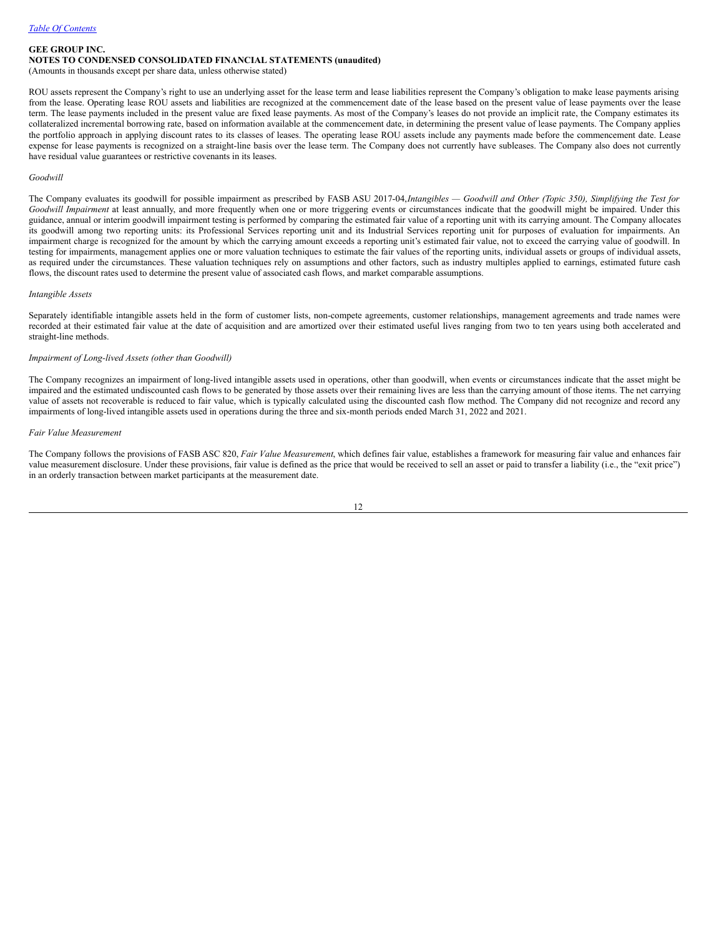# **NOTES TO CONDENSED CONSOLIDATED FINANCIAL STATEMENTS (unaudited)**

(Amounts in thousands except per share data, unless otherwise stated)

ROU assets represent the Company's right to use an underlying asset for the lease term and lease liabilities represent the Company's obligation to make lease payments arising from the lease. Operating lease ROU assets and liabilities are recognized at the commencement date of the lease based on the present value of lease payments over the lease term. The lease payments included in the present value are fixed lease payments. As most of the Company's leases do not provide an implicit rate, the Company estimates its collateralized incremental borrowing rate, based on information available at the commencement date, in determining the present value of lease payments. The Company applies the portfolio approach in applying discount rates to its classes of leases. The operating lease ROU assets include any payments made before the commencement date. Lease expense for lease payments is recognized on a straight-line basis over the lease term. The Company does not currently have subleases. The Company also does not currently have residual value guarantees or restrictive covenants in its leases.

#### *Goodwill*

The Company evaluates its goodwill for possible impairment as prescribed by FASB ASU 2017-04, Intangibles - Goodwill and Other (Topic 350), Simplifying the Test for Goodwill Impairment at least annually, and more frequently when one or more triggering events or circumstances indicate that the goodwill might be impaired. Under this guidance, annual or interim goodwill impairment testing is performed by comparing the estimated fair value of a reporting unit with its carrying amount. The Company allocates its goodwill among two reporting units: its Professional Services reporting unit and its Industrial Services reporting unit for purposes of evaluation for impairments. An impairment charge is recognized for the amount by which the carrying amount exceeds a reporting unit's estimated fair value, not to exceed the carrying value of goodwill. In testing for impairments, management applies one or more valuation techniques to estimate the fair values of the reporting units, individual assets or groups of individual assets, as required under the circumstances. These valuation techniques rely on assumptions and other factors, such as industry multiples applied to earnings, estimated future cash flows, the discount rates used to determine the present value of associated cash flows, and market comparable assumptions.

#### *Intangible Assets*

Separately identifiable intangible assets held in the form of customer lists, non-compete agreements, customer relationships, management agreements and trade names were recorded at their estimated fair value at the date of acquisition and are amortized over their estimated useful lives ranging from two to ten years using both accelerated and straight-line methods.

# *Impairment of Long-lived Assets (other than Goodwill)*

The Company recognizes an impairment of long-lived intangible assets used in operations, other than goodwill, when events or circumstances indicate that the asset might be impaired and the estimated undiscounted cash flows to be generated by those assets over their remaining lives are less than the carrying amount of those items. The net carrying value of assets not recoverable is reduced to fair value, which is typically calculated using the discounted cash flow method. The Company did not recognize and record any impairments of long-lived intangible assets used in operations during the three and six-month periods ended March 31, 2022 and 2021.

#### *Fair Value Measurement*

The Company follows the provisions of FASB ASC 820, *Fair Value Measurement*, which defines fair value, establishes a framework for measuring fair value and enhances fair value measurement disclosure. Under these provisions, fair value is defined as the price that would be received to sell an asset or paid to transfer a liability (i.e., the "exit price") in an orderly transaction between market participants at the measurement date.

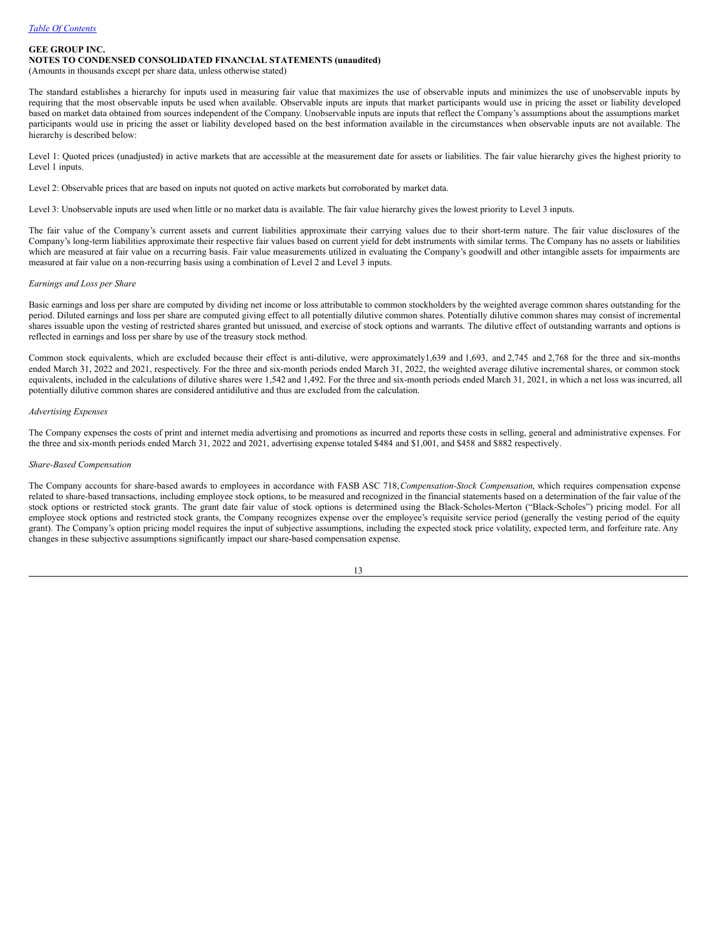# **NOTES TO CONDENSED CONSOLIDATED FINANCIAL STATEMENTS (unaudited)**

(Amounts in thousands except per share data, unless otherwise stated)

The standard establishes a hierarchy for inputs used in measuring fair value that maximizes the use of observable inputs and minimizes the use of unobservable inputs by requiring that the most observable inputs be used when available. Observable inputs are inputs that market participants would use in pricing the asset or liability developed based on market data obtained from sources independent of the Company. Unobservable inputs are inputs that reflect the Company's assumptions about the assumptions market participants would use in pricing the asset or liability developed based on the best information available in the circumstances when observable inputs are not available. The hierarchy is described below:

Level 1: Quoted prices (unadjusted) in active markets that are accessible at the measurement date for assets or liabilities. The fair value hierarchy gives the highest priority to Level 1 inputs.

Level 2: Observable prices that are based on inputs not quoted on active markets but corroborated by market data.

Level 3: Unobservable inputs are used when little or no market data is available. The fair value hierarchy gives the lowest priority to Level 3 inputs.

The fair value of the Company's current assets and current liabilities approximate their carrying values due to their short-term nature. The fair value disclosures of the Company's long-term liabilities approximate their respective fair values based on current yield for debt instruments with similar terms. The Company has no assets or liabilities which are measured at fair value on a recurring basis. Fair value measurements utilized in evaluating the Company's goodwill and other intangible assets for impairments are measured at fair value on a non-recurring basis using a combination of Level 2 and Level 3 inputs.

# *Earnings and Loss per Share*

Basic earnings and loss per share are computed by dividing net income or loss attributable to common stockholders by the weighted average common shares outstanding for the period. Diluted earnings and loss per share are computed giving effect to all potentially dilutive common shares. Potentially dilutive common shares may consist of incremental shares issuable upon the vesting of restricted shares granted but unissued, and exercise of stock options and warrants. The dilutive effect of outstanding warrants and options is reflected in earnings and loss per share by use of the treasury stock method.

Common stock equivalents, which are excluded because their effect is anti-dilutive, were approximately1,639 and 1,693, and 2,745 and 2,768 for the three and six-months ended March 31, 2022 and 2021, respectively. For the three and six-month periods ended March 31, 2022, the weighted average dilutive incremental shares, or common stock equivalents, included in the calculations of dilutive shares were 1,542 and 1,492. For the three and six-month periods ended March 31, 2021, in which a net loss was incurred, all potentially dilutive common shares are considered antidilutive and thus are excluded from the calculation.

### *Advertising Expenses*

The Company expenses the costs of print and internet media advertising and promotions as incurred and reports these costs in selling, general and administrative expenses. For the three and six-month periods ended March 31, 2022 and 2021, advertising expense totaled \$484 and \$1,001, and \$458 and \$882 respectively.

#### *Share-Based Compensation*

The Company accounts for share-based awards to employees in accordance with FASB ASC 718,*Compensation-Stock Compensation*, which requires compensation expense related to share-based transactions, including employee stock options, to be measured and recognized in the financial statements based on a determination of the fair value of the stock options or restricted stock grants. The grant date fair value of stock options is determined using the Black-Scholes-Merton ("Black-Scholes") pricing model. For all employee stock options and restricted stock grants, the Company recognizes expense over the employee's requisite service period (generally the vesting period of the equity grant). The Company's option pricing model requires the input of subjective assumptions, including the expected stock price volatility, expected term, and forfeiture rate. Any changes in these subjective assumptions significantly impact our share-based compensation expense.

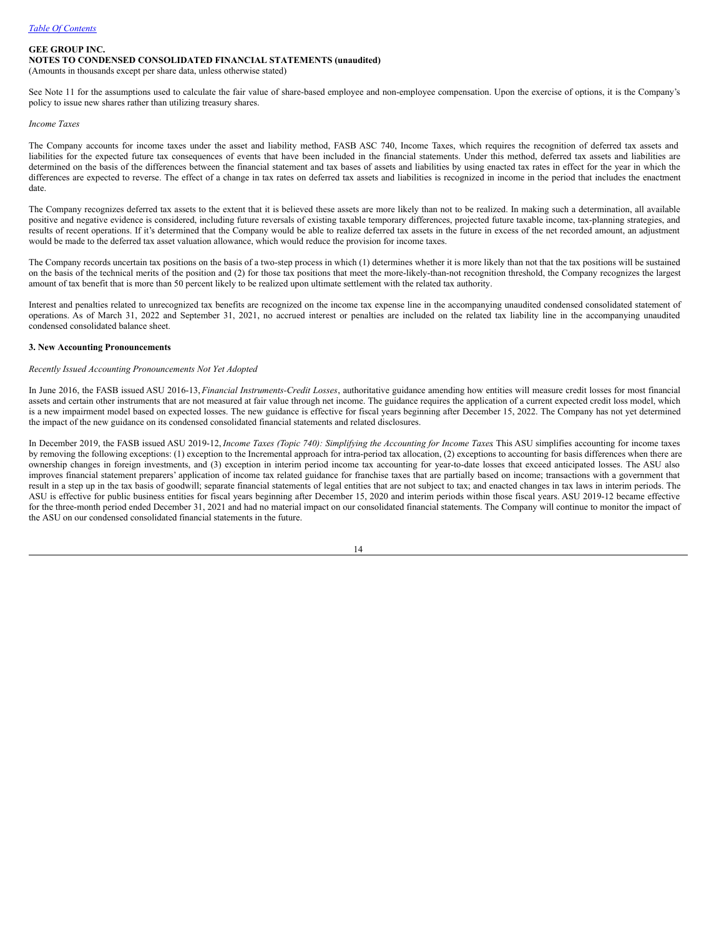# **NOTES TO CONDENSED CONSOLIDATED FINANCIAL STATEMENTS (unaudited)**

(Amounts in thousands except per share data, unless otherwise stated)

See Note 11 for the assumptions used to calculate the fair value of share-based employee and non-employee compensation. Upon the exercise of options, it is the Company's policy to issue new shares rather than utilizing treasury shares.

#### *Income Taxes*

The Company accounts for income taxes under the asset and liability method, FASB ASC 740, Income Taxes, which requires the recognition of deferred tax assets and liabilities for the expected future tax consequences of events that have been included in the financial statements. Under this method, deferred tax assets and liabilities are determined on the basis of the differences between the financial statement and tax bases of assets and liabilities by using enacted tax rates in effect for the year in which the differences are expected to reverse. The effect of a change in tax rates on deferred tax assets and liabilities is recognized in income in the period that includes the enactment date.

The Company recognizes deferred tax assets to the extent that it is believed these assets are more likely than not to be realized. In making such a determination, all available positive and negative evidence is considered, including future reversals of existing taxable temporary differences, projected future taxable income, tax-planning strategies, and results of recent operations. If it's determined that the Company would be able to realize deferred tax assets in the future in excess of the net recorded amount, an adjustment would be made to the deferred tax asset valuation allowance, which would reduce the provision for income taxes.

The Company records uncertain tax positions on the basis of a two-step process in which (1) determines whether it is more likely than not that the tax positions will be sustained on the basis of the technical merits of the position and (2) for those tax positions that meet the more-likely-than-not recognition threshold, the Company recognizes the largest amount of tax benefit that is more than 50 percent likely to be realized upon ultimate settlement with the related tax authority.

Interest and penalties related to unrecognized tax benefits are recognized on the income tax expense line in the accompanying unaudited condensed consolidated statement of operations. As of March 31, 2022 and September 31, 2021, no accrued interest or penalties are included on the related tax liability line in the accompanying unaudited condensed consolidated balance sheet.

#### **3. New Accounting Pronouncements**

# *Recently Issued Accounting Pronouncements Not Yet Adopted*

In June 2016, the FASB issued ASU 2016-13, *Financial Instruments-Credit Losses*, authoritative guidance amending how entities will measure credit losses for most financial assets and certain other instruments that are not measured at fair value through net income. The guidance requires the application of a current expected credit loss model, which is a new impairment model based on expected losses. The new guidance is effective for fiscal years beginning after December 15, 2022. The Company has not yet determined the impact of the new guidance on its condensed consolidated financial statements and related disclosures.

In December 2019, the FASB issued ASU 2019-12, Income Taxes (Topic 740): Simplifying the Accounting for Income Taxes This ASU simplifies accounting for income taxes by removing the following exceptions: (1) exception to the Incremental approach for intra-period tax allocation, (2) exceptions to accounting for basis differences when there are ownership changes in foreign investments, and (3) exception in interim period income tax accounting for year-to-date losses that exceed anticipated losses. The ASU also improves financial statement preparers' application of income tax related guidance for franchise taxes that are partially based on income; transactions with a government that result in a step up in the tax basis of goodwill; separate financial statements of legal entities that are not subject to tax; and enacted changes in tax laws in interim periods. The ASU is effective for public business entities for fiscal years beginning after December 15, 2020 and interim periods within those fiscal years. ASU 2019-12 became effective for the three-month period ended December 31, 2021 and had no material impact on our consolidated financial statements. The Company will continue to monitor the impact of the ASU on our condensed consolidated financial statements in the future.

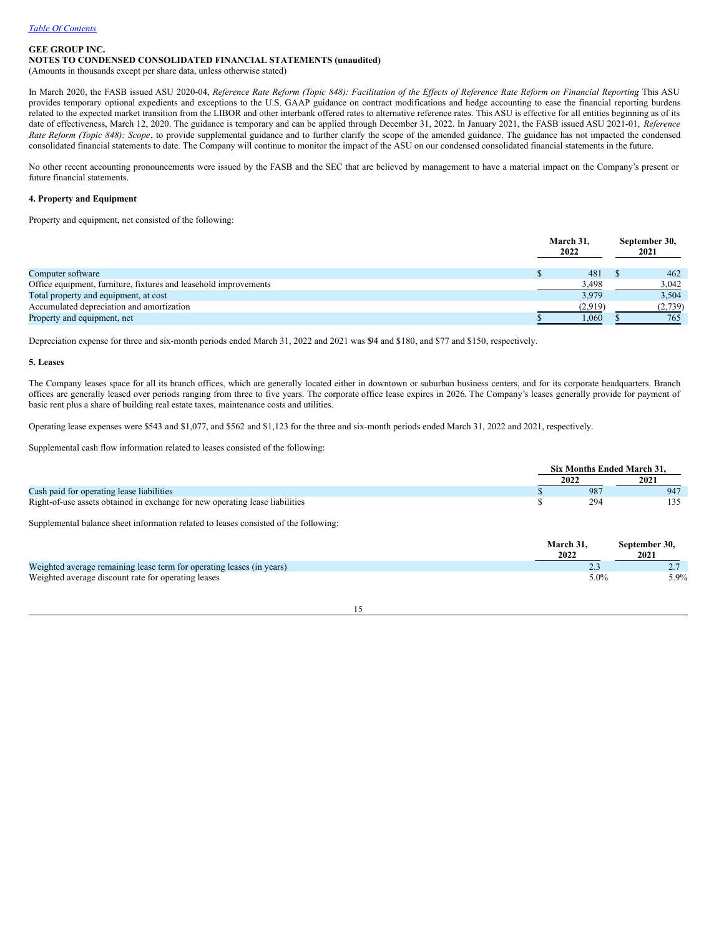(Amounts in thousands except per share data, unless otherwise stated)

In March 2020, the FASB issued ASU 2020-04, Reference Rate Reform (Topic 848): Facilitation of the Effects of Reference Rate Reform on Financial Reporting This ASU provides temporary optional expedients and exceptions to the U.S. GAAP guidance on contract modifications and hedge accounting to ease the financial reporting burdens related to the expected market transition from the LIBOR and other interbank offered rates to alternative reference rates. This ASU is effective for all entities beginning as of its date of effectiveness, March 12, 2020. The guidance is temporary and can be applied through December 31, 2022. In January 2021, the FASB issued ASU 2021-01, *Reference Rate Reform (Topic 848): Scope*, to provide supplemental guidance and to further clarify the scope of the amended guidance. The guidance has not impacted the condensed consolidated financial statements to date. The Company will continue to monitor the impact of the ASU on our condensed consolidated financial statements in the future.

No other recent accounting pronouncements were issued by the FASB and the SEC that are believed by management to have a material impact on the Company's present or future financial statements.

#### **4. Property and Equipment**

Property and equipment, net consisted of the following:

|                                                                  | March 31.<br>2022 | September 30,<br>2021 |
|------------------------------------------------------------------|-------------------|-----------------------|
| Computer software                                                | 481               | 462                   |
| Office equipment, furniture, fixtures and leasehold improvements | 3,498             | 3,042                 |
| Total property and equipment, at cost                            | 3,979             | 3,504                 |
| Accumulated depreciation and amortization                        | (2,919)           | (2,739)               |
| Property and equipment, net                                      | .060              | 765                   |

Depreciation expense for three and six-month periods ended March 31, 2022 and 2021 was \$94 and \$180, and \$77 and \$150, respectively.

#### **5. Leases**

The Company leases space for all its branch offices, which are generally located either in downtown or suburban business centers, and for its corporate headquarters. Branch offices are generally leased over periods ranging from three to five years. The corporate office lease expires in 2026. The Company's leases generally provide for payment of basic rent plus a share of building real estate taxes, maintenance costs and utilities.

Operating lease expenses were \$543 and \$1,077, and \$562 and \$1,123 for the three and six-month periods ended March 31, 2022 and 2021, respectively.

Supplemental cash flow information related to leases consisted of the following:

|                                                                              | <b>Six Months Ended March 31.</b> |     |
|------------------------------------------------------------------------------|-----------------------------------|-----|
|                                                                              | 2022                              | 202 |
| Cash paid for operating lease liabilities                                    | $98^{\circ}$                      | 947 |
| Right-of-use assets obtained in exchange for new operating lease liabilities | 294                               |     |

Supplemental balance sheet information related to leases consisted of the following:

|                                                                       | March 31.<br>2022 | September 30,<br>2021 |
|-----------------------------------------------------------------------|-------------------|-----------------------|
| Weighted average remaining lease term for operating leases (in years) | <b>A </b>         | <u>.</u>              |
| Weighted average discount rate for operating leases                   | $5.0\%$           | 5.9%                  |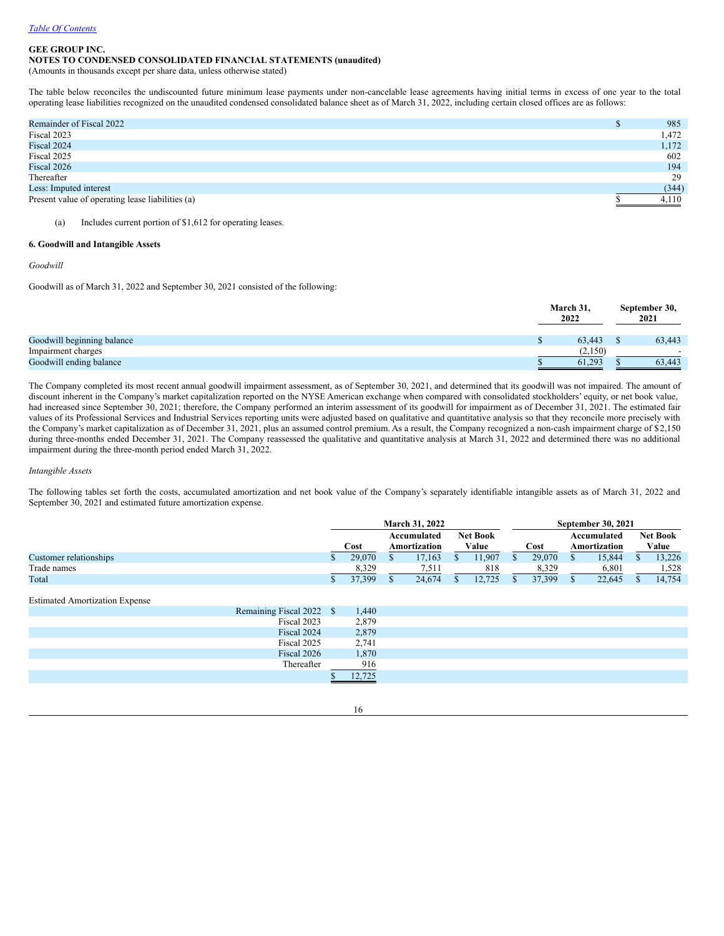# **NOTES TO CONDENSED CONSOLIDATED FINANCIAL STATEMENTS (unaudited)**

(Amounts in thousands except per share data, unless otherwise stated)

The table below reconciles the undiscounted future minimum lease payments under non-cancelable lease agreements having initial terms in excess of one year to the total operating lease liabilities recognized on the unaudited condensed consolidated balance sheet as of March 31, 2022, including certain closed offices are as follows:

| Remainder of Fiscal 2022                         | 985   |
|--------------------------------------------------|-------|
| Fiscal 2023                                      | 1,472 |
| Fiscal 2024                                      | 1,172 |
| Fiscal 2025                                      | 602   |
| Fiscal 2026                                      | 194   |
| Thereafter                                       | 29    |
| Less: Imputed interest                           | (344) |
| Present value of operating lease liabilities (a) | 4.110 |

#### (a) Includes current portion of \$1,612 for operating leases.

#### **6. Goodwill and Intangible Assets**

*Goodwill*

Goodwill as of March 31, 2022 and September 30, 2021 consisted of the following:

|                            | March 31,<br>2022 | September 30,<br>2021 |
|----------------------------|-------------------|-----------------------|
| Goodwill beginning balance | 63.443            | 63,443                |
| Impairment charges         | (2,150)           |                       |
| Goodwill ending balance    | 61.293            | 63.443                |

The Company completed its most recent annual goodwill impairment assessment, as of September 30, 2021, and determined that its goodwill was not impaired. The amount of discount inherent in the Company's market capitalization reported on the NYSE American exchange when compared with consolidated stockholders' equity, or net book value, had increased since September 30, 2021; therefore, the Company performed an interim assessment of its goodwill for impairment as of December 31, 2021. The estimated fair values of its Professional Services and Industrial Services reporting units were adjusted based on qualitative and quantitative analysis so that they reconcile more precisely with the Company's market capitalization as of December 31, 2021, plus an assumed control premium. As a result, the Company recognized a non-cash impairment charge of \$2,150 during three-months ended December 31, 2021. The Company reassessed the qualitative and quantitative analysis at March 31, 2022 and determined there was no additional impairment during the three-month period ended March 31, 2022.

#### *Intangible Assets*

The following tables set forth the costs, accumulated amortization and net book value of the Company's separately identifiable intangible assets as of March 31, 2022 and September 30, 2021 and estimated future amortization expense.

|                        | <b>March 31, 2022</b> |        |  |              |             |        |                 | <b>September 30, 2021</b> |             |                 |
|------------------------|-----------------------|--------|--|--------------|-------------|--------|-----------------|---------------------------|-------------|-----------------|
|                        |                       |        |  |              | Accumulated |        | <b>Net Book</b> |                           | Accumulated | <b>Net Book</b> |
|                        |                       | Cost   |  | Amortization |             | Value  | Cost            | Amortization              | Value       |                 |
| Customer relationships |                       | 29,070 |  | 17,163       |             | 1.907  | 29,070          | 15.844                    | 13.226      |                 |
| Trade names            |                       | 8,329  |  | 7,511        |             | 818    | 8.329           | 6,801                     | .528        |                 |
| Total                  |                       | 37.399 |  | 24,674       |             | 12,725 | 37.399          | 22.645                    | 14,754      |                 |

Estimated Amortization Expense

| Remaining Fiscal 2022 \$ | 1,440  |  |
|--------------------------|--------|--|
| Fiscal 2023              | 2,879  |  |
| Fiscal 2024              | 2,879  |  |
| Fiscal 2025              | 2,741  |  |
| Fiscal 2026              | 1,870  |  |
| Thereafter               | 916    |  |
|                          | 12,725 |  |
|                          |        |  |

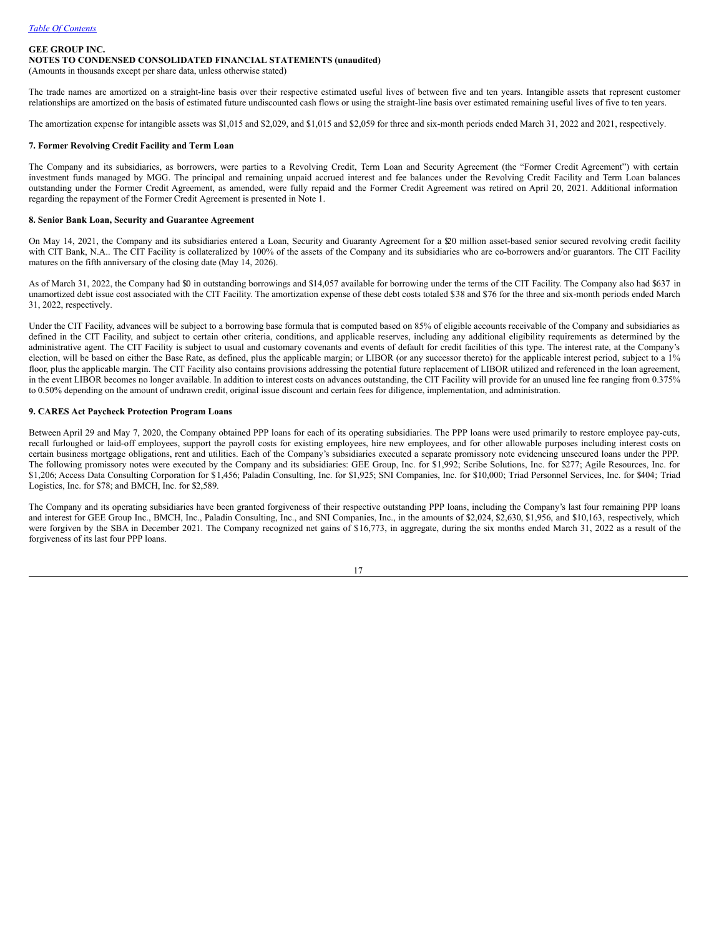(Amounts in thousands except per share data, unless otherwise stated)

The trade names are amortized on a straight-line basis over their respective estimated useful lives of between five and ten years. Intangible assets that represent customer relationships are amortized on the basis of estimated future undiscounted cash flows or using the straight-line basis over estimated remaining useful lives of five to ten years.

The amortization expense for intangible assets was \$1,015 and \$2,029, and \$1,015 and \$2,059 for three and six-month periods ended March 31, 2022 and 2021, respectively.

### **7. Former Revolving Credit Facility and Term Loan**

The Company and its subsidiaries, as borrowers, were parties to a Revolving Credit, Term Loan and Security Agreement (the "Former Credit Agreement") with certain investment funds managed by MGG. The principal and remaining unpaid accrued interest and fee balances under the Revolving Credit Facility and Term Loan balances outstanding under the Former Credit Agreement, as amended, were fully repaid and the Former Credit Agreement was retired on April 20, 2021. Additional information regarding the repayment of the Former Credit Agreement is presented in Note 1.

# **8. Senior Bank Loan, Security and Guarantee Agreement**

On May 14, 2021, the Company and its subsidiaries entered a Loan, Security and Guaranty Agreement for a \$20 million asset-based senior secured revolving credit facility with CIT Bank, N.A.. The CIT Facility is collateralized by 100% of the assets of the Company and its subsidiaries who are co-borrowers and/or guarantors. The CIT Facility matures on the fifth anniversary of the closing date (May 14, 2026).

As of March 31, 2022, the Company had \$0 in outstanding borrowings and \$14,057 available for borrowing under the terms of the CIT Facility. The Company also had \$637 in unamortized debt issue cost associated with the CIT Facility. The amortization expense of these debt costs totaled \$38 and \$76 for the three and six-month periods ended March 31, 2022, respectively.

Under the CIT Facility, advances will be subject to a borrowing base formula that is computed based on 85% of eligible accounts receivable of the Company and subsidiaries as defined in the CIT Facility, and subject to certain other criteria, conditions, and applicable reserves, including any additional eligibility requirements as determined by the administrative agent. The CIT Facility is subject to usual and customary covenants and events of default for credit facilities of this type. The interest rate, at the Company's election, will be based on either the Base Rate, as defined, plus the applicable margin; or LIBOR (or any successor thereto) for the applicable interest period, subject to a 1% floor, plus the applicable margin. The CIT Facility also contains provisions addressing the potential future replacement of LIBOR utilized and referenced in the loan agreement, in the event LIBOR becomes no longer available. In addition to interest costs on advances outstanding, the CIT Facility will provide for an unused line fee ranging from 0.375% to 0.50% depending on the amount of undrawn credit, original issue discount and certain fees for diligence, implementation, and administration.

### **9. CARES Act Paycheck Protection Program Loans**

Between April 29 and May 7, 2020, the Company obtained PPP loans for each of its operating subsidiaries. The PPP loans were used primarily to restore employee pay-cuts, recall furloughed or laid-off employees, support the payroll costs for existing employees, hire new employees, and for other allowable purposes including interest costs on certain business mortgage obligations, rent and utilities. Each of the Company's subsidiaries executed a separate promissory note evidencing unsecured loans under the PPP. The following promissory notes were executed by the Company and its subsidiaries: GEE Group, Inc. for \$1,992; Scribe Solutions, Inc. for \$277; Agile Resources, Inc. for \$1,206; Access Data Consulting Corporation for \$1,456; Paladin Consulting, Inc. for \$1,925; SNI Companies, Inc. for \$10,000; Triad Personnel Services, Inc. for \$404; Triad Logistics, Inc. for \$78; and BMCH, Inc. for \$2,589.

The Company and its operating subsidiaries have been granted forgiveness of their respective outstanding PPP loans, including the Company's last four remaining PPP loans and interest for GEE Group Inc., BMCH, Inc., Paladin Consulting, Inc., and SNI Companies, Inc., in the amounts of \$2,024, \$2,630, \$1,956, and \$10,163, respectively, which were forgiven by the SBA in December 2021. The Company recognized net gains of \$16,773, in aggregate, during the six months ended March 31, 2022 as a result of the forgiveness of its last four PPP loans.

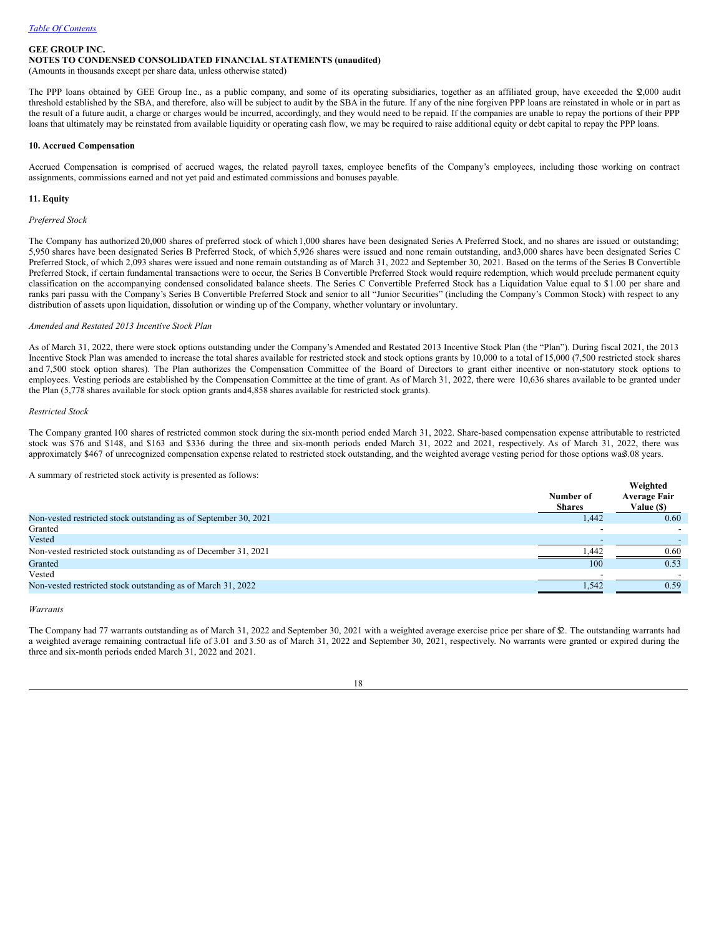(Amounts in thousands except per share data, unless otherwise stated)

The PPP loans obtained by GEE Group Inc., as a public company, and some of its operating subsidiaries, together as an affiliated group, have exceeded the \$2,000 audit threshold established by the SBA, and therefore, also will be subject to audit by the SBA in the future. If any of the nine forgiven PPP loans are reinstated in whole or in part as the result of a future audit, a charge or charges would be incurred, accordingly, and they would need to be repaid. If the companies are unable to repay the portions of their PPP loans that ultimately may be reinstated from available liquidity or operating cash flow, we may be required to raise additional equity or debt capital to repay the PPP loans.

#### **10. Accrued Compensation**

Accrued Compensation is comprised of accrued wages, the related payroll taxes, employee benefits of the Company's employees, including those working on contract assignments, commissions earned and not yet paid and estimated commissions and bonuses payable.

# **11. Equity**

# *Preferred Stock*

The Company has authorized 20,000 shares of preferred stock of which 1,000 shares have been designated Series A Preferred Stock, and no shares are issued or outstanding; 5,950 shares have been designated Series B Preferred Stock, of which 5,926 shares were issued and none remain outstanding, and3,000 shares have been designated Series C Preferred Stock, of which 2,093 shares were issued and none remain outstanding as of March 31, 2022 and September 30, 2021. Based on the terms of the Series B Convertible Preferred Stock, if certain fundamental transactions were to occur, the Series B Convertible Preferred Stock would require redemption, which would preclude permanent equity classification on the accompanying condensed consolidated balance sheets. The Series C Convertible Preferred Stock has a Liquidation Value equal to \$1.00 per share and ranks pari passu with the Company's Series B Convertible Preferred Stock and senior to all "Junior Securities" (including the Company's Common Stock) with respect to any distribution of assets upon liquidation, dissolution or winding up of the Company, whether voluntary or involuntary.

#### *Amended and Restated 2013 Incentive Stock Plan*

As of March 31, 2022, there were stock options outstanding under the Company's Amended and Restated 2013 Incentive Stock Plan (the "Plan"). During fiscal 2021, the 2013 Incentive Stock Plan was amended to increase the total shares available for restricted stock and stock options grants by 10,000 to a total of 15,000 (7,500 restricted stock shares and 7,500 stock option shares). The Plan authorizes the Compensation Committee of the Board of Directors to grant either incentive or non-statutory stock options to employees. Vesting periods are established by the Compensation Committee at the time of grant. As of March 31, 2022, there were 10,636 shares available to be granted under the Plan (5,778 shares available for stock option grants and4,858 shares available for restricted stock grants).

#### *Restricted Stock*

The Company granted 100 shares of restricted common stock during the six-month period ended March 31, 2022. Share-based compensation expense attributable to restricted stock was \$76 and \$148, and \$163 and \$336 during the three and six-month periods ended March 31, 2022 and 2021, respectively. As of March 31, 2022, there was approximately \$467 of unrecognized compensation expense related to restricted stock outstanding, and the weighted average vesting period for those options was3.08 years.

A summary of restricted stock activity is presented as follows:

|                                                                  | Number of<br><b>Shares</b> | Weighted<br><b>Average Fair</b><br>Value (\$) |
|------------------------------------------------------------------|----------------------------|-----------------------------------------------|
| Non-vested restricted stock outstanding as of September 30, 2021 | 1,442                      | 0.60                                          |
| Granted                                                          |                            |                                               |
| Vested                                                           |                            |                                               |
| Non-vested restricted stock outstanding as of December 31, 2021  | 1.442                      | 0.60                                          |
| Granted                                                          | 100                        | 0.53                                          |
| Vested                                                           |                            |                                               |
| Non-vested restricted stock outstanding as of March 31, 2022     | 1,542                      | 0.59                                          |

#### *Warrants*

The Company had 77 warrants outstanding as of March 31, 2022 and September 30, 2021 with a weighted average exercise price per share of \$2. The outstanding warrants had a weighted average remaining contractual life of 3.01 and 3.50 as of March 31, 2022 and September 30, 2021, respectively. No warrants were granted or expired during the three and six-month periods ended March 31, 2022 and 2021.

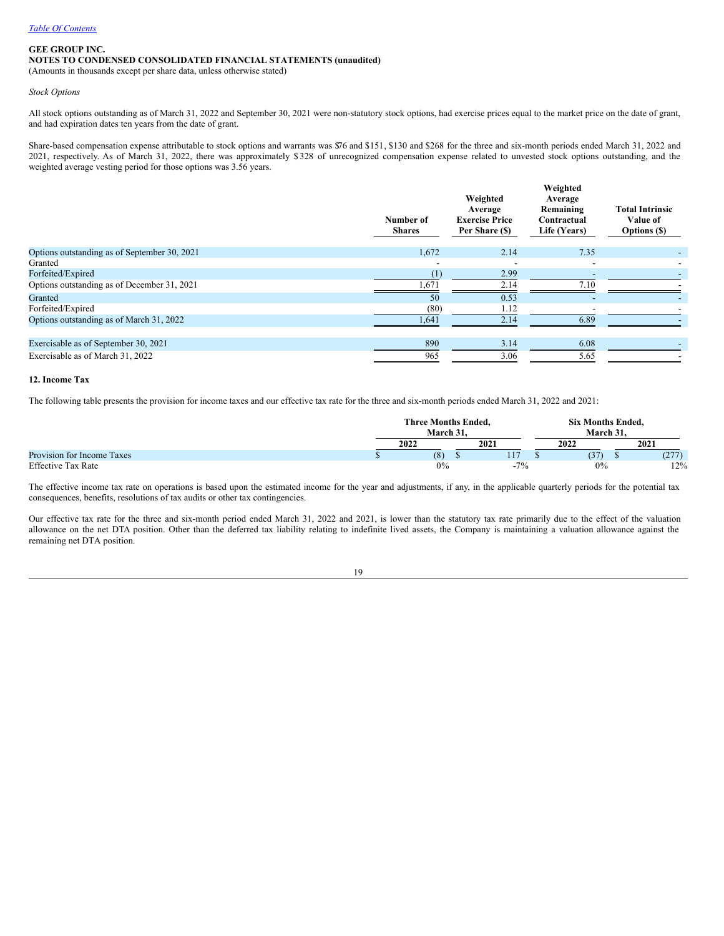(Amounts in thousands except per share data, unless otherwise stated)

#### *Stock Options*

All stock options outstanding as of March 31, 2022 and September 30, 2021 were non-statutory stock options, had exercise prices equal to the market price on the date of grant, and had expiration dates ten years from the date of grant.

Share-based compensation expense attributable to stock options and warrants was \$76 and \$151, \$130 and \$268 for the three and six-month periods ended March 31, 2022 and 2021, respectively. As of March 31, 2022, there was approximately \$ 328 of unrecognized compensation expense related to unvested stock options outstanding, and the weighted average vesting period for those options was 3.56 years.

|                                              | Number of<br><b>Shares</b> | Weighted<br>Average<br><b>Exercise Price</b><br>Per Share (\$) | Weighted<br>Average<br>Remaining<br>Contractual<br>Life (Years) | <b>Total Intrinsic</b><br>Value of<br><b>Options</b> (\$) |
|----------------------------------------------|----------------------------|----------------------------------------------------------------|-----------------------------------------------------------------|-----------------------------------------------------------|
| Options outstanding as of September 30, 2021 | 1,672                      | 2.14                                                           | 7.35                                                            |                                                           |
| Granted                                      |                            |                                                                | $\overline{\phantom{a}}$                                        |                                                           |
| Forfeited/Expired                            | (1)                        | 2.99                                                           |                                                                 |                                                           |
| Options outstanding as of December 31, 2021  | 1,671                      | 2.14                                                           | 7.10                                                            |                                                           |
| Granted                                      | 50                         | 0.53                                                           |                                                                 |                                                           |
| Forfeited/Expired                            | (80)                       | 1.12                                                           |                                                                 |                                                           |
| Options outstanding as of March 31, 2022     | 1,641                      | 2.14                                                           | 6.89                                                            |                                                           |
| Exercisable as of September 30, 2021         | 890                        | 3.14                                                           | 6.08                                                            |                                                           |
| Exercisable as of March 31, 2022             | 965                        | 3.06                                                           | 5.65                                                            |                                                           |

#### **12. Income Tax**

The following table presents the provision for income taxes and our effective tax rate for the three and six-month periods ended March 31, 2022 and 2021:

|                            | Three Months Ended,<br>March 31. |  |       |  | <b>Six Months Ended.</b><br>March 31 |  |                     |  |  |
|----------------------------|----------------------------------|--|-------|--|--------------------------------------|--|---------------------|--|--|
|                            | 2022                             |  | 2021  |  | 2022                                 |  | 2021                |  |  |
| Provision for Income Taxes | (8)                              |  |       |  |                                      |  | דרר<br>$\mathbf{Z}$ |  |  |
| <b>Effective Tax Rate</b>  | 0%                               |  | $-7%$ |  | 0%                                   |  | 12%                 |  |  |

The effective income tax rate on operations is based upon the estimated income for the year and adjustments, if any, in the applicable quarterly periods for the potential tax consequences, benefits, resolutions of tax audits or other tax contingencies.

Our effective tax rate for the three and six-month period ended March 31, 2022 and 2021, is lower than the statutory tax rate primarily due to the effect of the valuation allowance on the net DTA position. Other than the deferred tax liability relating to indefinite lived assets, the Company is maintaining a valuation allowance against the remaining net DTA position.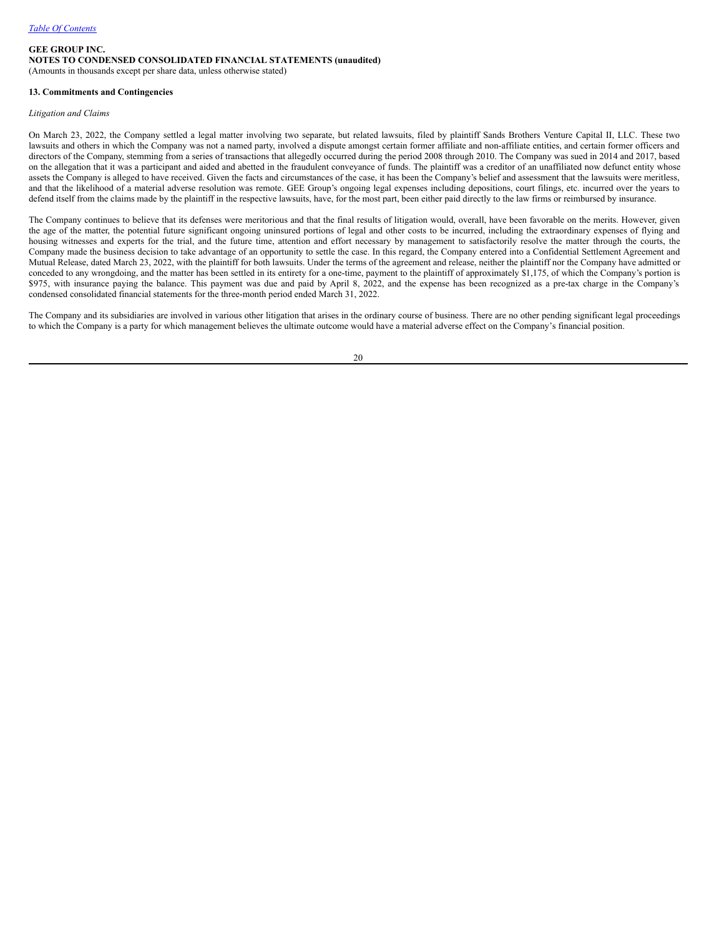#### **GEE GROUP INC. NOTES TO CONDENSED CONSOLIDATED FINANCIAL STATEMENTS (unaudited)** (Amounts in thousands except per share data, unless otherwise stated)

# **13. Commitments and Contingencies**

#### *Litigation and Claims*

On March 23, 2022, the Company settled a legal matter involving two separate, but related lawsuits, filed by plaintiff Sands Brothers Venture Capital II, LLC. These two lawsuits and others in which the Company was not a named party, involved a dispute amongst certain former affiliate and non-affiliate entities, and certain former officers and directors of the Company, stemming from a series of transactions that allegedly occurred during the period 2008 through 2010. The Company was sued in 2014 and 2017, based on the allegation that it was a participant and aided and abetted in the fraudulent conveyance of funds. The plaintiff was a creditor of an unaffiliated now defunct entity whose assets the Company is alleged to have received. Given the facts and circumstances of the case, it has been the Company's belief and assessment that the lawsuits were meritless, and that the likelihood of a material adverse resolution was remote. GEE Group's ongoing legal expenses including depositions, court filings, etc. incurred over the years to defend itself from the claims made by the plaintiff in the respective lawsuits, have, for the most part, been either paid directly to the law firms or reimbursed by insurance.

The Company continues to believe that its defenses were meritorious and that the final results of litigation would, overall, have been favorable on the merits. However, given the age of the matter, the potential future significant ongoing uninsured portions of legal and other costs to be incurred, including the extraordinary expenses of flying and housing witnesses and experts for the trial, and the future time, attention and effort necessary by management to satisfactorily resolve the matter through the courts, the Company made the business decision to take advantage of an opportunity to settle the case. In this regard, the Company entered into a Confidential Settlement Agreement and Mutual Release, dated March 23, 2022, with the plaintiff for both lawsuits. Under the terms of the agreement and release, neither the plaintiff nor the Company have admitted or conceded to any wrongdoing, and the matter has been settled in its entirety for a one-time, payment to the plaintiff of approximately \$1,175, of which the Company's portion is \$975, with insurance paying the balance. This payment was due and paid by April 8, 2022, and the expense has been recognized as a pre-tax charge in the Company's condensed consolidated financial statements for the three-month period ended March 31, 2022.

The Company and its subsidiaries are involved in various other litigation that arises in the ordinary course of business. There are no other pending significant legal proceedings to which the Company is a party for which management believes the ultimate outcome would have a material adverse effect on the Company's financial position.

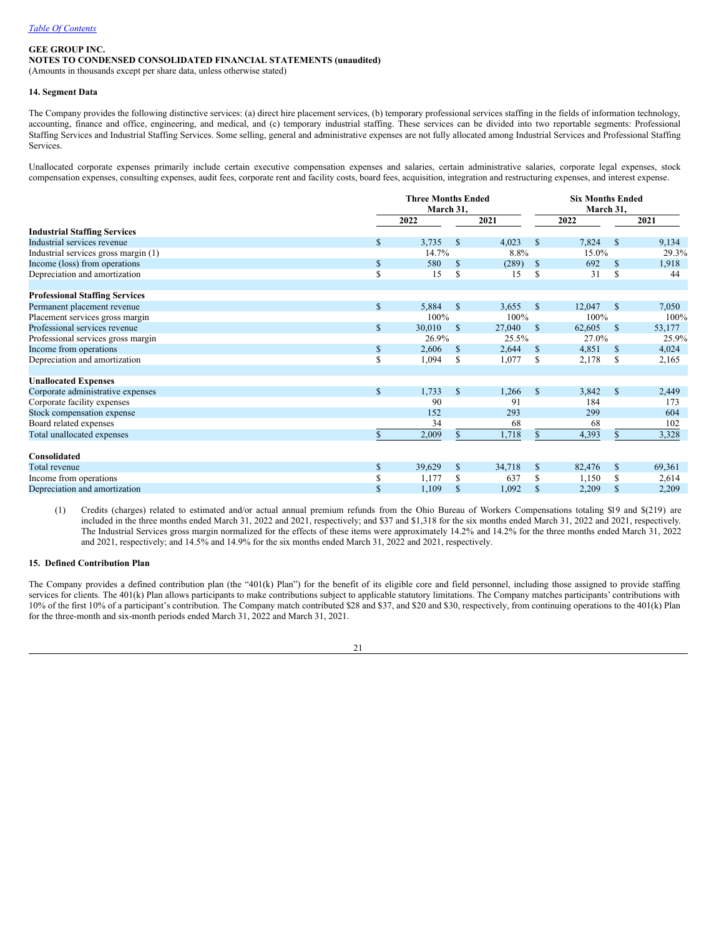(Amounts in thousands except per share data, unless otherwise stated)

### **14. Segment Data**

The Company provides the following distinctive services: (a) direct hire placement services, (b) temporary professional services staffing in the fields of information technology, accounting, finance and office, engineering, and medical, and (c) temporary industrial staffing. These services can be divided into two reportable segments: Professional Staffing Services and Industrial Staffing Services. Some selling, general and administrative expenses are not fully allocated among Industrial Services and Professional Staffing Services.

Unallocated corporate expenses primarily include certain executive compensation expenses and salaries, certain administrative salaries, corporate legal expenses, stock compensation expenses, consulting expenses, audit fees, corporate rent and facility costs, board fees, acquisition, integration and restructuring expenses, and interest expense.

|                                       |              | <b>Three Months Ended</b><br>March 31, |               |        |               | <b>Six Months Ended</b><br>March 31, |               |        |
|---------------------------------------|--------------|----------------------------------------|---------------|--------|---------------|--------------------------------------|---------------|--------|
|                                       |              | 2022                                   |               | 2021   |               | 2022                                 |               | 2021   |
| <b>Industrial Staffing Services</b>   |              |                                        |               |        |               |                                      |               |        |
| Industrial services revenue           | $\mathbf S$  | 3.735                                  | <sup>\$</sup> | 4,023  | S             | 7,824                                | <sup>S</sup>  | 9,134  |
| Industrial services gross margin (1)  |              | 14.7%                                  |               | 8.8%   |               | 15.0%                                |               | 29.3%  |
| Income (loss) from operations         | \$           | 580                                    | S             | (289)  | S             | 692                                  | <sup>S</sup>  | 1,918  |
| Depreciation and amortization         | \$           | 15                                     | \$            | 15     | S             | 31                                   | <sup>\$</sup> | 44     |
| <b>Professional Staffing Services</b> |              |                                        |               |        |               |                                      |               |        |
| Permanent placement revenue           | $\mathbb{S}$ | 5,884                                  | $\mathbf S$   | 3,655  | <sup>\$</sup> | 12,047                               | <sup>\$</sup> | 7,050  |
| Placement services gross margin       |              | 100%                                   |               | 100%   |               | 100%                                 |               | 100%   |
| Professional services revenue         | $\mathbf S$  | 30.010                                 | $\mathbf S$   | 27,040 | S             | 62,605                               | <sup>S</sup>  | 53,177 |
| Professional services gross margin    |              | 26.9%                                  |               | 25.5%  |               | 27.0%                                |               | 25.9%  |
| Income from operations                | \$           | 2,606                                  | \$            | 2,644  | \$            | 4,851                                | <sup>\$</sup> | 4,024  |
| Depreciation and amortization         | \$           | 1,094                                  | S             | 1,077  | S             | 2,178                                | \$            | 2,165  |
| <b>Unallocated Expenses</b>           |              |                                        |               |        |               |                                      |               |        |
| Corporate administrative expenses     | $\mathbb{S}$ | 1,733                                  | $\mathbb{S}$  | 1,266  | $\mathbb{S}$  | 3,842                                | $\mathbb{S}$  | 2,449  |
| Corporate facility expenses           |              | 90                                     |               | 91     |               | 184                                  |               | 173    |
| Stock compensation expense            |              | 152                                    |               | 293    |               | 299                                  |               | 604    |
| Board related expenses                |              | 34                                     |               | 68     |               | 68                                   |               | 102    |
| Total unallocated expenses            | \$           | 2,009                                  | S             | 1,718  | <sup>\$</sup> | 4,393                                | \$            | 3,328  |
| Consolidated                          |              |                                        |               |        |               |                                      |               |        |
| Total revenue                         | $\mathbf{s}$ | 39,629                                 | \$            | 34,718 | \$.           | 82,476                               | \$            | 69,361 |
| Income from operations                | \$           | 1,177                                  | S             | 637    | S             | 1,150                                | \$            | 2,614  |
| Depreciation and amortization         | \$           | 1,109                                  | S             | 1,092  | \$            | 2,209                                | \$            | 2,209  |

(1) Credits (charges) related to estimated and/or actual annual premium refunds from the Ohio Bureau of Workers Compensations totaling \$19 and \$(219) are included in the three months ended March 31, 2022 and 2021, respectively; and \$37 and \$1,318 for the six months ended March 31, 2022 and 2021, respectively. The Industrial Services gross margin normalized for the effects of these items were approximately 14.2% and 14.2% for the three months ended March 31, 2022 and 2021, respectively; and 14.5% and 14.9% for the six months ended March 31, 2022 and 2021, respectively.

# **15. Defined Contribution Plan**

The Company provides a defined contribution plan (the "401(k) Plan") for the benefit of its eligible core and field personnel, including those assigned to provide staffing services for clients. The 401(k) Plan allows participants to make contributions subject to applicable statutory limitations. The Company matches participants' contributions with 10% of the first 10% of a participant's contribution. The Company match contributed \$28 and \$37, and \$20 and \$30, respectively, from continuing operations to the 401(k) Plan for the three-month and six-month periods ended March 31, 2022 and March 31, 2021.

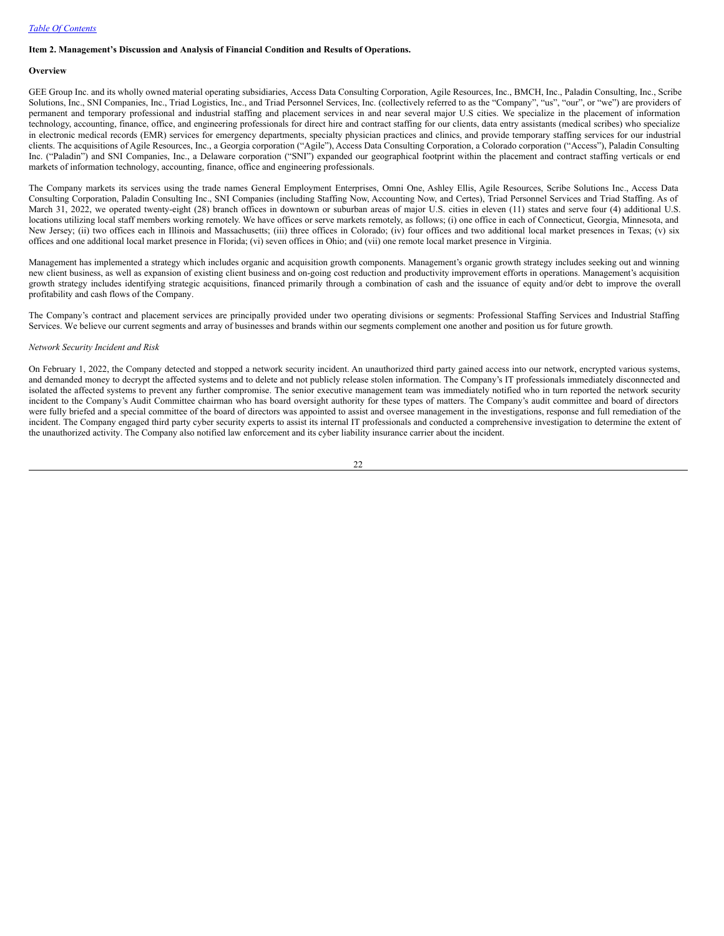# <span id="page-21-0"></span>**Item 2. Management's Discussion and Analysis of Financial Condition and Results of Operations.**

#### **Overview**

GEE Group Inc. and its wholly owned material operating subsidiaries, Access Data Consulting Corporation, Agile Resources, Inc., BMCH, Inc., Paladin Consulting, Inc., Scribe Solutions, Inc., SNI Companies, Inc., Triad Logistics, Inc., and Triad Personnel Services, Inc. (collectively referred to as the "Company", "us", "our", or "we") are providers of permanent and temporary professional and industrial staffing and placement services in and near several major U.S cities. We specialize in the placement of information technology, accounting, finance, office, and engineering professionals for direct hire and contract staffing for our clients, data entry assistants (medical scribes) who specialize in electronic medical records (EMR) services for emergency departments, specialty physician practices and clinics, and provide temporary staffing services for our industrial clients. The acquisitions of Agile Resources, Inc., a Georgia corporation ("Agile"), Access Data Consulting Corporation, a Colorado corporation ("Access"), Paladin Consulting Inc. ("Paladin") and SNI Companies, Inc., a Delaware corporation ("SNI") expanded our geographical footprint within the placement and contract staffing verticals or end markets of information technology, accounting, finance, office and engineering professionals.

The Company markets its services using the trade names General Employment Enterprises, Omni One, Ashley Ellis, Agile Resources, Scribe Solutions Inc., Access Data Consulting Corporation, Paladin Consulting Inc., SNI Companies (including Staffing Now, Accounting Now, and Certes), Triad Personnel Services and Triad Staffing. As of March 31, 2022, we operated twenty-eight (28) branch offices in downtown or suburban areas of major U.S. cities in eleven (11) states and serve four (4) additional U.S. locations utilizing local staff members working remotely. We have offices or serve markets remotely, as follows; (i) one office in each of Connecticut, Georgia, Minnesota, and New Jersey; (ii) two offices each in Illinois and Massachusetts; (iii) three offices in Colorado; (iv) four offices and two additional local market presences in Texas; (v) six offices and one additional local market presence in Florida; (vi) seven offices in Ohio; and (vii) one remote local market presence in Virginia.

Management has implemented a strategy which includes organic and acquisition growth components. Management's organic growth strategy includes seeking out and winning new client business, as well as expansion of existing client business and on-going cost reduction and productivity improvement efforts in operations. Management's acquisition growth strategy includes identifying strategic acquisitions, financed primarily through a combination of cash and the issuance of equity and/or debt to improve the overall profitability and cash flows of the Company.

The Company's contract and placement services are principally provided under two operating divisions or segments: Professional Staffing Services and Industrial Staffing Services. We believe our current segments and array of businesses and brands within our segments complement one another and position us for future growth.

### *Network Security Incident and Risk*

On February 1, 2022, the Company detected and stopped a network security incident. An unauthorized third party gained access into our network, encrypted various systems, and demanded money to decrypt the affected systems and to delete and not publicly release stolen information. The Company's IT professionals immediately disconnected and isolated the affected systems to prevent any further compromise. The senior executive management team was immediately notified who in turn reported the network security incident to the Company's Audit Committee chairman who has board oversight authority for these types of matters. The Company's audit committee and board of directors were fully briefed and a special committee of the board of directors was appointed to assist and oversee management in the investigations, response and full remediation of the incident. The Company engaged third party cyber security experts to assist its internal IT professionals and conducted a comprehensive investigation to determine the extent of the unauthorized activity. The Company also notified law enforcement and its cyber liability insurance carrier about the incident.

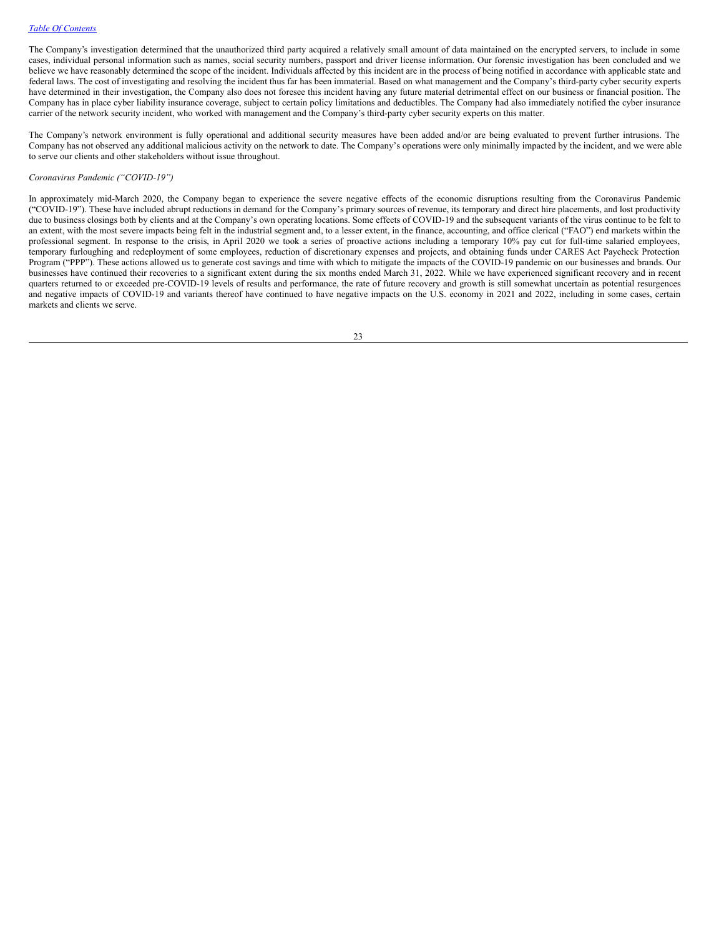The Company's investigation determined that the unauthorized third party acquired a relatively small amount of data maintained on the encrypted servers, to include in some cases, individual personal information such as names, social security numbers, passport and driver license information. Our forensic investigation has been concluded and we believe we have reasonably determined the scope of the incident. Individuals affected by this incident are in the process of being notified in accordance with applicable state and federal laws. The cost of investigating and resolving the incident thus far has been immaterial. Based on what management and the Company's third-party cyber security experts have determined in their investigation, the Company also does not foresee this incident having any future material detrimental effect on our business or financial position. The Company has in place cyber liability insurance coverage, subject to certain policy limitations and deductibles. The Company had also immediately notified the cyber insurance carrier of the network security incident, who worked with management and the Company's third-party cyber security experts on this matter.

The Company's network environment is fully operational and additional security measures have been added and/or are being evaluated to prevent further intrusions. The Company has not observed any additional malicious activity on the network to date. The Company's operations were only minimally impacted by the incident, and we were able to serve our clients and other stakeholders without issue throughout.

### *Coronavirus Pandemic ("COVID-19")*

In approximately mid-March 2020, the Company began to experience the severe negative effects of the economic disruptions resulting from the Coronavirus Pandemic ("COVID-19"). These have included abrupt reductions in demand for the Company's primary sources of revenue, its temporary and direct hire placements, and lost productivity due to business closings both by clients and at the Company's own operating locations. Some effects of COVID-19 and the subsequent variants of the virus continue to be felt to an extent, with the most severe impacts being felt in the industrial segment and, to a lesser extent, in the finance, accounting, and office clerical ("FAO") end markets within the professional segment. In response to the crisis, in April 2020 we took a series of proactive actions including a temporary 10% pay cut for full-time salaried employees, temporary furloughing and redeployment of some employees, reduction of discretionary expenses and projects, and obtaining funds under CARES Act Paycheck Protection Program ("PPP"). These actions allowed us to generate cost savings and time with which to mitigate the impacts of the COVID-19 pandemic on our businesses and brands. Our businesses have continued their recoveries to a significant extent during the six months ended March 31, 2022. While we have experienced significant recovery and in recent quarters returned to or exceeded pre-COVID-19 levels of results and performance, the rate of future recovery and growth is still somewhat uncertain as potential resurgences and negative impacts of COVID-19 and variants thereof have continued to have negative impacts on the U.S. economy in 2021 and 2022, including in some cases, certain markets and clients we serve.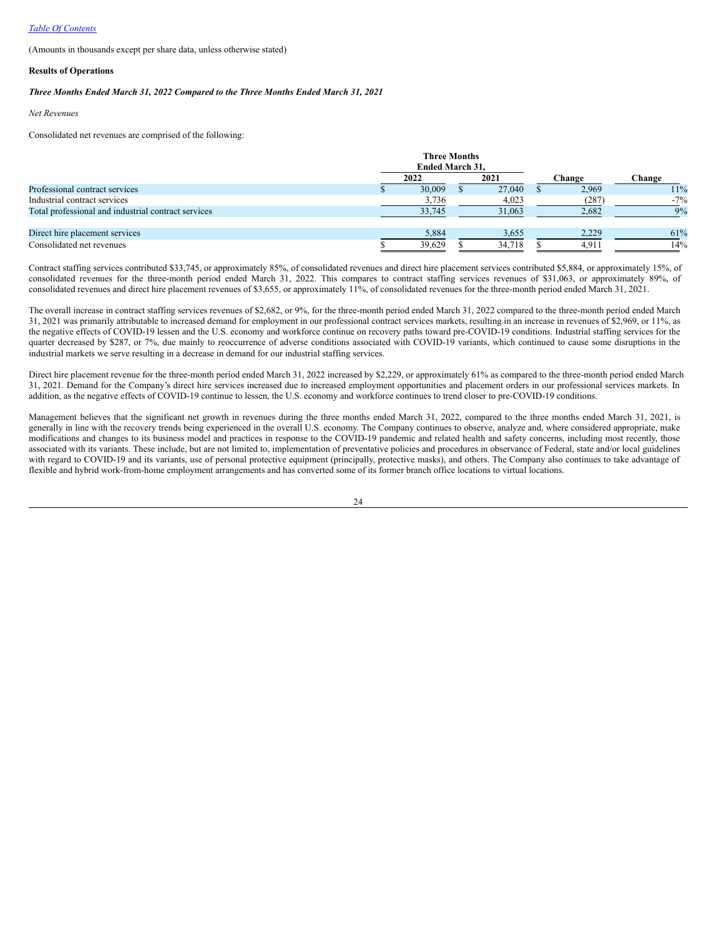#### **Results of Operations**

#### *Three Months Ended March 31, 2022 Compared to the Three Months Ended March 31, 2021*

### *Net Revenues*

Consolidated net revenues are comprised of the following:

|                                                     | <b>Three Months</b><br><b>Ended March 31,</b> |        |  |        |  |        |        |
|-----------------------------------------------------|-----------------------------------------------|--------|--|--------|--|--------|--------|
|                                                     |                                               | 2022   |  | 2021   |  | Change | Change |
| Professional contract services                      |                                               | 30,009 |  | 27,040 |  | 2.969  | 11%    |
| Industrial contract services                        |                                               | 3,736  |  | 4,023  |  | (287)  | $-7\%$ |
| Total professional and industrial contract services |                                               | 33,745 |  | 31,063 |  | 2,682  | 9%     |
| Direct hire placement services                      |                                               | 5,884  |  | 3,655  |  | 2,229  | 61%    |
| Consolidated net revenues                           |                                               | 39,629 |  | 34,718 |  | 4,911  | 14%    |

Contract staffing services contributed \$33,745, or approximately 85%, of consolidated revenues and direct hire placement services contributed \$5,884, or approximately 15%, of consolidated revenues for the three-month period ended March 31, 2022. This compares to contract staffing services revenues of \$31,063, or approximately 89%, of consolidated revenues and direct hire placement revenues of \$3,655, or approximately 11%, of consolidated revenues for the three-month period ended March 31, 2021.

The overall increase in contract staffing services revenues of \$2,682, or 9%, for the three-month period ended March 31, 2022 compared to the three-month period ended March 31, 2021 was primarily attributable to increased demand for employment in our professional contract services markets, resulting in an increase in revenues of \$2,969, or 11%, as the negative effects of COVID-19 lessen and the U.S. economy and workforce continue on recovery paths toward pre-COVID-19 conditions. Industrial staffing services for the quarter decreased by \$287, or 7%, due mainly to reoccurrence of adverse conditions associated with COVID-19 variants, which continued to cause some disruptions in the industrial markets we serve resulting in a decrease in demand for our industrial staffing services.

Direct hire placement revenue for the three-month period ended March 31, 2022 increased by \$2,229, or approximately 61% as compared to the three-month period ended March 31, 2021. Demand for the Company's direct hire services increased due to increased employment opportunities and placement orders in our professional services markets. In addition, as the negative effects of COVID-19 continue to lessen, the U.S. economy and workforce continues to trend closer to pre-COVID-19 conditions.

Management believes that the significant net growth in revenues during the three months ended March 31, 2022, compared to the three months ended March 31, 2021, is generally in line with the recovery trends being experienced in the overall U.S. economy. The Company continues to observe, analyze and, where considered appropriate, make modifications and changes to its business model and practices in response to the COVID-19 pandemic and related health and safety concerns, including most recently, those associated with its variants. These include, but are not limited to, implementation of preventative policies and procedures in observance of Federal, state and/or local guidelines with regard to COVID-19 and its variants, use of personal protective equipment (principally, protective masks), and others. The Company also continues to take advantage of flexible and hybrid work-from-home employment arrangements and has converted some of its former branch office locations to virtual locations.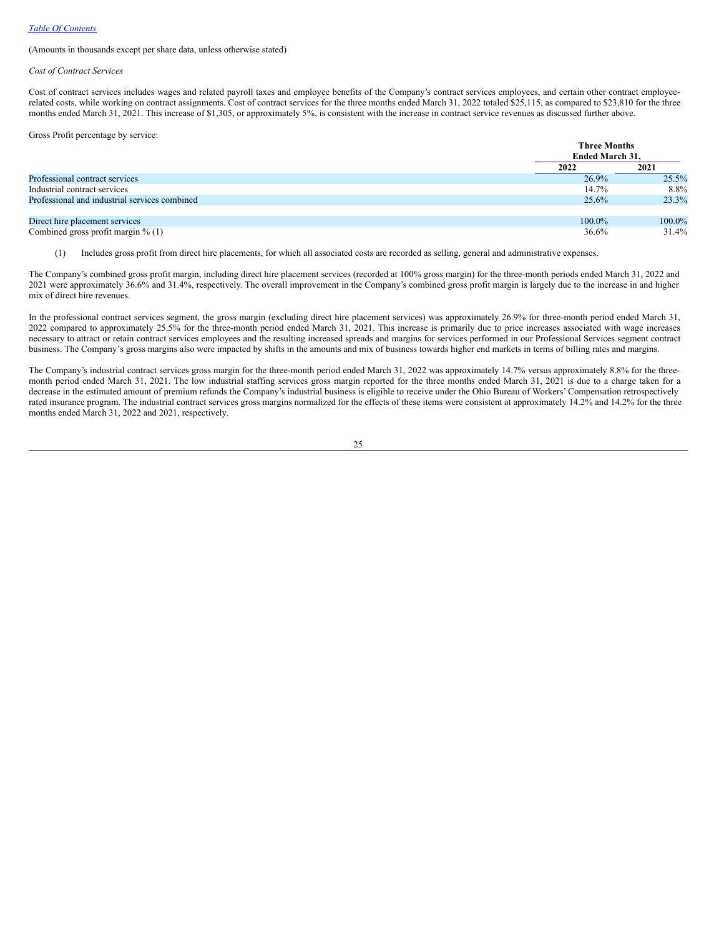#### *Cost of Contract Services*

Cost of contract services includes wages and related payroll taxes and employee benefits of the Company's contract services employees, and certain other contract employeerelated costs, while working on contract assignments. Cost of contract services for the three months ended March 31, 2022 totaled \$25,115, as compared to \$23,810 for the three months ended March 31, 2021. This increase of \$1,305, or approximately 5%, is consistent with the increase in contract service revenues as discussed further above.

Gross Profit percentage by service:

|                                               | <b>Three Months</b><br>Ended March 31, |        |
|-----------------------------------------------|----------------------------------------|--------|
|                                               | 2022                                   | 2021   |
| Professional contract services                | 26.9%                                  | 25.5%  |
| Industrial contract services                  | 14.7%                                  | 8.8%   |
| Professional and industrial services combined | 25.6%                                  | 23.3%  |
| Direct hire placement services                | 100.0%                                 | 100.0% |
| Combined gross profit margin $\%$ (1)         | 36.6%                                  | 31.4%  |

(1) Includes gross profit from direct hire placements, for which all associated costs are recorded as selling, general and administrative expenses.

The Company's combined gross profit margin, including direct hire placement services (recorded at 100% gross margin) for the three-month periods ended March 31, 2022 and 2021 were approximately 36.6% and 31.4%, respectively. The overall improvement in the Company's combined gross profit margin is largely due to the increase in and higher mix of direct hire revenues.

In the professional contract services segment, the gross margin (excluding direct hire placement services) was approximately 26.9% for three-month period ended March 31, 2022 compared to approximately 25.5% for the three-month period ended March 31, 2021. This increase is primarily due to price increases associated with wage increases necessary to attract or retain contract services employees and the resulting increased spreads and margins for services performed in our Professional Services segment contract business. The Company's gross margins also were impacted by shifts in the amounts and mix of business towards higher end markets in terms of billing rates and margins.

The Company's industrial contract services gross margin for the three-month period ended March 31, 2022 was approximately 14.7% versus approximately 8.8% for the threemonth period ended March 31, 2021. The low industrial staffing services gross margin reported for the three months ended March 31, 2021 is due to a charge taken for a decrease in the estimated amount of premium refunds the Company's industrial business is eligible to receive under the Ohio Bureau of Workers' Compensation retrospectively rated insurance program. The industrial contract services gross margins normalized for the effects of these items were consistent at approximately 14.2% and 14.2% for the three months ended March 31, 2022 and 2021, respectively.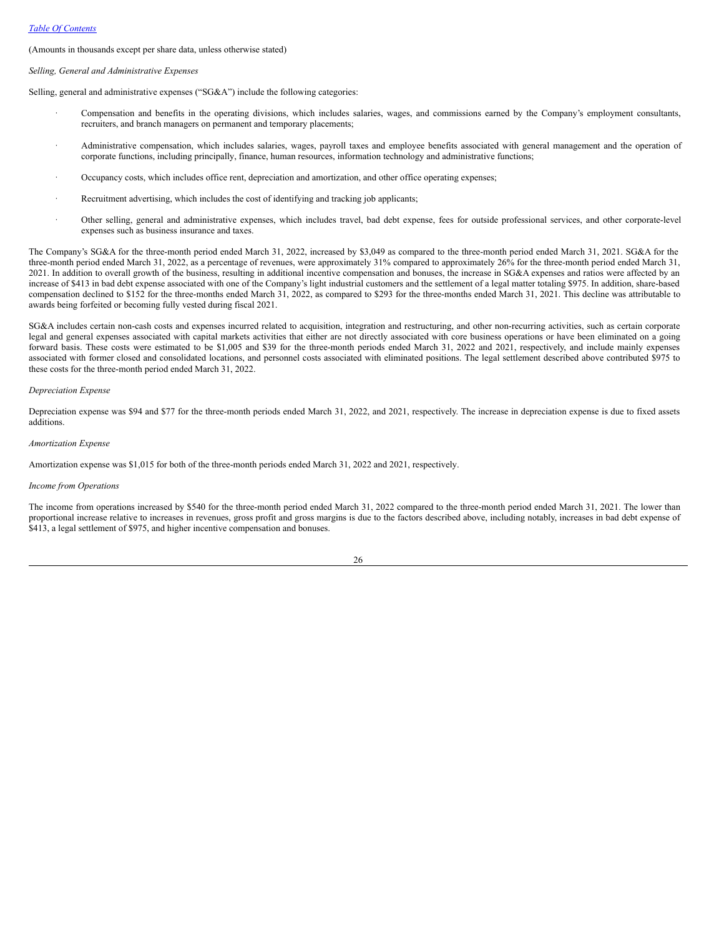### *Table Of [Contents](#page-1-0)*

(Amounts in thousands except per share data, unless otherwise stated)

# *Selling, General and Administrative Expenses*

Selling, general and administrative expenses ("SG&A") include the following categories:

- · Compensation and benefits in the operating divisions, which includes salaries, wages, and commissions earned by the Company's employment consultants, recruiters, and branch managers on permanent and temporary placements;
- · Administrative compensation, which includes salaries, wages, payroll taxes and employee benefits associated with general management and the operation of corporate functions, including principally, finance, human resources, information technology and administrative functions;
- · Occupancy costs, which includes office rent, depreciation and amortization, and other office operating expenses;
- Recruitment advertising, which includes the cost of identifying and tracking job applicants;
- · Other selling, general and administrative expenses, which includes travel, bad debt expense, fees for outside professional services, and other corporate-level expenses such as business insurance and taxes.

The Company's SG&A for the three-month period ended March 31, 2022, increased by \$3,049 as compared to the three-month period ended March 31, 2021. SG&A for the three-month period ended March 31, 2022, as a percentage of revenues, were approximately 31% compared to approximately 26% for the three-month period ended March 31, 2021. In addition to overall growth of the business, resulting in additional incentive compensation and bonuses, the increase in SG&A expenses and ratios were affected by an increase of \$413 in bad debt expense associated with one of the Company's light industrial customers and the settlement of a legal matter totaling \$975. In addition, share-based compensation declined to \$152 for the three-months ended March 31, 2022, as compared to \$293 for the three-months ended March 31, 2021. This decline was attributable to awards being forfeited or becoming fully vested during fiscal 2021.

SG&A includes certain non-cash costs and expenses incurred related to acquisition, integration and restructuring, and other non-recurring activities, such as certain corporate legal and general expenses associated with capital markets activities that either are not directly associated with core business operations or have been eliminated on a going forward basis. These costs were estimated to be \$1,005 and \$39 for the three-month periods ended March 31, 2022 and 2021, respectively, and include mainly expenses associated with former closed and consolidated locations, and personnel costs associated with eliminated positions. The legal settlement described above contributed \$975 to these costs for the three-month period ended March 31, 2022.

# *Depreciation Expense*

Depreciation expense was \$94 and \$77 for the three-month periods ended March 31, 2022, and 2021, respectively. The increase in depreciation expense is due to fixed assets additions.

#### *Amortization Expense*

Amortization expense was \$1,015 for both of the three-month periods ended March 31, 2022 and 2021, respectively.

# *Income from Operations*

The income from operations increased by \$540 for the three-month period ended March 31, 2022 compared to the three-month period ended March 31, 2021. The lower than proportional increase relative to increases in revenues, gross profit and gross margins is due to the factors described above, including notably, increases in bad debt expense of \$413, a legal settlement of \$975, and higher incentive compensation and bonuses.

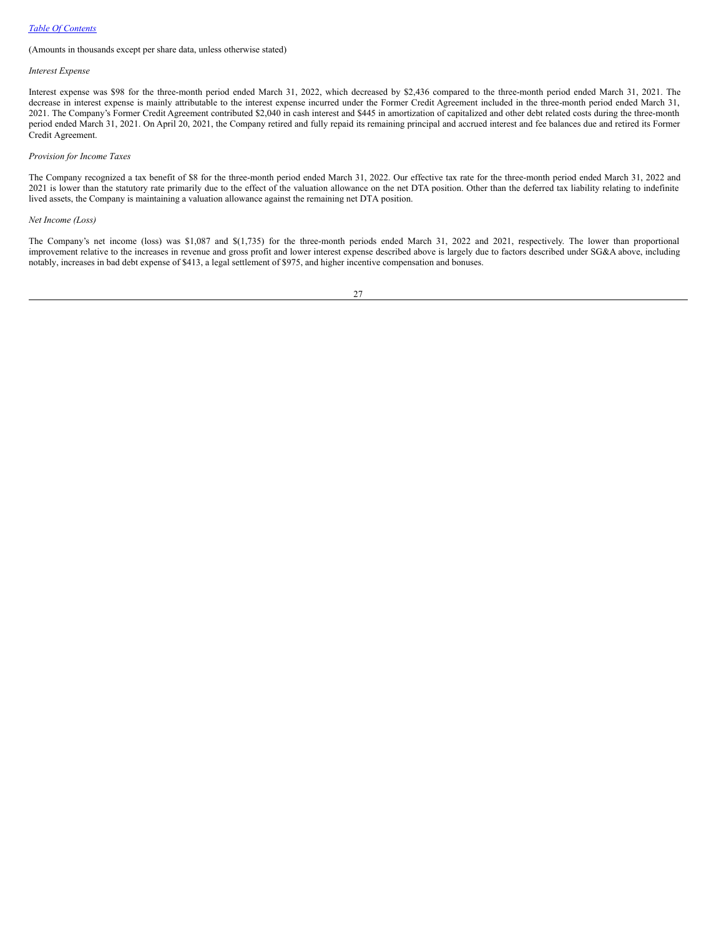### *Table Of [Contents](#page-1-0)*

### (Amounts in thousands except per share data, unless otherwise stated)

### *Interest Expense*

Interest expense was \$98 for the three-month period ended March 31, 2022, which decreased by \$2,436 compared to the three-month period ended March 31, 2021. The decrease in interest expense is mainly attributable to the interest expense incurred under the Former Credit Agreement included in the three-month period ended March 31, 2021. The Company's Former Credit Agreement contributed \$2,040 in cash interest and \$445 in amortization of capitalized and other debt related costs during the three-month period ended March 31, 2021. On April 20, 2021, the Company retired and fully repaid its remaining principal and accrued interest and fee balances due and retired its Former Credit Agreement.

### *Provision for Income Taxes*

The Company recognized a tax benefit of \$8 for the three-month period ended March 31, 2022. Our effective tax rate for the three-month period ended March 31, 2022 and 2021 is lower than the statutory rate primarily due to the effect of the valuation allowance on the net DTA position. Other than the deferred tax liability relating to indefinite lived assets, the Company is maintaining a valuation allowance against the remaining net DTA position.

# *Net Income (Loss)*

The Company's net income (loss) was \$1,087 and \$(1,735) for the three-month periods ended March 31, 2022 and 2021, respectively. The lower than proportional improvement relative to the increases in revenue and gross profit and lower interest expense described above is largely due to factors described under SG&A above, including notably, increases in bad debt expense of \$413, a legal settlement of \$975, and higher incentive compensation and bonuses.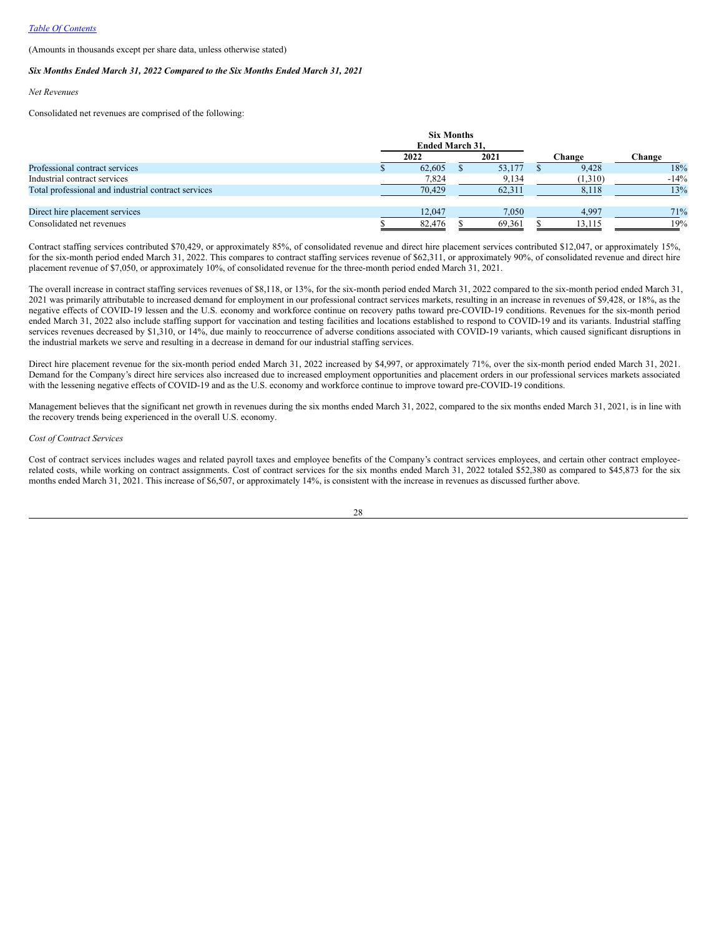# *Six Months Ended March 31, 2022 Compared to the Six Months Ended March 31, 2021*

# *Net Revenues*

Consolidated net revenues are comprised of the following:

|                                                     | <b>Six Months</b><br><b>Ended March 31,</b> |        |  |        |         |        |
|-----------------------------------------------------|---------------------------------------------|--------|--|--------|---------|--------|
|                                                     |                                             | 2022   |  | 2021   | Change  | Change |
| Professional contract services                      |                                             | 62,605 |  | 53,177 | 9,428   | 18%    |
| Industrial contract services                        |                                             | 7,824  |  | 9,134  | (1,310) | $-14%$ |
| Total professional and industrial contract services |                                             | 70,429 |  | 62,311 | 8,118   | 13%    |
| Direct hire placement services                      |                                             | 12,047 |  | 7,050  | 4,997   | 71%    |
| Consolidated net revenues                           |                                             | 82,476 |  | 69.361 | 13.115  | 19%    |

Contract staffing services contributed \$70,429, or approximately 85%, of consolidated revenue and direct hire placement services contributed \$12,047, or approximately 15%, for the six-month period ended March 31, 2022. This compares to contract staffing services revenue of \$62,311, or approximately 90%, of consolidated revenue and direct hire placement revenue of \$7,050, or approximately 10%, of consolidated revenue for the three-month period ended March 31, 2021.

The overall increase in contract staffing services revenues of \$8,118, or 13%, for the six-month period ended March 31, 2022 compared to the six-month period ended March 31, 2021 was primarily attributable to increased demand for employment in our professional contract services markets, resulting in an increase in revenues of \$9,428, or 18%, as the negative effects of COVID-19 lessen and the U.S. economy and workforce continue on recovery paths toward pre-COVID-19 conditions. Revenues for the six-month period ended March 31, 2022 also include staffing support for vaccination and testing facilities and locations established to respond to COVID-19 and its variants. Industrial staffing services revenues decreased by \$1,310, or 14%, due mainly to reoccurrence of adverse conditions associated with COVID-19 variants, which caused significant disruptions in the industrial markets we serve and resulting in a decrease in demand for our industrial staffing services.

Direct hire placement revenue for the six-month period ended March 31, 2022 increased by \$4,997, or approximately 71%, over the six-month period ended March 31, 2021. Demand for the Company's direct hire services also increased due to increased employment opportunities and placement orders in our professional services markets associated with the lessening negative effects of COVID-19 and as the U.S. economy and workforce continue to improve toward pre-COVID-19 conditions.

Management believes that the significant net growth in revenues during the six months ended March 31, 2022, compared to the six months ended March 31, 2021, is in line with the recovery trends being experienced in the overall U.S. economy.

#### *Cost of Contract Services*

Cost of contract services includes wages and related payroll taxes and employee benefits of the Company's contract services employees, and certain other contract employeerelated costs, while working on contract assignments. Cost of contract services for the six months ended March 31, 2022 totaled \$52,380 as compared to \$45,873 for the six months ended March 31, 2021. This increase of \$6,507, or approximately 14%, is consistent with the increase in revenues as discussed further above.

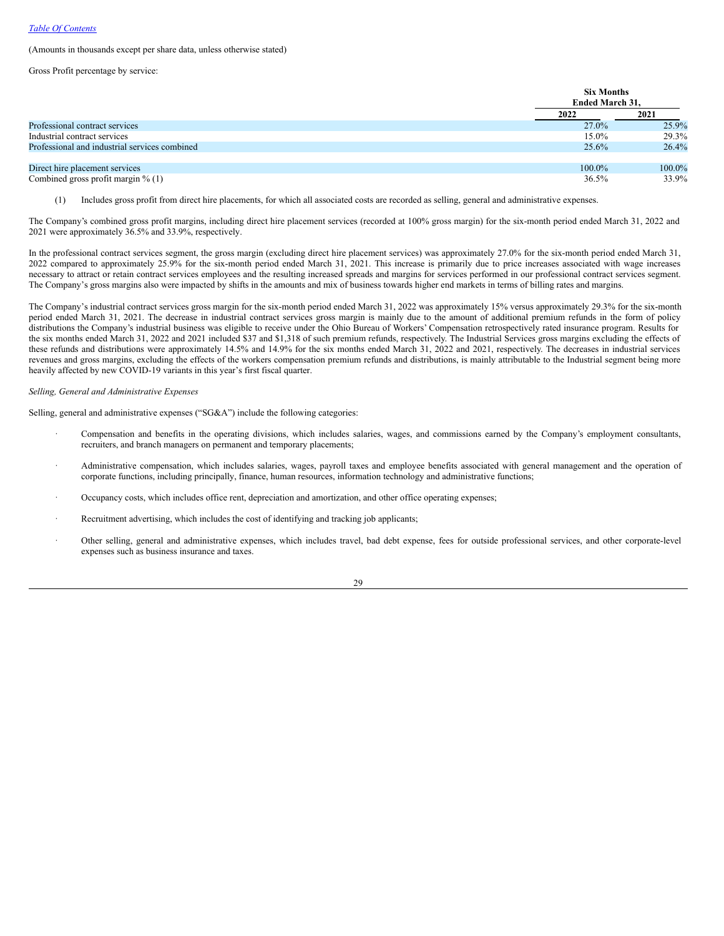#### *Table Of [Contents](#page-1-0)*

(Amounts in thousands except per share data, unless otherwise stated)

Gross Profit percentage by service:

|                                               |        | <b>Six Months</b><br><b>Ended March 31.</b> |  |  |
|-----------------------------------------------|--------|---------------------------------------------|--|--|
|                                               |        |                                             |  |  |
|                                               | 2022   | 2021                                        |  |  |
| Professional contract services                | 27.0%  | 25.9%                                       |  |  |
| Industrial contract services                  | 15.0%  | 29.3%                                       |  |  |
| Professional and industrial services combined | 25.6%  | 26.4%                                       |  |  |
|                                               |        |                                             |  |  |
| Direct hire placement services                | 100.0% | 100.0%                                      |  |  |
| Combined gross profit margin $\%$ (1)         | 36.5%  | 33.9%                                       |  |  |

(1) Includes gross profit from direct hire placements, for which all associated costs are recorded as selling, general and administrative expenses.

The Company's combined gross profit margins, including direct hire placement services (recorded at 100% gross margin) for the six-month period ended March 31, 2022 and 2021 were approximately 36.5% and 33.9%, respectively.

In the professional contract services segment, the gross margin (excluding direct hire placement services) was approximately 27.0% for the six-month period ended March 31, 2022 compared to approximately 25.9% for the six-month period ended March 31, 2021. This increase is primarily due to price increases associated with wage increases necessary to attract or retain contract services employees and the resulting increased spreads and margins for services performed in our professional contract services segment. The Company's gross margins also were impacted by shifts in the amounts and mix of business towards higher end markets in terms of billing rates and margins.

The Company's industrial contract services gross margin for the six-month period ended March 31, 2022 was approximately 15% versus approximately 29.3% for the six-month period ended March 31, 2021. The decrease in industrial contract services gross margin is mainly due to the amount of additional premium refunds in the form of policy distributions the Company's industrial business was eligible to receive under the Ohio Bureau of Workers' Compensation retrospectively rated insurance program. Results for the six months ended March 31, 2022 and 2021 included \$37 and \$1,318 of such premium refunds, respectively. The Industrial Services gross margins excluding the effects of these refunds and distributions were approximately 14.5% and 14.9% for the six months ended March 31, 2022 and 2021, respectively. The decreases in industrial services revenues and gross margins, excluding the effects of the workers compensation premium refunds and distributions, is mainly attributable to the Industrial segment being more heavily affected by new COVID-19 variants in this year's first fiscal quarter.

*Selling, General and Administrative Expenses*

Selling, general and administrative expenses ("SG&A") include the following categories:

- · Compensation and benefits in the operating divisions, which includes salaries, wages, and commissions earned by the Company's employment consultants, recruiters, and branch managers on permanent and temporary placements;
- · Administrative compensation, which includes salaries, wages, payroll taxes and employee benefits associated with general management and the operation of corporate functions, including principally, finance, human resources, information technology and administrative functions;
- Occupancy costs, which includes office rent, depreciation and amortization, and other office operating expenses;
- Recruitment advertising, which includes the cost of identifying and tracking job applicants;
- · Other selling, general and administrative expenses, which includes travel, bad debt expense, fees for outside professional services, and other corporate-level expenses such as business insurance and taxes.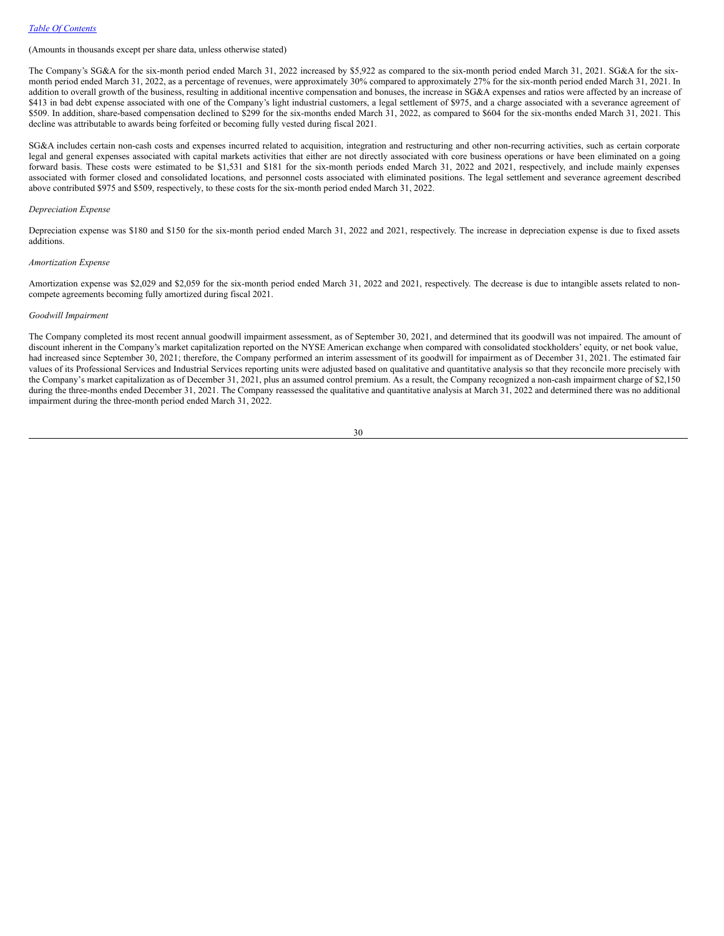The Company's SG&A for the six-month period ended March 31, 2022 increased by \$5,922 as compared to the six-month period ended March 31, 2021. SG&A for the sixmonth period ended March 31, 2022, as a percentage of revenues, were approximately 30% compared to approximately 27% for the six-month period ended March 31, 2021. In addition to overall growth of the business, resulting in additional incentive compensation and bonuses, the increase in SG&A expenses and ratios were affected by an increase of \$413 in bad debt expense associated with one of the Company's light industrial customers, a legal settlement of \$975, and a charge associated with a severance agreement of \$509. In addition, share-based compensation declined to \$299 for the six-months ended March 31, 2022, as compared to \$604 for the six-months ended March 31, 2021. This decline was attributable to awards being forfeited or becoming fully vested during fiscal 2021.

SG&A includes certain non-cash costs and expenses incurred related to acquisition, integration and restructuring and other non-recurring activities, such as certain corporate legal and general expenses associated with capital markets activities that either are not directly associated with core business operations or have been eliminated on a going forward basis. These costs were estimated to be \$1,531 and \$181 for the six-month periods ended March 31, 2022 and 2021, respectively, and include mainly expenses associated with former closed and consolidated locations, and personnel costs associated with eliminated positions. The legal settlement and severance agreement described above contributed \$975 and \$509, respectively, to these costs for the six-month period ended March 31, 2022.

### *Depreciation Expense*

Depreciation expense was \$180 and \$150 for the six-month period ended March 31, 2022 and 2021, respectively. The increase in depreciation expense is due to fixed assets additions.

#### *Amortization Expense*

Amortization expense was \$2,029 and \$2,059 for the six-month period ended March 31, 2022 and 2021, respectively. The decrease is due to intangible assets related to noncompete agreements becoming fully amortized during fiscal 2021.

#### *Goodwill Impairment*

The Company completed its most recent annual goodwill impairment assessment, as of September 30, 2021, and determined that its goodwill was not impaired. The amount of discount inherent in the Company's market capitalization reported on the NYSE American exchange when compared with consolidated stockholders' equity, or net book value, had increased since September 30, 2021; therefore, the Company performed an interim assessment of its goodwill for impairment as of December 31, 2021. The estimated fair values of its Professional Services and Industrial Services reporting units were adjusted based on qualitative and quantitative analysis so that they reconcile more precisely with the Company's market capitalization as of December 31, 2021, plus an assumed control premium. As a result, the Company recognized a non-cash impairment charge of \$2,150 during the three-months ended December 31, 2021. The Company reassessed the qualitative and quantitative analysis at March 31, 2022 and determined there was no additional impairment during the three-month period ended March 31, 2022.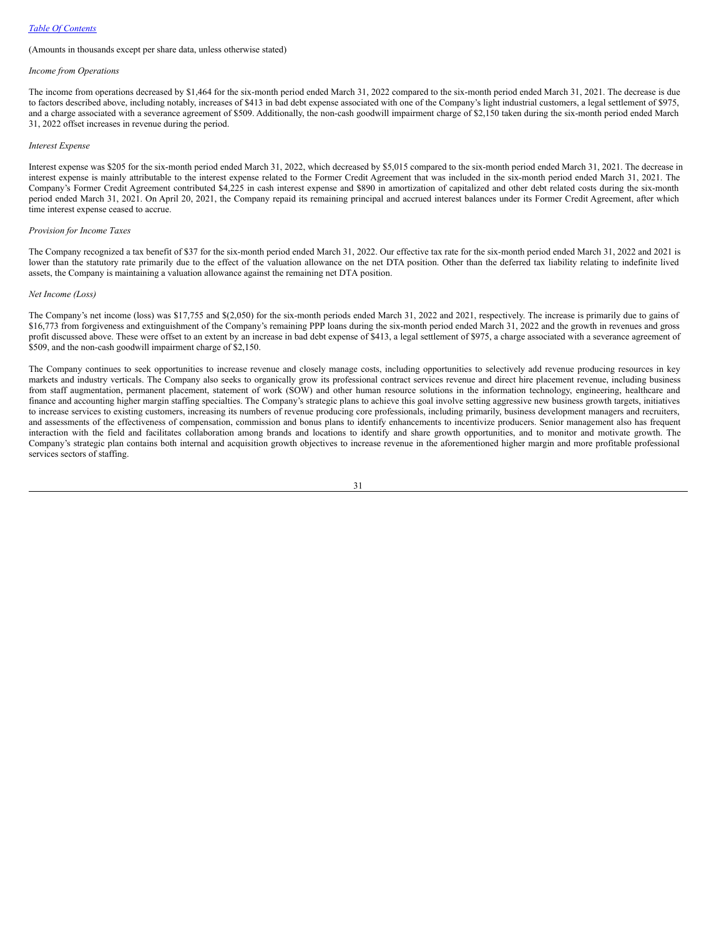#### *Table Of [Contents](#page-1-0)*

### (Amounts in thousands except per share data, unless otherwise stated)

#### *Income from Operations*

The income from operations decreased by \$1,464 for the six-month period ended March 31, 2022 compared to the six-month period ended March 31, 2021. The decrease is due to factors described above, including notably, increases of \$413 in bad debt expense associated with one of the Company's light industrial customers, a legal settlement of \$975, and a charge associated with a severance agreement of \$509. Additionally, the non-cash goodwill impairment charge of \$2,150 taken during the six-month period ended March 31, 2022 offset increases in revenue during the period.

#### *Interest Expense*

Interest expense was \$205 for the six-month period ended March 31, 2022, which decreased by \$5,015 compared to the six-month period ended March 31, 2021. The decrease in interest expense is mainly attributable to the interest expense related to the Former Credit Agreement that was included in the six-month period ended March 31, 2021. The Company's Former Credit Agreement contributed \$4,225 in cash interest expense and \$890 in amortization of capitalized and other debt related costs during the six-month period ended March 31, 2021. On April 20, 2021, the Company repaid its remaining principal and accrued interest balances under its Former Credit Agreement, after which time interest expense ceased to accrue.

#### *Provision for Income Taxes*

The Company recognized a tax benefit of \$37 for the six-month period ended March 31, 2022. Our effective tax rate for the six-month period ended March 31, 2022 and 2021 is lower than the statutory rate primarily due to the effect of the valuation allowance on the net DTA position. Other than the deferred tax liability relating to indefinite lived assets, the Company is maintaining a valuation allowance against the remaining net DTA position.

#### *Net Income (Loss)*

The Company's net income (loss) was \$17,755 and \$(2,050) for the six-month periods ended March 31, 2022 and 2021, respectively. The increase is primarily due to gains of \$16,773 from forgiveness and extinguishment of the Company's remaining PPP loans during the six-month period ended March 31, 2022 and the growth in revenues and gross profit discussed above. These were offset to an extent by an increase in bad debt expense of \$413, a legal settlement of \$975, a charge associated with a severance agreement of \$509, and the non-cash goodwill impairment charge of \$2,150.

The Company continues to seek opportunities to increase revenue and closely manage costs, including opportunities to selectively add revenue producing resources in key markets and industry verticals. The Company also seeks to organically grow its professional contract services revenue and direct hire placement revenue, including business from staff augmentation, permanent placement, statement of work (SOW) and other human resource solutions in the information technology, engineering, healthcare and finance and accounting higher margin staffing specialties. The Company's strategic plans to achieve this goal involve setting aggressive new business growth targets, initiatives to increase services to existing customers, increasing its numbers of revenue producing core professionals, including primarily, business development managers and recruiters, and assessments of the effectiveness of compensation, commission and bonus plans to identify enhancements to incentivize producers. Senior management also has frequent interaction with the field and facilitates collaboration among brands and locations to identify and share growth opportunities, and to monitor and motivate growth. The Company's strategic plan contains both internal and acquisition growth objectives to increase revenue in the aforementioned higher margin and more profitable professional services sectors of staffing.

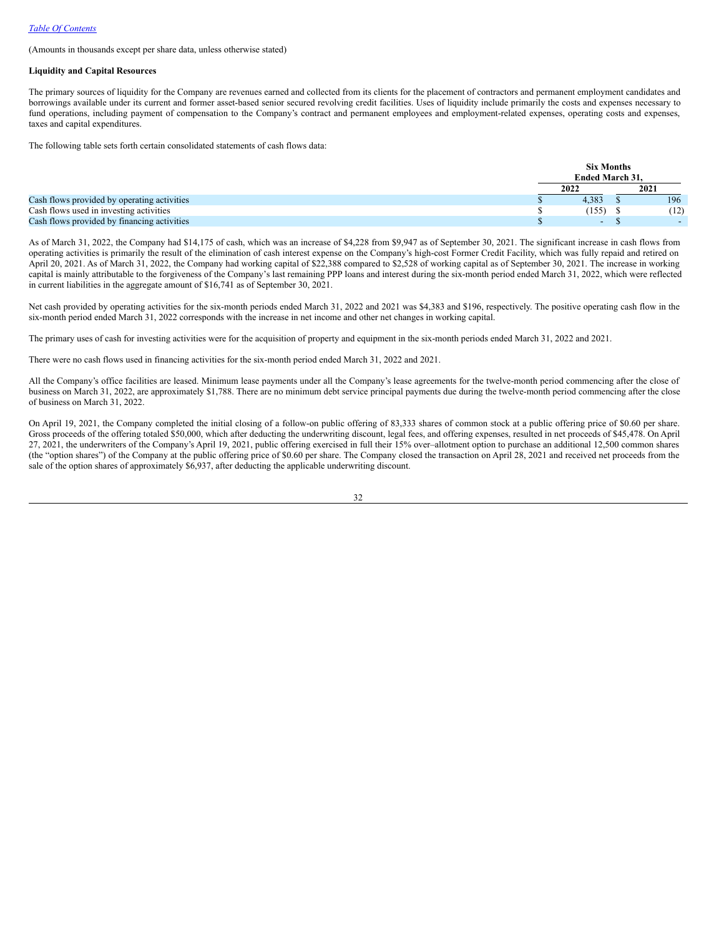# **Liquidity and Capital Resources**

The primary sources of liquidity for the Company are revenues earned and collected from its clients for the placement of contractors and permanent employment candidates and borrowings available under its current and former asset-based senior secured revolving credit facilities. Uses of liquidity include primarily the costs and expenses necessary to fund operations, including payment of compensation to the Company's contract and permanent employees and employment-related expenses, operating costs and expenses, taxes and capital expenditures.

The following table sets forth certain consolidated statements of cash flows data:

|                                             | <b>Six Months</b>      |  |      |  |
|---------------------------------------------|------------------------|--|------|--|
|                                             | <b>Ended March 31.</b> |  |      |  |
|                                             | 2022                   |  | 2021 |  |
| Cash flows provided by operating activities | 4.383                  |  | 196  |  |
| Cash flows used in investing activities     | (155)                  |  | (12) |  |
| Cash flows provided by financing activities | $\sim$                 |  |      |  |

As of March 31, 2022, the Company had \$14,175 of cash, which was an increase of \$4,228 from \$9,947 as of September 30, 2021. The significant increase in cash flows from operating activities is primarily the result of the elimination of cash interest expense on the Company's high-cost Former Credit Facility, which was fully repaid and retired on April 20, 2021. As of March 31, 2022, the Company had working capital of \$22,388 compared to \$2,528 of working capital as of September 30, 2021. The increase in working capital is mainly attributable to the forgiveness of the Company's last remaining PPP loans and interest during the six-month period ended March 31, 2022, which were reflected in current liabilities in the aggregate amount of \$16,741 as of September 30, 2021.

Net cash provided by operating activities for the six-month periods ended March 31, 2022 and 2021 was \$4,383 and \$196, respectively. The positive operating cash flow in the six-month period ended March 31, 2022 corresponds with the increase in net income and other net changes in working capital.

The primary uses of cash for investing activities were for the acquisition of property and equipment in the six-month periods ended March 31, 2022 and 2021.

There were no cash flows used in financing activities for the six-month period ended March 31, 2022 and 2021.

All the Company's office facilities are leased. Minimum lease payments under all the Company's lease agreements for the twelve-month period commencing after the close of business on March 31, 2022, are approximately \$1,788. There are no minimum debt service principal payments due during the twelve-month period commencing after the close of business on March 31, 2022.

On April 19, 2021, the Company completed the initial closing of a follow-on public offering of 83,333 shares of common stock at a public offering price of \$0.60 per share. Gross proceeds of the offering totaled \$50,000, which after deducting the underwriting discount, legal fees, and offering expenses, resulted in net proceeds of \$45,478. On April 27, 2021, the underwriters of the Company's April 19, 2021, public offering exercised in full their 15% over–allotment option to purchase an additional 12,500 common shares (the "option shares") of the Company at the public offering price of \$0.60 per share. The Company closed the transaction on April 28, 2021 and received net proceeds from the sale of the option shares of approximately \$6,937, after deducting the applicable underwriting discount.

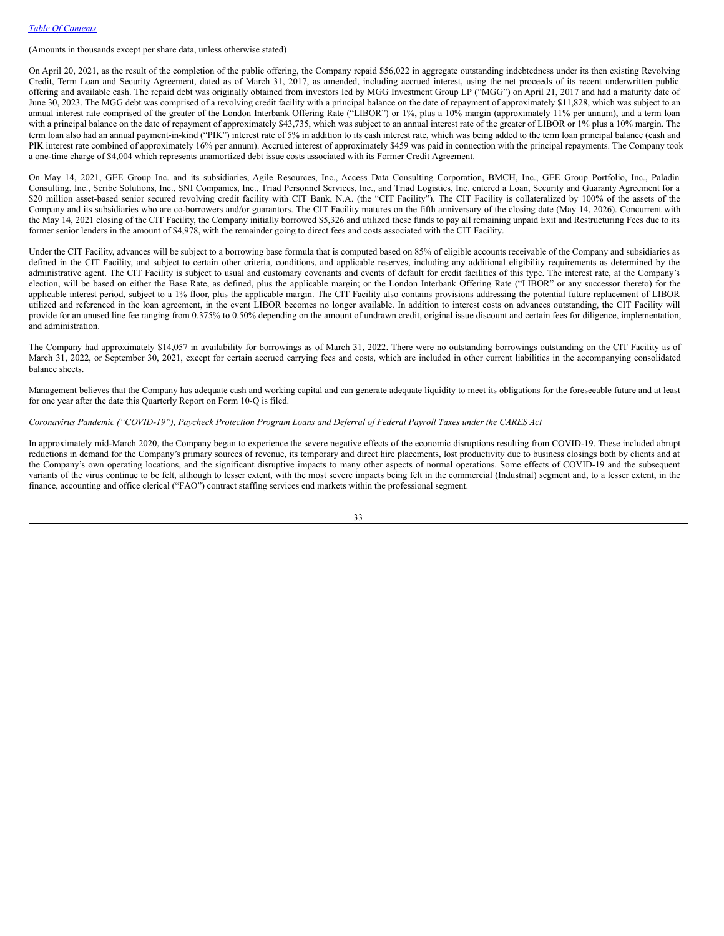On April 20, 2021, as the result of the completion of the public offering, the Company repaid \$56,022 in aggregate outstanding indebtedness under its then existing Revolving Credit, Term Loan and Security Agreement, dated as of March 31, 2017, as amended, including accrued interest, using the net proceeds of its recent underwritten public offering and available cash. The repaid debt was originally obtained from investors led by MGG Investment Group LP ("MGG") on April 21, 2017 and had a maturity date of June 30, 2023. The MGG debt was comprised of a revolving credit facility with a principal balance on the date of repayment of approximately \$11,828, which was subject to an annual interest rate comprised of the greater of the London Interbank Offering Rate ("LIBOR") or 1%, plus a 10% margin (approximately 11% per annum), and a term loan with a principal balance on the date of repayment of approximately \$43,735, which was subject to an annual interest rate of the greater of LIBOR or 1% plus a 10% margin. The term loan also had an annual payment-in-kind ("PIK") interest rate of 5% in addition to its cash interest rate, which was being added to the term loan principal balance (cash and PIK interest rate combined of approximately 16% per annum). Accrued interest of approximately \$459 was paid in connection with the principal repayments. The Company took a one-time charge of \$4,004 which represents unamortized debt issue costs associated with its Former Credit Agreement.

On May 14, 2021, GEE Group Inc. and its subsidiaries, Agile Resources, Inc., Access Data Consulting Corporation, BMCH, Inc., GEE Group Portfolio, Inc., Paladin Consulting, Inc., Scribe Solutions, Inc., SNI Companies, Inc., Triad Personnel Services, Inc., and Triad Logistics, Inc. entered a Loan, Security and Guaranty Agreement for a \$20 million asset-based senior secured revolving credit facility with CIT Bank, N.A. (the "CIT Facility"). The CIT Facility is collateralized by 100% of the assets of the Company and its subsidiaries who are co-borrowers and/or guarantors. The CIT Facility matures on the fifth anniversary of the closing date (May 14, 2026). Concurrent with the May 14, 2021 closing of the CIT Facility, the Company initially borrowed \$5,326 and utilized these funds to pay all remaining unpaid Exit and Restructuring Fees due to its former senior lenders in the amount of \$4,978, with the remainder going to direct fees and costs associated with the CIT Facility.

Under the CIT Facility, advances will be subject to a borrowing base formula that is computed based on 85% of eligible accounts receivable of the Company and subsidiaries as defined in the CIT Facility, and subject to certain other criteria, conditions, and applicable reserves, including any additional eligibility requirements as determined by the administrative agent. The CIT Facility is subject to usual and customary covenants and events of default for credit facilities of this type. The interest rate, at the Company's election, will be based on either the Base Rate, as defined, plus the applicable margin; or the London Interbank Offering Rate ("LIBOR" or any successor thereto) for the applicable interest period, subject to a 1% floor, plus the applicable margin. The CIT Facility also contains provisions addressing the potential future replacement of LIBOR utilized and referenced in the loan agreement, in the event LIBOR becomes no longer available. In addition to interest costs on advances outstanding, the CIT Facility will provide for an unused line fee ranging from 0.375% to 0.50% depending on the amount of undrawn credit, original issue discount and certain fees for diligence, implementation, and administration.

The Company had approximately \$14,057 in availability for borrowings as of March 31, 2022. There were no outstanding borrowings outstanding on the CIT Facility as of March 31, 2022, or September 30, 2021, except for certain accrued carrying fees and costs, which are included in other current liabilities in the accompanying consolidated balance sheets.

Management believes that the Company has adequate cash and working capital and can generate adequate liquidity to meet its obligations for the foreseeable future and at least for one year after the date this Quarterly Report on Form 10-Q is filed.

Coronavirus Pandemic ("COVID-19"), Paycheck Protection Program Loans and Deferral of Federal Payroll Taxes under the CARES Act

In approximately mid-March 2020, the Company began to experience the severe negative effects of the economic disruptions resulting from COVID-19. These included abrupt reductions in demand for the Company's primary sources of revenue, its temporary and direct hire placements, lost productivity due to business closings both by clients and at the Company's own operating locations, and the significant disruptive impacts to many other aspects of normal operations. Some effects of COVID-19 and the subsequent variants of the virus continue to be felt, although to lesser extent, with the most severe impacts being felt in the commercial (Industrial) segment and, to a lesser extent, in the finance, accounting and office clerical ("FAO") contract staffing services end markets within the professional segment.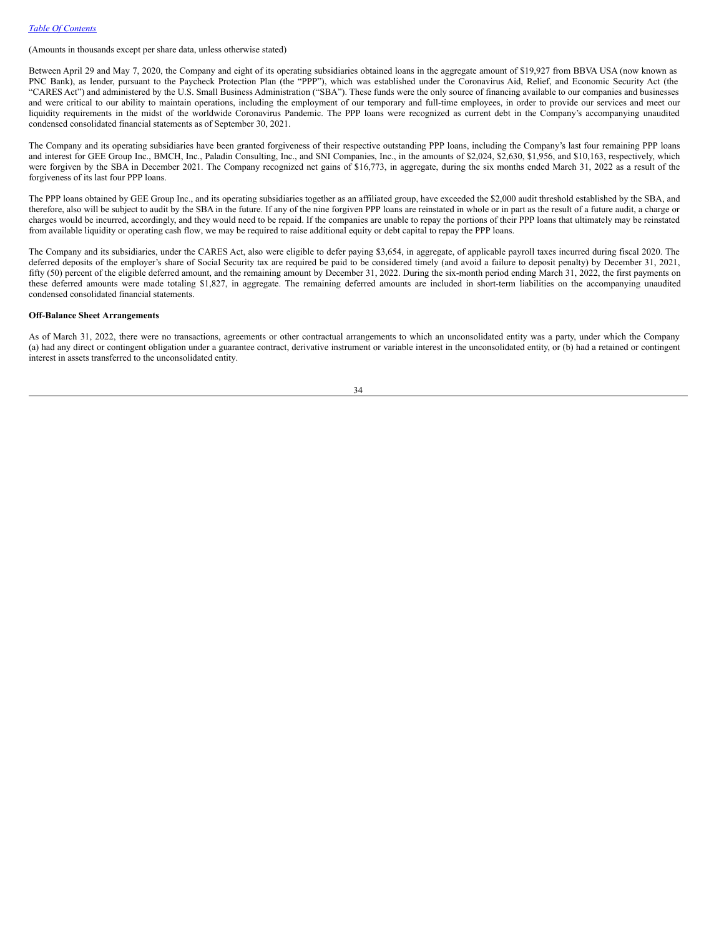Between April 29 and May 7, 2020, the Company and eight of its operating subsidiaries obtained loans in the aggregate amount of \$19,927 from BBVA USA (now known as PNC Bank), as lender, pursuant to the Paycheck Protection Plan (the "PPP"), which was established under the Coronavirus Aid, Relief, and Economic Security Act (the "CARES Act") and administered by the U.S. Small Business Administration ("SBA"). These funds were the only source of financing available to our companies and businesses and were critical to our ability to maintain operations, including the employment of our temporary and full-time employees, in order to provide our services and meet our liquidity requirements in the midst of the worldwide Coronavirus Pandemic. The PPP loans were recognized as current debt in the Company's accompanying unaudited condensed consolidated financial statements as of September 30, 2021.

The Company and its operating subsidiaries have been granted forgiveness of their respective outstanding PPP loans, including the Company's last four remaining PPP loans and interest for GEE Group Inc., BMCH, Inc., Paladin Consulting, Inc., and SNI Companies, Inc., in the amounts of \$2,024, \$2,630, \$1,956, and \$10,163, respectively, which were forgiven by the SBA in December 2021. The Company recognized net gains of \$16,773, in aggregate, during the six months ended March 31, 2022 as a result of the forgiveness of its last four PPP loans.

The PPP loans obtained by GEE Group Inc., and its operating subsidiaries together as an affiliated group, have exceeded the \$2,000 audit threshold established by the SBA, and therefore, also will be subject to audit by the SBA in the future. If any of the nine forgiven PPP loans are reinstated in whole or in part as the result of a future audit, a charge or charges would be incurred, accordingly, and they would need to be repaid. If the companies are unable to repay the portions of their PPP loans that ultimately may be reinstated from available liquidity or operating cash flow, we may be required to raise additional equity or debt capital to repay the PPP loans.

The Company and its subsidiaries, under the CARES Act, also were eligible to defer paying \$3,654, in aggregate, of applicable payroll taxes incurred during fiscal 2020. The deferred deposits of the employer's share of Social Security tax are required be paid to be considered timely (and avoid a failure to deposit penalty) by December 31, 2021, fifty (50) percent of the eligible deferred amount, and the remaining amount by December 31, 2022. During the six-month period ending March 31, 2022, the first payments on these deferred amounts were made totaling \$1,827, in aggregate. The remaining deferred amounts are included in short-term liabilities on the accompanying unaudited condensed consolidated financial statements.

#### **Off-Balance Sheet Arrangements**

As of March 31, 2022, there were no transactions, agreements or other contractual arrangements to which an unconsolidated entity was a party, under which the Company (a) had any direct or contingent obligation under a guarantee contract, derivative instrument or variable interest in the unconsolidated entity, or (b) had a retained or contingent interest in assets transferred to the unconsolidated entity.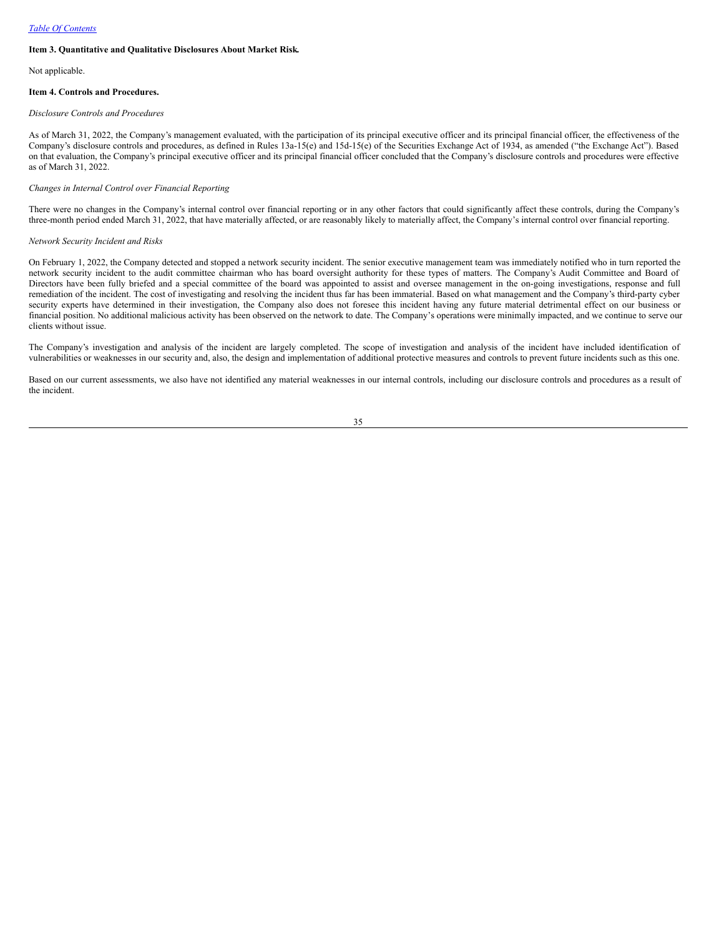# <span id="page-34-0"></span>**Item 3. Quantitative and Qualitative Disclosures About Market Risk.**

Not applicable.

### <span id="page-34-1"></span>**Item 4. Controls and Procedures.**

#### *Disclosure Controls and Procedures*

As of March 31, 2022, the Company's management evaluated, with the participation of its principal executive officer and its principal financial officer, the effectiveness of the Company's disclosure controls and procedures, as defined in Rules 13a-15(e) and 15d-15(e) of the Securities Exchange Act of 1934, as amended ("the Exchange Act"). Based on that evaluation, the Company's principal executive officer and its principal financial officer concluded that the Company's disclosure controls and procedures were effective as of March 31, 2022.

# *Changes in Internal Control over Financial Reporting*

There were no changes in the Company's internal control over financial reporting or in any other factors that could significantly affect these controls, during the Company's three-month period ended March 31, 2022, that have materially affected, or are reasonably likely to materially affect, the Company's internal control over financial reporting.

#### *Network Security Incident and Risks*

On February 1, 2022, the Company detected and stopped a network security incident. The senior executive management team was immediately notified who in turn reported the network security incident to the audit committee chairman who has board oversight authority for these types of matters. The Company's Audit Committee and Board of Directors have been fully briefed and a special committee of the board was appointed to assist and oversee management in the on-going investigations, response and full remediation of the incident. The cost of investigating and resolving the incident thus far has been immaterial. Based on what management and the Company's third-party cyber security experts have determined in their investigation, the Company also does not foresee this incident having any future material detrimental effect on our business or financial position. No additional malicious activity has been observed on the network to date. The Company's operations were minimally impacted, and we continue to serve our clients without issue.

The Company's investigation and analysis of the incident are largely completed. The scope of investigation and analysis of the incident have included identification of vulnerabilities or weaknesses in our security and, also, the design and implementation of additional protective measures and controls to prevent future incidents such as this one.

Based on our current assessments, we also have not identified any material weaknesses in our internal controls, including our disclosure controls and procedures as a result of the incident.

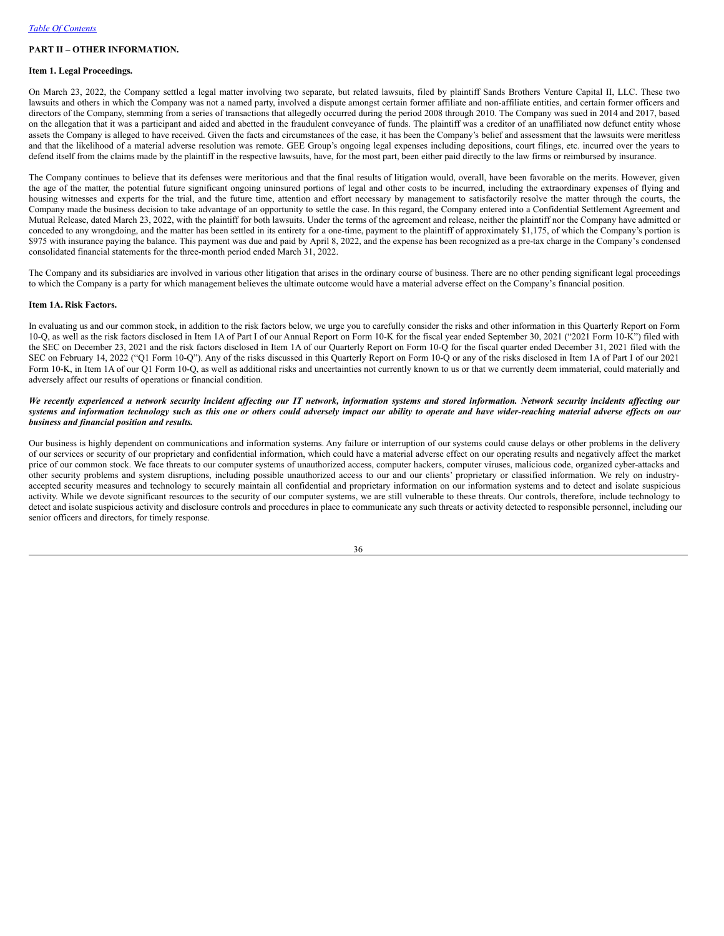# <span id="page-35-0"></span>**PART II – OTHER INFORMATION.**

### <span id="page-35-1"></span>**Item 1. Legal Proceedings.**

On March 23, 2022, the Company settled a legal matter involving two separate, but related lawsuits, filed by plaintiff Sands Brothers Venture Capital II, LLC. These two lawsuits and others in which the Company was not a named party, involved a dispute amongst certain former affiliate and non-affiliate entities, and certain former officers and directors of the Company, stemming from a series of transactions that allegedly occurred during the period 2008 through 2010. The Company was sued in 2014 and 2017, based on the allegation that it was a participant and aided and abetted in the fraudulent conveyance of funds. The plaintiff was a creditor of an unaffiliated now defunct entity whose assets the Company is alleged to have received. Given the facts and circumstances of the case, it has been the Company's belief and assessment that the lawsuits were meritless and that the likelihood of a material adverse resolution was remote. GEE Group's ongoing legal expenses including depositions, court filings, etc. incurred over the years to defend itself from the claims made by the plaintiff in the respective lawsuits, have, for the most part, been either paid directly to the law firms or reimbursed by insurance.

The Company continues to believe that its defenses were meritorious and that the final results of litigation would, overall, have been favorable on the merits. However, given the age of the matter, the potential future significant ongoing uninsured portions of legal and other costs to be incurred, including the extraordinary expenses of flying and housing witnesses and experts for the trial, and the future time, attention and effort necessary by management to satisfactorily resolve the matter through the courts, the Company made the business decision to take advantage of an opportunity to settle the case. In this regard, the Company entered into a Confidential Settlement Agreement and Mutual Release, dated March 23, 2022, with the plaintiff for both lawsuits. Under the terms of the agreement and release, neither the plaintiff nor the Company have admitted or conceded to any wrongdoing, and the matter has been settled in its entirety for a one-time, payment to the plaintiff of approximately \$1,175, of which the Company's portion is \$975 with insurance paying the balance. This payment was due and paid by April 8, 2022, and the expense has been recognized as a pre-tax charge in the Company's condensed consolidated financial statements for the three-month period ended March 31, 2022.

The Company and its subsidiaries are involved in various other litigation that arises in the ordinary course of business. There are no other pending significant legal proceedings to which the Company is a party for which management believes the ultimate outcome would have a material adverse effect on the Company's financial position.

### <span id="page-35-2"></span>**Item 1A. Risk Factors.**

In evaluating us and our common stock, in addition to the risk factors below, we urge you to carefully consider the risks and other information in this Quarterly Report on Form 10-Q, as well as the risk factors disclosed in Item 1A of Part I of our Annual Report on Form 10-K for the fiscal year ended September 30, 2021 ("2021 Form 10-K") filed with the SEC on December 23, 2021 and the risk factors disclosed in Item 1A of our Quarterly Report on Form 10-Q for the fiscal quarter ended December 31, 2021 filed with the SEC on February 14, 2022 ("Q1 Form 10-Q"). Any of the risks discussed in this Quarterly Report on Form 10-Q or any of the risks disclosed in Item 1A of Part I of our 2021 Form 10-K, in Item 1A of our Q1 Form 10-Q, as well as additional risks and uncertainties not currently known to us or that we currently deem immaterial, could materially and adversely affect our results of operations or financial condition.

### We recently experienced a network security incident affecting our IT network, information systems and stored information. Network security incidents affecting our systems and information technology such as this one or others could adversely impact our ability to operate and have wider-reaching material adverse effects on our *business and financial position and results.*

Our business is highly dependent on communications and information systems. Any failure or interruption of our systems could cause delays or other problems in the delivery of our services or security of our proprietary and confidential information, which could have a material adverse effect on our operating results and negatively affect the market price of our common stock. We face threats to our computer systems of unauthorized access, computer hackers, computer viruses, malicious code, organized cyber-attacks and other security problems and system disruptions, including possible unauthorized access to our and our clients' proprietary or classified information. We rely on industryaccepted security measures and technology to securely maintain all confidential and proprietary information on our information systems and to detect and isolate suspicious activity. While we devote significant resources to the security of our computer systems, we are still vulnerable to these threats. Our controls, therefore, include technology to detect and isolate suspicious activity and disclosure controls and procedures in place to communicate any such threats or activity detected to responsible personnel, including our senior officers and directors, for timely response.

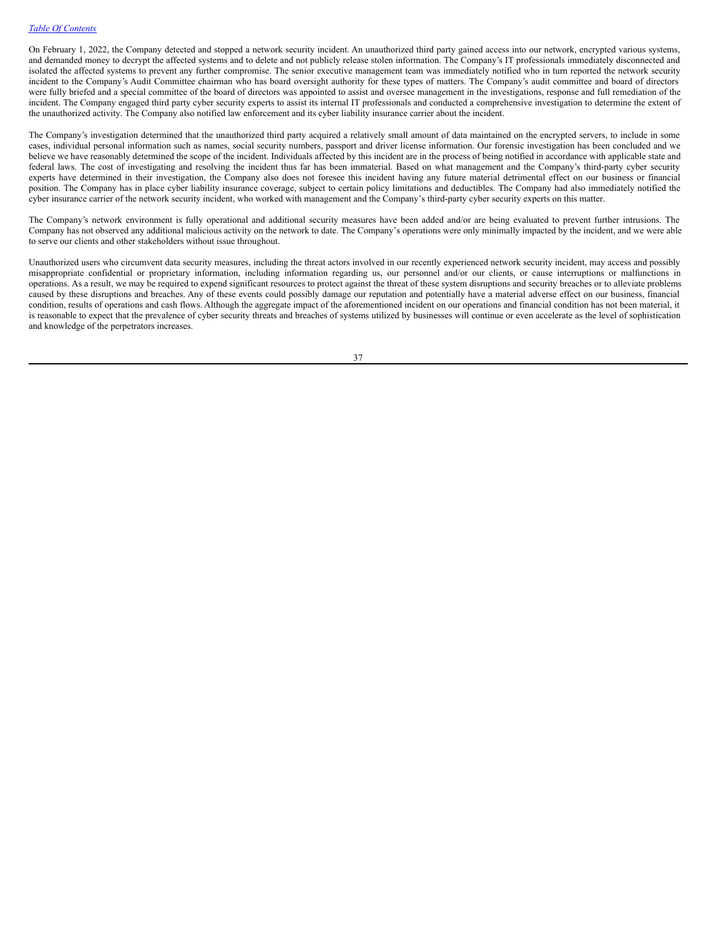On February 1, 2022, the Company detected and stopped a network security incident. An unauthorized third party gained access into our network, encrypted various systems, and demanded money to decrypt the affected systems and to delete and not publicly release stolen information. The Company's IT professionals immediately disconnected and isolated the affected systems to prevent any further compromise. The senior executive management team was immediately notified who in turn reported the network security incident to the Company's Audit Committee chairman who has board oversight authority for these types of matters. The Company's audit committee and board of directors were fully briefed and a special committee of the board of directors was appointed to assist and oversee management in the investigations, response and full remediation of the incident. The Company engaged third party cyber security experts to assist its internal IT professionals and conducted a comprehensive investigation to determine the extent of the unauthorized activity. The Company also notified law enforcement and its cyber liability insurance carrier about the incident.

The Company's investigation determined that the unauthorized third party acquired a relatively small amount of data maintained on the encrypted servers, to include in some cases, individual personal information such as names, social security numbers, passport and driver license information. Our forensic investigation has been concluded and we believe we have reasonably determined the scope of the incident. Individuals affected by this incident are in the process of being notified in accordance with applicable state and federal laws. The cost of investigating and resolving the incident thus far has been immaterial. Based on what management and the Company's third-party cyber security experts have determined in their investigation, the Company also does not foresee this incident having any future material detrimental effect on our business or financial position. The Company has in place cyber liability insurance coverage, subject to certain policy limitations and deductibles. The Company had also immediately notified the cyber insurance carrier of the network security incident, who worked with management and the Company's third-party cyber security experts on this matter.

The Company's network environment is fully operational and additional security measures have been added and/or are being evaluated to prevent further intrusions. The Company has not observed any additional malicious activity on the network to date. The Company's operations were only minimally impacted by the incident, and we were able to serve our clients and other stakeholders without issue throughout.

Unauthorized users who circumvent data security measures, including the threat actors involved in our recently experienced network security incident, may access and possibly misappropriate confidential or proprietary information, including information regarding us, our personnel and/or our clients, or cause interruptions or malfunctions in operations. As a result, we may be required to expend significant resources to protect against the threat of these system disruptions and security breaches or to alleviate problems caused by these disruptions and breaches. Any of these events could possibly damage our reputation and potentially have a material adverse effect on our business, financial condition, results of operations and cash flows. Although the aggregate impact of the aforementioned incident on our operations and financial condition has not been material, it is reasonable to expect that the prevalence of cyber security threats and breaches of systems utilized by businesses will continue or even accelerate as the level of sophistication and knowledge of the perpetrators increases.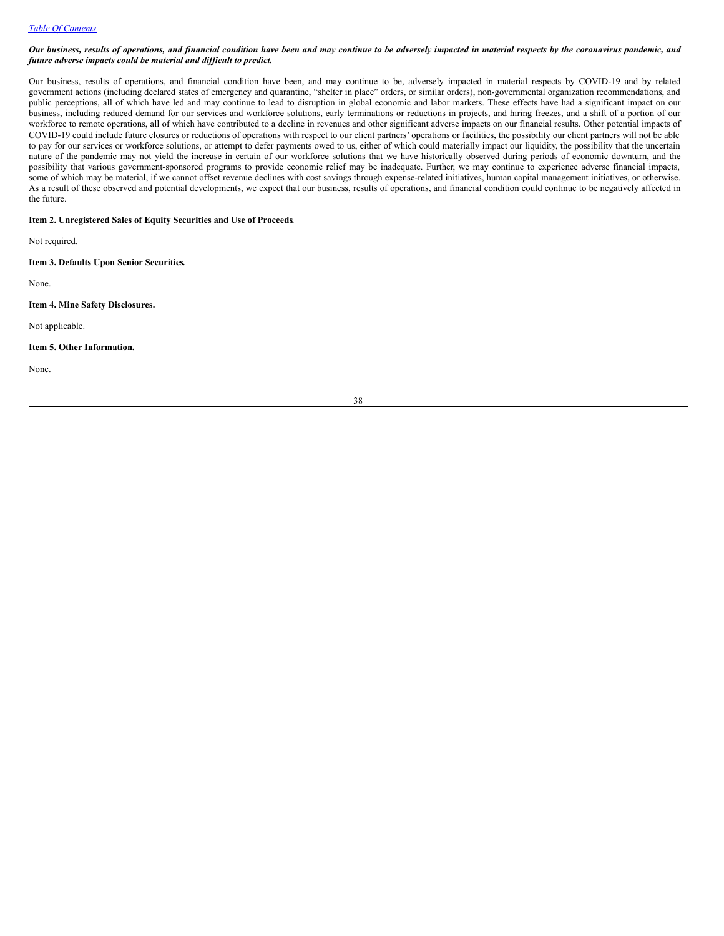### Our business, results of operations, and financial condition have been and may continue to be adversely impacted in material respects by the coronavirus pandemic, and *future adverse impacts could be material and dif icult to predict.*

Our business, results of operations, and financial condition have been, and may continue to be, adversely impacted in material respects by COVID-19 and by related government actions (including declared states of emergency and quarantine, "shelter in place" orders, or similar orders), non-governmental organization recommendations, and public perceptions, all of which have led and may continue to lead to disruption in global economic and labor markets. These effects have had a significant impact on our business, including reduced demand for our services and workforce solutions, early terminations or reductions in projects, and hiring freezes, and a shift of a portion of our workforce to remote operations, all of which have contributed to a decline in revenues and other significant adverse impacts on our financial results. Other potential impacts of COVID-19 could include future closures or reductions of operations with respect to our client partners' operations or facilities, the possibility our client partners will not be able to pay for our services or workforce solutions, or attempt to defer payments owed to us, either of which could materially impact our liquidity, the possibility that the uncertain nature of the pandemic may not yield the increase in certain of our workforce solutions that we have historically observed during periods of economic downturn, and the possibility that various government-sponsored programs to provide economic relief may be inadequate. Further, we may continue to experience adverse financial impacts, some of which may be material, if we cannot offset revenue declines with cost savings through expense-related initiatives, human capital management initiatives, or otherwise. As a result of these observed and potential developments, we expect that our business, results of operations, and financial condition could continue to be negatively affected in the future.

# <span id="page-37-0"></span>**Item 2. Unregistered Sales of Equity Securities and Use of Proceeds.**

Not required.

<span id="page-37-1"></span>**Item 3. Defaults Upon Senior Securities.**

None.

# <span id="page-37-2"></span>**Item 4. Mine Safety Disclosures.**

Not applicable.

#### <span id="page-37-3"></span>**Item 5. Other Information.**

None.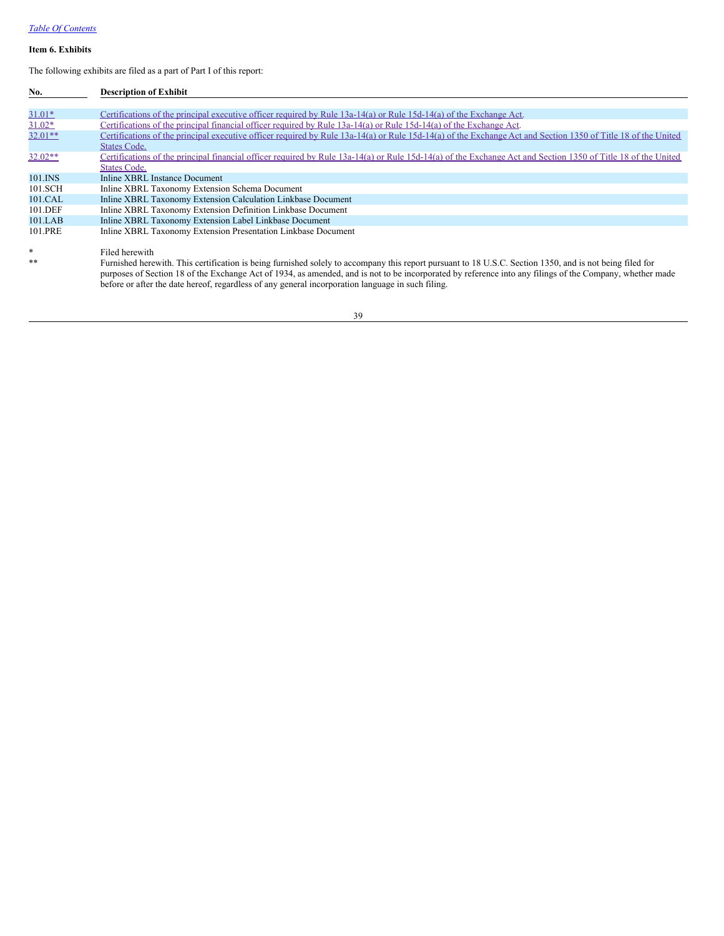# <span id="page-38-0"></span>**Item 6. Exhibits**

The following exhibits are filed as a part of Part I of this report:

| No.       | <b>Description of Exhibit</b>                                                                                                                                 |
|-----------|---------------------------------------------------------------------------------------------------------------------------------------------------------------|
|           |                                                                                                                                                               |
| $31.01*$  | Certifications of the principal executive officer required by Rule 13a-14(a) or Rule 15d-14(a) of the Exchange Act.                                           |
| $31.02*$  | Certifications of the principal financial officer required by Rule 13a-14(a) or Rule 15d-14(a) of the Exchange Act.                                           |
| $32.01**$ | Certifications of the principal executive officer required by Rule 13a-14(a) or Rule 15d-14(a) of the Exchange Act and Section 1350 of Title 18 of the United |
|           | States Code.                                                                                                                                                  |
| $32.02**$ | Certifications of the principal financial officer required by Rule 13a-14(a) or Rule 15d-14(a) of the Exchange Act and Section 1350 of Title 18 of the United |
|           | States Code.                                                                                                                                                  |
| 101.INS   | Inline XBRL Instance Document                                                                                                                                 |
| 101.SCH   | Inline XBRL Taxonomy Extension Schema Document                                                                                                                |
| 101.CAL   | Inline XBRL Taxonomy Extension Calculation Linkbase Document                                                                                                  |
| 101.DEF   | Inline XBRL Taxonomy Extension Definition Linkbase Document                                                                                                   |
| 101.LAB   | Inline XBRL Taxonomy Extension Label Linkbase Document                                                                                                        |
| 101.PRE   | Inline XBRL Taxonomy Extension Presentation Linkbase Document                                                                                                 |
|           |                                                                                                                                                               |
|           |                                                                                                                                                               |

\* Filed herewith<br>
\*\* Furnished here \*\* Furnished herewith. This certification is being furnished solely to accompany this report pursuant to 18 U.S.C. Section 1350, and is not being filed for purposes of Section 18 of the Exchange Act of 1934, as amended, and is not to be incorporated by reference into any filings of the Company, whether made before or after the date hereof, regardless of any general incorporation language in such filing.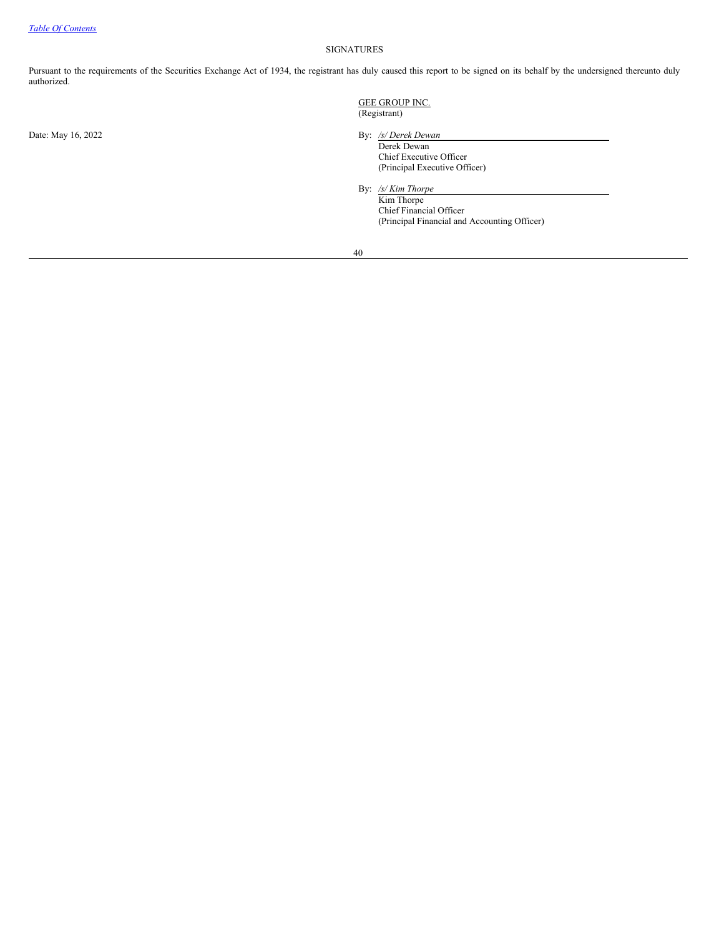#### <span id="page-39-0"></span>SIGNATURES

Pursuant to the requirements of the Securities Exchange Act of 1934, the registrant has duly caused this report to be signed on its behalf by the undersigned thereunto duly authorized.

# GEE GROUP INC. (Registrant)

Date: May 16, 2022 By: */s/ Derek Dewan* Derek Dewan Chief Executive Officer (Principal Executive Officer)

> By: */s/ Kim Thorpe* Kim Thorpe Chief Financial Officer (Principal Financial and Accounting Officer)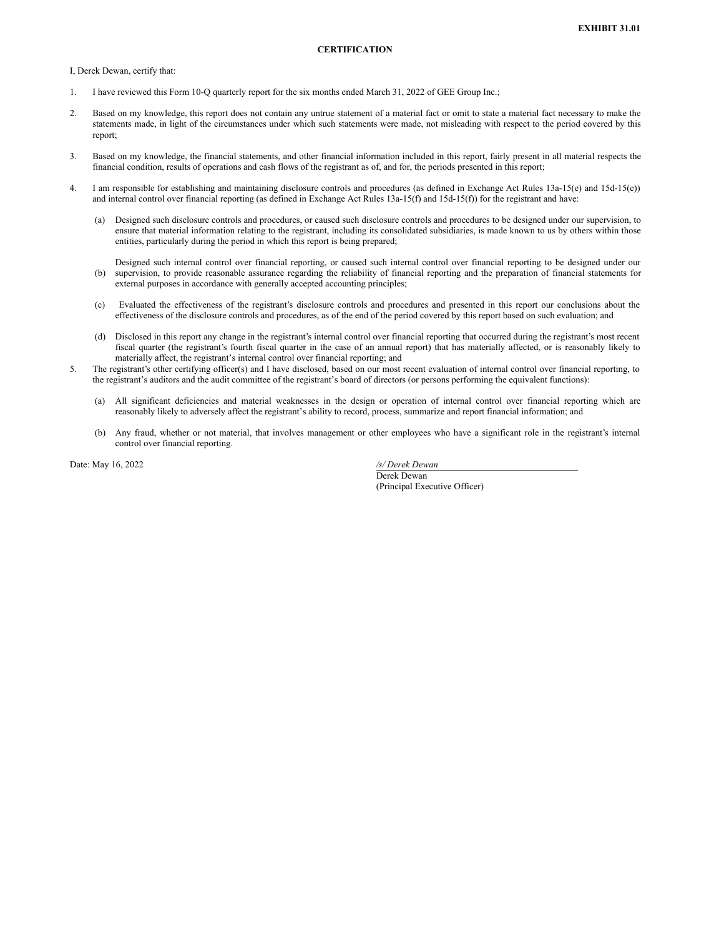#### **CERTIFICATION**

<span id="page-40-0"></span>I, Derek Dewan, certify that:

- 1. I have reviewed this Form 10-Q quarterly report for the six months ended March 31, 2022 of GEE Group Inc.;
- 2. Based on my knowledge, this report does not contain any untrue statement of a material fact or omit to state a material fact necessary to make the statements made, in light of the circumstances under which such statements were made, not misleading with respect to the period covered by this report;
- 3. Based on my knowledge, the financial statements, and other financial information included in this report, fairly present in all material respects the financial condition, results of operations and cash flows of the registrant as of, and for, the periods presented in this report;
- 4. I am responsible for establishing and maintaining disclosure controls and procedures (as defined in Exchange Act Rules 13a-15(e) and 15d-15(e)) and internal control over financial reporting (as defined in Exchange Act Rules 13a-15(f) and 15d-15(f)) for the registrant and have:
	- (a) Designed such disclosure controls and procedures, or caused such disclosure controls and procedures to be designed under our supervision, to ensure that material information relating to the registrant, including its consolidated subsidiaries, is made known to us by others within those entities, particularly during the period in which this report is being prepared;
	- (b) Designed such internal control over financial reporting, or caused such internal control over financial reporting to be designed under our supervision, to provide reasonable assurance regarding the reliability of financial reporting and the preparation of financial statements for external purposes in accordance with generally accepted accounting principles;
	- (c) Evaluated the effectiveness of the registrant's disclosure controls and procedures and presented in this report our conclusions about the effectiveness of the disclosure controls and procedures, as of the end of the period covered by this report based on such evaluation; and
	- (d) Disclosed in this report any change in the registrant's internal control over financial reporting that occurred during the registrant's most recent fiscal quarter (the registrant's fourth fiscal quarter in the case of an annual report) that has materially affected, or is reasonably likely to materially affect, the registrant's internal control over financial reporting; and
- 5. The registrant's other certifying officer(s) and I have disclosed, based on our most recent evaluation of internal control over financial reporting, to the registrant's auditors and the audit committee of the registrant's board of directors (or persons performing the equivalent functions):
	- (a) All significant deficiencies and material weaknesses in the design or operation of internal control over financial reporting which are reasonably likely to adversely affect the registrant's ability to record, process, summarize and report financial information; and
	- (b) Any fraud, whether or not material, that involves management or other employees who have a significant role in the registrant's internal control over financial reporting.

Date: May 16, 2022 */s/ Derek Dewan*

Derek Dewan (Principal Executive Officer)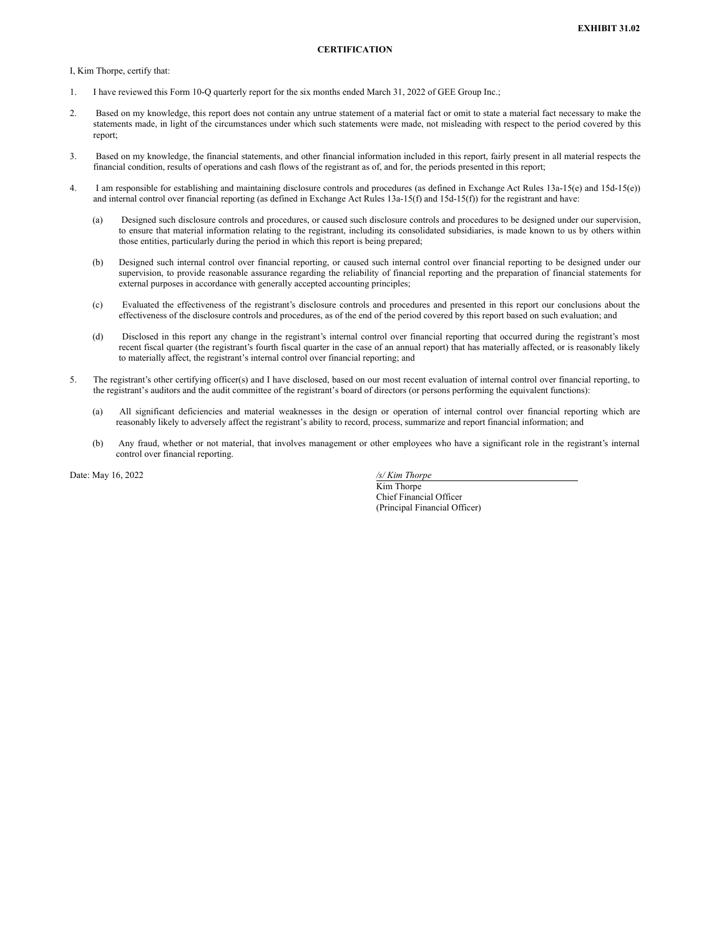#### **CERTIFICATION**

<span id="page-41-0"></span>I, Kim Thorpe, certify that:

- 1. I have reviewed this Form 10-Q quarterly report for the six months ended March 31, 2022 of GEE Group Inc.;
- 2. Based on my knowledge, this report does not contain any untrue statement of a material fact or omit to state a material fact necessary to make the statements made, in light of the circumstances under which such statements were made, not misleading with respect to the period covered by this report;
- 3. Based on my knowledge, the financial statements, and other financial information included in this report, fairly present in all material respects the financial condition, results of operations and cash flows of the registrant as of, and for, the periods presented in this report;
- 4. I am responsible for establishing and maintaining disclosure controls and procedures (as defined in Exchange Act Rules 13a-15(e) and 15d-15(e)) and internal control over financial reporting (as defined in Exchange Act Rules 13a-15(f) and 15d-15(f)) for the registrant and have:
	- (a) Designed such disclosure controls and procedures, or caused such disclosure controls and procedures to be designed under our supervision, to ensure that material information relating to the registrant, including its consolidated subsidiaries, is made known to us by others within those entities, particularly during the period in which this report is being prepared;
	- (b) Designed such internal control over financial reporting, or caused such internal control over financial reporting to be designed under our supervision, to provide reasonable assurance regarding the reliability of financial reporting and the preparation of financial statements for external purposes in accordance with generally accepted accounting principles;
	- (c) Evaluated the effectiveness of the registrant's disclosure controls and procedures and presented in this report our conclusions about the effectiveness of the disclosure controls and procedures, as of the end of the period covered by this report based on such evaluation; and
	- (d) Disclosed in this report any change in the registrant's internal control over financial reporting that occurred during the registrant's most recent fiscal quarter (the registrant's fourth fiscal quarter in the case of an annual report) that has materially affected, or is reasonably likely to materially affect, the registrant's internal control over financial reporting; and
- 5. The registrant's other certifying officer(s) and I have disclosed, based on our most recent evaluation of internal control over financial reporting, to the registrant's auditors and the audit committee of the registrant's board of directors (or persons performing the equivalent functions):
	- (a) All significant deficiencies and material weaknesses in the design or operation of internal control over financial reporting which are reasonably likely to adversely affect the registrant's ability to record, process, summarize and report financial information; and
	- (b) Any fraud, whether or not material, that involves management or other employees who have a significant role in the registrant's internal control over financial reporting.

Date: May 16, 2022 */s/ Kim Thorpe*

Kim Thorpe Chief Financial Officer (Principal Financial Officer)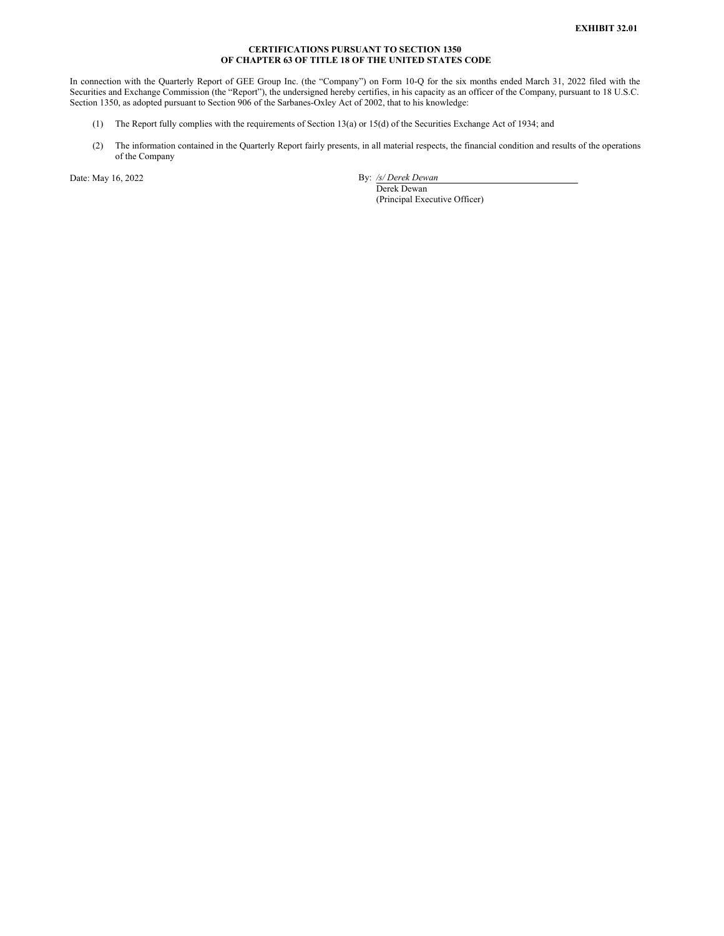#### **CERTIFICATIONS PURSUANT TO SECTION 1350 OF CHAPTER 63 OF TITLE 18 OF THE UNITED STATES CODE**

<span id="page-42-0"></span>In connection with the Quarterly Report of GEE Group Inc. (the "Company") on Form 10-Q for the six months ended March 31, 2022 filed with the Securities and Exchange Commission (the "Report"), the undersigned hereby certifies, in his capacity as an officer of the Company, pursuant to 18 U.S.C. Section 1350, as adopted pursuant to Section 906 of the Sarbanes-Oxley Act of 2002, that to his knowledge:

- (1) The Report fully complies with the requirements of Section 13(a) or 15(d) of the Securities Exchange Act of 1934; and
- (2) The information contained in the Quarterly Report fairly presents, in all material respects, the financial condition and results of the operations of the Company

Date: May 16, 2022 By: */s/ Derek Dewan*

Derek Dewan (Principal Executive Officer)